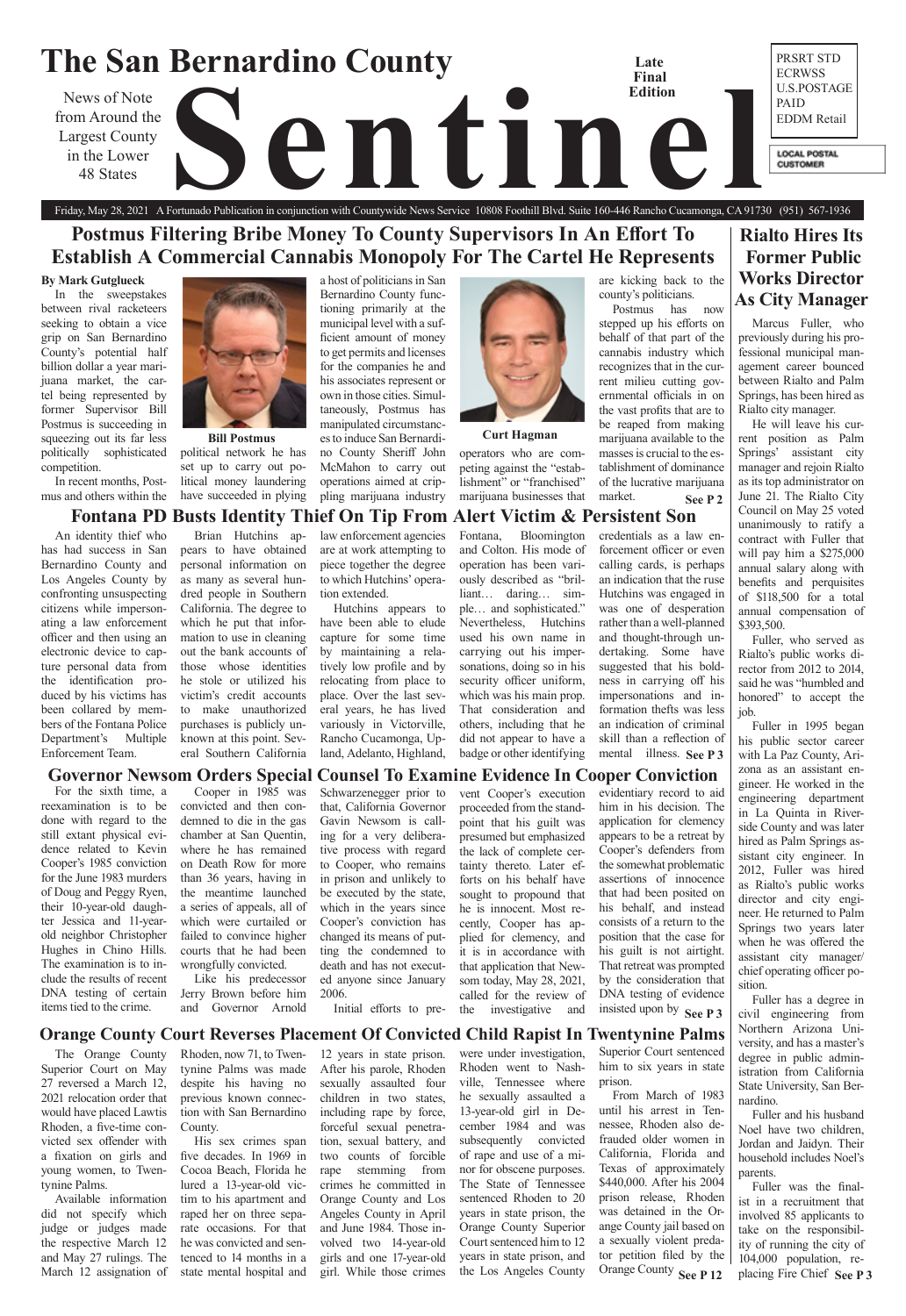### **The San Bernardino County** PRSRT STD **Late**  ECRWSS **Final**  U.S.POSTAGE **Edition** News of Note<br>
The Largest County<br>
48 States<br>
All **Company of New States**<br>
All **Company of New States** PAID from Around the EDDM Retail Largest County in the Lower **LOCAL POSTAL CUSTOMER** 48 States

## Friday, May 28, 2021 A Fortunado Publication in conjunction with Countywide News Service 10808 Foothill Blvd. Suite 160-446 Rancho Cucamonga, CA 91730 (951) 567-1936

# **Rialto Hires Its Former Public Works Director As City Manager**

## **See P 2 Fontana PD Busts Identity Thief On Tip From Alert Victim & Persistent Son**

**Governor Newsom Orders Special Counsel To Examine Evidence In Cooper Conviction**

## **Orange County Court Reverses Placement Of Convicted Child Rapist In Twentynine Palms**

# **Postmus Filtering Bribe Money To County Supervisors In An Effort To Establish A Commercial Cannabis Monopoly For The Cartel He Represents**

An identity thief who has had success in San Bernardino County and Los Angeles County by confronting unsuspecting citizens while impersonating a law enforcement officer and then using an electronic device to capture personal data from the identification produced by his victims has been collared by members of the Fontana Police Department's Multiple Enforcement Team.

Brian Hutchins appears to have obtained personal information on as many as several hundred people in Southern California. The degree to which he put that information to use in cleaning out the bank accounts of those whose identities he stole or utilized his victim's credit accounts to make unauthorized purchases is publicly unknown at this point. Several Southern California law enforcement agencies are at work attempting to piece together the degree to which Hutchins' operation extended.

Hutchins appears to have been able to elude capture for some time by maintaining a relatively low profile and by relocating from place to place. Over the last several years, he has lived variously in Victorville, Rancho Cucamonga, Upland, Adelanto, Highland,

Fontana, Bloomington and Colton. His mode of operation has been variously described as "brilliant… daring… simple… and sophisticated." Nevertheless, Hutchins used his own name in carrying out his impersonations, doing so in his security officer uniform, which was his main prop. That consideration and others, including that he did not appear to have a badge or other identifying

credentials as a law enforcement officer or even calling cards, is perhaps an indication that the ruse Hutchins was engaged in was one of desperation rather than a well-planned and thought-through undertaking. Some have suggested that his boldness in carrying off his impersonations and information thefts was less an indication of criminal skill than a reflection of mental illness. **See P 3**

## **By Mark Gutglueck**

placing Fire Chief See P 3 Fuller was the finalist in a recruitment that involved 85 applicants to take on the responsibility of running the city of 104,000 population, re-

In the sweepstakes between rival racketeers seeking to obtain a vice grip on San Bernardino County's potential half billion dollar a year marijuana market, the cartel being represented by former Supervisor Bill Postmus is succeeding in squeezing out its far less politically sophisticated competition.

In recent months, Postmus and others within the



political network he has set up to carry out political money laundering have succeeded in plying

a host of politicians in San Bernardino County functioning primarily at the municipal level with a sufficient amount of money to get permits and licenses for the companies he and his associates represent or own in those cities. Simultaneously, Postmus has manipulated circumstances to induce San Bernardi-**Bill Postmus Curt Hagman**no County Sheriff John McMahon to carry out operations aimed at crippling marijuana industry



insisted upon by **See P3** him in his decision. The application for clemency appears to be a retreat by Cooper's defenders from the somewhat problematic assertions of innocence that had been posited on his behalf, and instead consists of a return to the position that the case for his guilt is not airtight. That retreat was prompted by the consideration that DNA testing of evidence

operators who are competing against the "establishment" or "franchised" marijuana businesses that are kicking back to the county's politicians.

Postmus has now stepped up his efforts on behalf of that part of the cannabis industry which recognizes that in the current milieu cutting governmental officials in on the vast profits that are to be reaped from making marijuana available to the masses is crucial to the establishment of dominance of the lucrative marijuana

market.

Marcus Fuller, who previously during his professional municipal management career bounced between Rialto and Palm Springs, has been hired as Rialto city manager.

He will leave his current position as Palm Springs' assistant city manager and rejoin Rialto as its top administrator on June 21. The Rialto City Council on May 25 voted unanimously to ratify a contract with Fuller that will pay him a \$275,000 annual salary along with benefits and perquisites of \$118,500 for a total annual compensation of \$393,500.

Fuller, who served as Rialto's public works director from 2012 to 2014, said he was "humbled and honored" to accept the job.

Orange County See P 12 From March of 1983 until his arrest in Tennessee, Rhoden also defrauded older women in California, Florida and Texas of approximately \$440,000. After his 2004 prison release, Rhoden was detained in the Orange County jail based on a sexually violent predator petition filed by the

Fuller in 1995 began his public sector career with La Paz County, Arizona as an assistant engineer. He worked in the engineering department in La Quinta in Riverside County and was later hired as Palm Springs assistant city engineer. In 2012, Fuller was hired as Rialto's public works director and city engineer. He returned to Palm Springs two years later when he was offered the assistant city manager/ chief operating officer position.

Fuller has a degree in civil engineering from

Northern Arizona University, and has a master's degree in public administration from California State University, San Bernardino.

Fuller and his husband Noel have two children, Jordan and Jaidyn. Their household includes Noel's parents.

For the sixth time, a reexamination is to be done with regard to the still extant physical evidence related to Kevin Cooper's 1985 conviction for the June 1983 murders of Doug and Peggy Ryen, their 10-year-old daughter Jessica and 11-yearold neighbor Christopher Hughes in Chino Hills. The examination is to include the results of recent DNA testing of certain items tied to the crime.

vent Cooper's execution proceeded from the standpoint that his guilt was presumed but emphasized the lack of complete certainty thereto. Later efforts on his behalf have sought to propound that he is innocent. Most recently, Cooper has applied for clemency, and it is in accordance with that application that Newsom today, May 28, 2021, called for the review of the investigative and

# evidentiary record to aid

Cooper in 1985 was convicted and then condemned to die in the gas chamber at San Quentin, where he has remained on Death Row for more than 36 years, having in the meantime launched a series of appeals, all of which were curtailed or failed to convince higher courts that he had been wrongfully convicted.

Like his predecessor Jerry Brown before him and Governor Arnold

Schwarzenegger prior to that, California Governor Gavin Newsom is calling for a very deliberative process with regard to Cooper, who remains in prison and unlikely to be executed by the state, which in the years since Cooper's conviction has changed its means of putting the condemned to death and has not executed anyone since January 2006. Initial efforts to pre-

The Orange County Superior Court on May 27 reversed a March 12, 2021 relocation order that would have placed Lawtis Rhoden, a five-time convicted sex offender with a fixation on girls and young women, to Twentynine Palms.

Available information did not specify which judge or judges made the respective March 12 and May 27 rulings. The March 12 assignation of Rhoden, now 71, to Twentynine Palms was made despite his having no previous known connection with San Bernardino County.

His sex crimes span five decades. In 1969 in Cocoa Beach, Florida he lured a 13-year-old victim to his apartment and raped her on three separate occasions. For that he was convicted and sentenced to 14 months in a state mental hospital and

12 years in state prison. After his parole, Rhoden sexually assaulted four children in two states, including rape by force, forceful sexual penetration, sexual battery, and two counts of forcible rape stemming from crimes he committed in Orange County and Los Angeles County in April and June 1984. Those involved two 14-year-old girls and one 17-year-old girl. While those crimes

were under investigation, Rhoden went to Nashville, Tennessee where he sexually assaulted a 13-year-old girl in December 1984 and was subsequently convicted of rape and use of a minor for obscene purposes. The State of Tennessee sentenced Rhoden to 20 years in state prison, the Orange County Superior Court sentenced him to 12 years in state prison, and the Los Angeles County

Superior Court sentenced him to six years in state prison.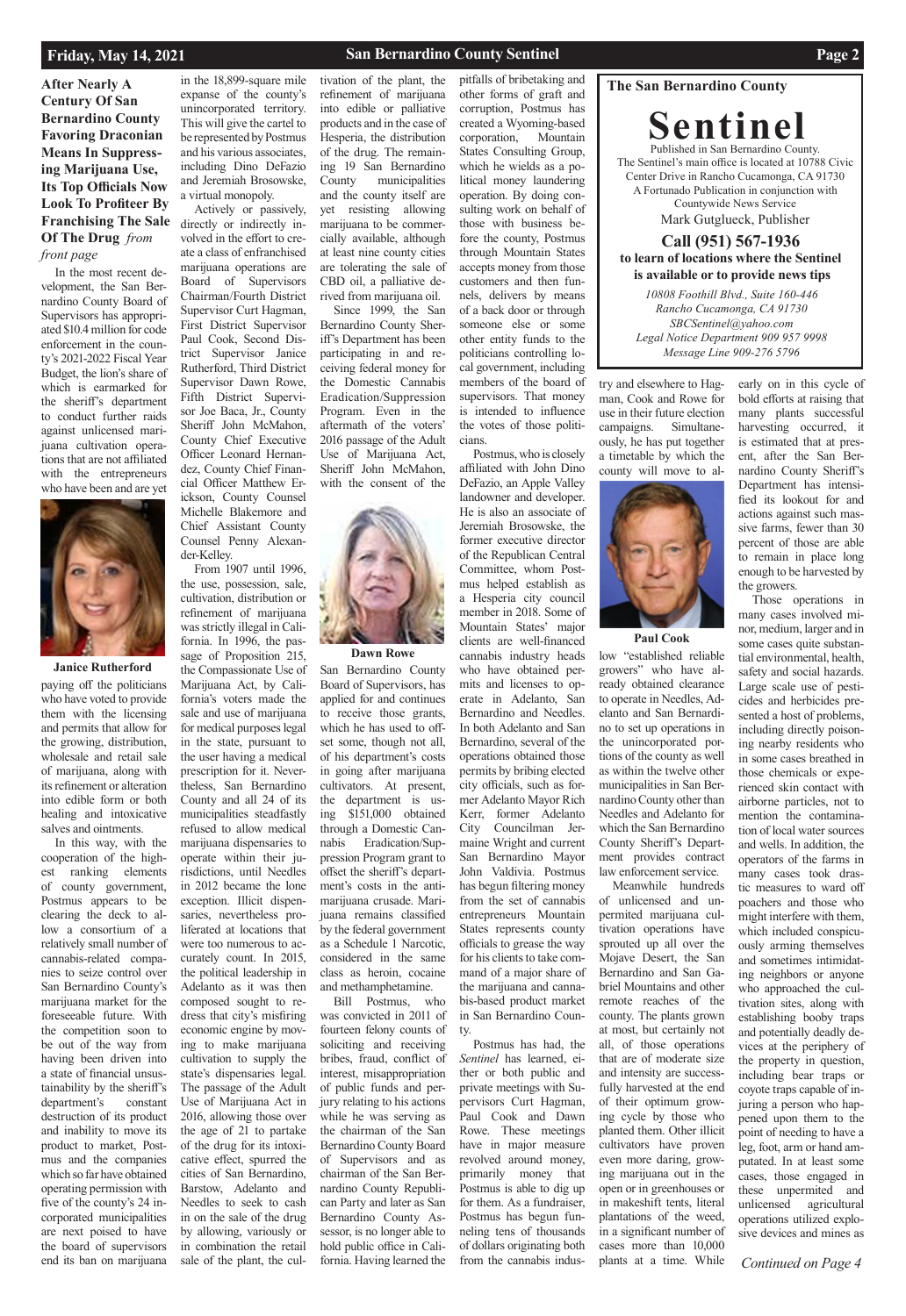## **The San Bernardino County**

**Sentinel** Published in San Bernardino County. The Sentinel's main office is located at 10788 Civic Center Drive in Rancho Cucamonga, CA 91730 A Fortunado Publication in conjunction with Countywide News Service Mark Gutglueck, Publisher **Call (951) 567-1936**

## **to learn of locations where the Sentinel is available or to provide news tips**

## **After Nearly A Century Of San Bernardino County Favoring Draconian Means In Suppressing Marijuana Use, Its Top Officials Now Look To Profiteer By Franchising The Sale Of The Drug** *from front page*

*Continued on Page 4*

*10808 Foothill Blvd., Suite 160-446 Rancho Cucamonga, CA 91730 SBCSentinel@yahoo.com Legal Notice Department 909 957 9998 Message Line 909-276 5796*

## **Friday, May 14, 2021**

In the most recent development, the San Bernardino County Board of Supervisors has appropriated \$10.4 million for code enforcement in the county's 2021-2022 Fiscal Year Budget, the lion's share of which is earmarked for the sheriff's department to conduct further raids against unlicensed marijuana cultivation operations that are not affiliated with the entrepreneurs who have been and are yet



in the 18,899-square mile expanse of the county's unincorporated territory. This will give the cartel to be represented by Postmus and his various associates, including Dino DeFazio and Jeremiah Brosowske, a virtual monopoly.

Actively or passively, directly or indirectly involved in the effort to create a class of enfranchised marijuana operations are Board of Supervisors Chairman/Fourth District Supervisor Curt Hagman, First District Supervisor Paul Cook, Second District Supervisor Janice Rutherford, Third District Supervisor Dawn Rowe, Fifth District Supervisor Joe Baca, Jr., County Sheriff John McMahon, County Chief Executive Officer Leonard Hernandez, County Chief Financial Officer Matthew Erickson, County Counsel Michelle Blakemore and Chief Assistant County Counsel Penny Alexander-Kelley.

From 1907 until 1996, the use, possession, sale, cultivation, distribution or refinement of marijuana was strictly illegal in California. In 1996, the passage of Proposition 215, Janice Rutherford the Compassionate Use of San Bernardino County Marijuana Act, by California's voters made the sale and use of marijuana for medical purposes legal in the state, pursuant to the user having a medical prescription for it. Nevertheless, San Bernardino County and all 24 of its municipalities steadfastly refused to allow medical marijuana dispensaries to operate within their jurisdictions, until Needles in 2012 became the lone exception. Illicit dispensaries, nevertheless proliferated at locations that were too numerous to accurately count. In 2015, the political leadership in Adelanto as it was then composed sought to redress that city's misfiring economic engine by moving to make marijuana cultivation to supply the state's dispensaries legal. The passage of the Adult Use of Marijuana Act in 2016, allowing those over the age of 21 to partake of the drug for its intoxicative effect, spurred the cities of San Bernardino, Barstow, Adelanto and Needles to seek to cash in on the sale of the drug by allowing, variously or in combination the retail sale of the plant, the cul-

tivation of the plant, the refinement of marijuana into edible or palliative products and in the case of Hesperia, the distribution of the drug. The remaining 19 San Bernardino County municipalities and the county itself are yet resisting allowing marijuana to be commercially available, although at least nine county cities are tolerating the sale of CBD oil, a palliative derived from marijuana oil.

Since 1999, the San Bernardino County Sheriff's Department has been participating in and receiving federal money for the Domestic Cannabis Eradication/Suppression Program. Even in the aftermath of the voters' 2016 passage of the Adult Use of Marijuana Act, Sheriff John McMahon, with the consent of the



pitfalls of bribetaking and other forms of graft and corruption, Postmus has created a Wyoming-based corporation, Mountain States Consulting Group, which he wields as a political money laundering operation. By doing consulting work on behalf of those with business before the county, Postmus through Mountain States accepts money from those customers and then funnels, delivers by means of a back door or through someone else or some other entity funds to the politicians controlling local government, including members of the board of supervisors. That money is intended to influence the votes of those politi-

cians.

Postmus, who is closely affiliated with John Dino DeFazio, an Apple Valley landowner and developer. He is also an associate of Jeremiah Brosowske, the former executive director of the Republican Central Committee, whom Postmus helped establish as a Hesperia city council member in 2018. Some of Mountain States' major clients are well-financed cannabis industry heads who have obtained permits and licenses to operate in Adelanto, San Bernardino and Needles. In both Adelanto and San Bernardino, several of the operations obtained those permits by bribing elected city officials, such as former Adelanto Mayor Rich Kerr, former Adelanto City Councilman Jermaine Wright and current San Bernardino Mayor John Valdivia. Postmus has begun filtering money from the set of cannabis entrepreneurs Mountain States represents county officials to grease the way for his clients to take command of a major share of the marijuana and cannabis-based product market in San Bernardino Coun-

ty. Postmus has had, the *Sentinel* has learned, either or both public and private meetings with Supervisors Curt Hagman, Paul Cook and Dawn Rowe. These meetings have in major measure revolved around money, primarily money that Postmus is able to dig up for them. As a fundraiser, Postmus has begun funneling tens of thousands of dollars originating both from the cannabis indus-

try and elsewhere to Hagman, Cook and Rowe for use in their future election campaigns. Simultaneously, he has put together a timetable by which the county will move to al-



early on in this cycle of bold efforts at raising that many plants successful harvesting occurred, it is estimated that at present, after the San Bernardino County Sheriff's Department has intensified its lookout for and actions against such massive farms, fewer than 30 percent of those are able to remain in place long enough to be harvested by the growers.

Those operations in many cases involved minor, medium, larger and in some cases quite substantial environmental, health, safety and social hazards. Large scale use of pesticides and herbicides presented a host of problems, including directly poisoning nearby residents who in some cases breathed in those chemicals or experienced skin contact with airborne particles, not to mention the contamination of local water sources and wells. In addition, the operators of the farms in many cases took drastic measures to ward off poachers and those who might interfere with them, which included conspicuously arming themselves and sometimes intimidating neighbors or anyone who approached the cultivation sites, along with establishing booby traps and potentially deadly devices at the periphery of the property in question, including bear traps or coyote traps capable of injuring a person who happened upon them to the point of needing to have a leg, foot, arm or hand amputated. In at least some cases, those engaged in these unpermited and unlicensed agricultural operations utilized explosive devices and mines as

low "established reliable growers" who have already obtained clearance to operate in Needles, Adelanto and San Bernardino to set up operations in the unincorporated portions of the county as well as within the twelve other municipalities in San Bernardino County other than Needles and Adelanto for which the San Bernardino County Sheriff's Department provides contract law enforcement service.

Meanwhile hundreds of unlicensed and unpermited marijuana cultivation operations have sprouted up all over the Mojave Desert, the San Bernardino and San Gabriel Mountains and other remote reaches of the county. The plants grown at most, but certainly not all, of those operations that are of moderate size and intensity are successfully harvested at the end of their optimum growing cycle by those who planted them. Other illicit cultivators have proven even more daring, growing marijuana out in the open or in greenhouses or in makeshift tents, literal plantations of the weed, in a significant number of cases more than 10,000 plants at a time. While

**Paul Cook**

**Dawn Rowe**

paying off the politicians who have voted to provide them with the licensing and permits that allow for the growing, distribution, wholesale and retail sale of marijuana, along with its refinement or alteration into edible form or both healing and intoxicative salves and ointments.

In this way, with the cooperation of the highest ranking elements of county government, Postmus appears to be clearing the deck to allow a consortium of a relatively small number of cannabis-related companies to seize control over San Bernardino County's marijuana market for the foreseeable future. With the competition soon to be out of the way from having been driven into a state of financial unsustainability by the sheriff's department's constant destruction of its product and inability to move its product to market, Postmus and the companies which so far have obtained operating permission with five of the county's 24 incorporated municipalities are next poised to have the board of supervisors end its ban on marijuana

Board of Supervisors, has applied for and continues to receive those grants, which he has used to offset some, though not all, of his department's costs in going after marijuana cultivators. At present, the department is using \$151,000 obtained through a Domestic Cannabis Eradication/Suppression Program grant to offset the sheriff's department's costs in the antimarijuana crusade. Marijuana remains classified by the federal government as a Schedule 1 Narcotic, considered in the same class as heroin, cocaine and methamphetamine.

Bill Postmus, who was convicted in 2011 of

fourteen felony counts of soliciting and receiving bribes, fraud, conflict of interest, misappropriation of public funds and perjury relating to his actions while he was serving as the chairman of the San Bernardino County Board of Supervisors and as chairman of the San Bernardino County Republican Party and later as San Bernardino County Assessor, is no longer able to hold public office in California. Having learned the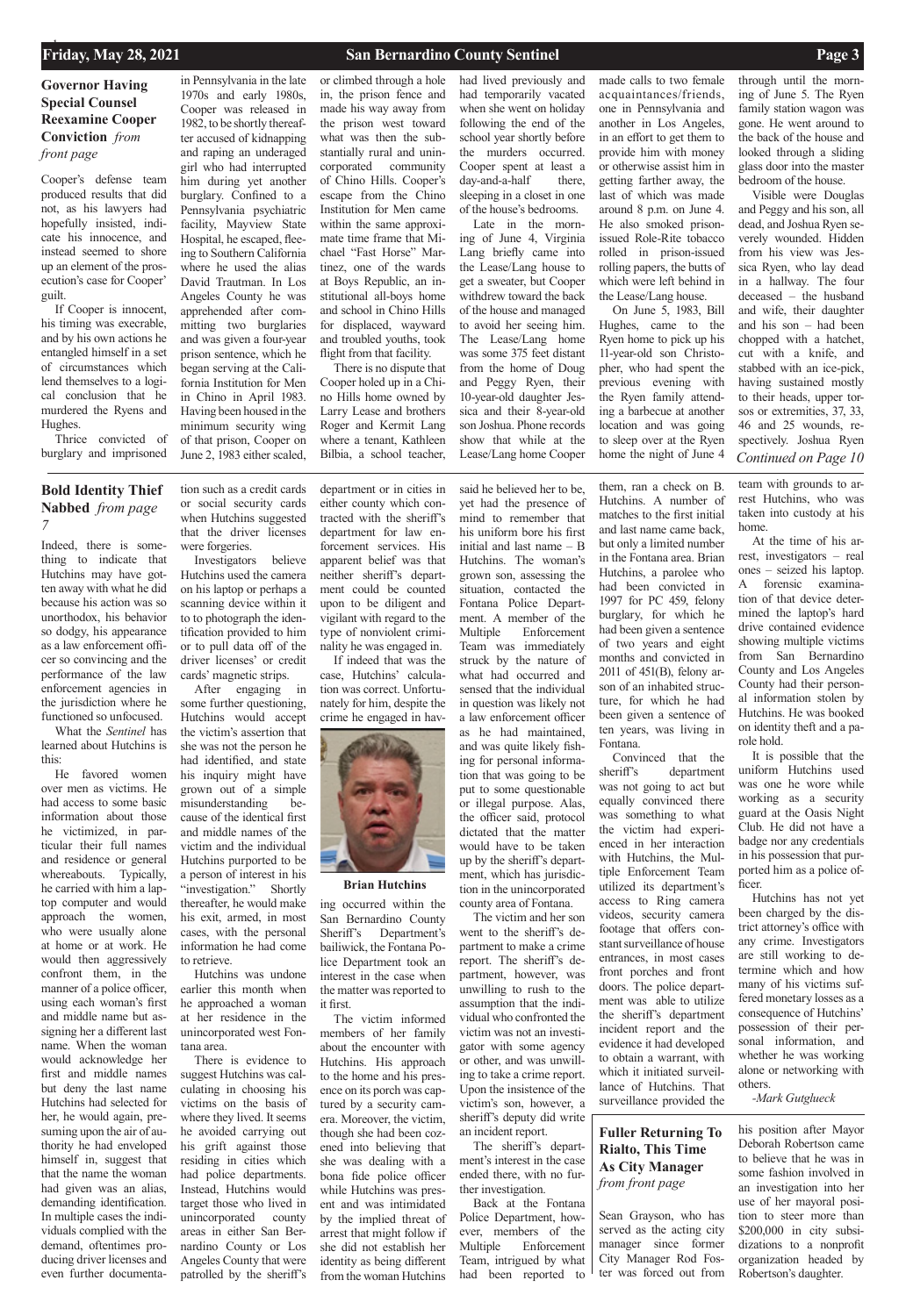## **Brian Hutchins**

## **Governor Having Special Counsel Reexamine Cooper Conviction** *from front page*

Indeed, there is something to indicate that Hutchins may have gotten away with what he did because his action was so unorthodox, his behavior so dodgy, his appearance as a law enforcement officer so convincing and the performance of the law enforcement agencies in the jurisdiction where he functioned so unfocused.

What the *Sentinel* has learned about Hutchins is this:

He favored women over men as victims. He had access to some basic information about those he victimized, in particular their full names and residence or general whereabouts. Typically, he carried with him a laptop computer and would approach the women, who were usually alone at home or at work. He would then aggressively confront them, in the manner of a police officer, using each woman's first and middle name but assigning her a different last name. When the woman would acknowledge her first and middle names but deny the last name Hutchins had selected for her, he would again, presuming upon the air of authority he had enveloped himself in, suggest that that the name the woman had given was an alias, demanding identification. In multiple cases the individuals complied with the demand, oftentimes producing driver licenses and even further documenta-

tion such as a credit cards or social security cards when Hutchins suggested that the driver licenses were forgeries.

Investigators believe Hutchins used the camera on his laptop or perhaps a scanning device within it to to photograph the identification provided to him or to pull data off of the driver licenses' or credit cards' magnetic strips.

After engaging in some further questioning, Hutchins would accept the victim's assertion that she was not the person he had identified, and state his inquiry might have grown out of a simple misunderstanding because of the identical first and middle names of the victim and the individual Hutchins purported to be a person of interest in his "investigation." Shortly thereafter, he would make his exit, armed, in most cases, with the personal information he had come to retrieve.

Hutchins was undone earlier this month when he approached a woman at her residence in the

unincorporated west Fontana area.

There is evidence to suggest Hutchins was calculating in choosing his victims on the basis of where they lived. It seems he avoided carrying out his grift against those residing in cities which had police departments. Instead, Hutchins would target those who lived in unincorporated county areas in either San Bernardino County or Los Angeles County that were patrolled by the sheriff's

department or in cities in either county which contracted with the sheriff's department for law enforcement services. His apparent belief was that neither sheriff's department could be counted upon to be diligent and vigilant with regard to the type of nonviolent criminality he was engaged in.

If indeed that was the case, Hutchins' calculation was correct. Unfortunately for him, despite the crime he engaged in hav-



said he believed her to be, yet had the presence of mind to remember that his uniform bore his first initial and last name – B Hutchins. The woman's grown son, assessing the situation, contacted the Fontana Police Department. A member of the Multiple Enforcement Team was immediately struck by the nature of what had occurred and sensed that the individual in question was likely not a law enforcement officer as he had maintained, and was quite likely fishing for personal information that was going to be put to some questionable or illegal purpose. Alas, the officer said, protocol dictated that the matter would have to be taken up by the sheriff's department, which has jurisdiction in the unincorporated county area of Fontana.

or climbed through a hole in, the prison fence and made his way away from the prison west toward what was then the substantially rural and unincorporated community of Chino Hills. Cooper's escape from the Chino Institution for Men came within the same approximate time frame that Michael "Fast Horse" Martinez, one of the wards at Boys Republic, an institutional all-boys home and school in Chino Hills for displaced, wayward and troubled youths, took flight from that facility.

> them, ran a check on B. Hutchins. A number of matches to the first initial and last name came back, but only a limited number in the Fontana area. Brian Hutchins, a parolee who had been convicted in 1997 for PC 459, felony burglary, for which he had been given a sentence of two years and eight months and convicted in 2011 of 451(B), felony arson of an inhabited structure, for which he had been given a sentence of ten years, was living in Fontana.

*Continued on Page 10* Visible were Douglas and Peggy and his son, all dead, and Joshua Ryen severely wounded. Hidden from his view was Jessica Ryen, who lay dead in a hallway. The four deceased – the husband and wife, their daughter and his son – had been chopped with a hatchet, cut with a knife, and stabbed with an ice-pick, having sustained mostly to their heads, upper torsos or extremities, 37, 33, 46 and 25 wounds, respectively. Joshua Ryen

Convinced that the sheriff's department was not going to act but equally convinced there was something to what the victim had experienced in her interaction with Hutchins, the Multiple Enforcement Team utilized its department's access to Ring camera videos, security camera footage that offers constant surveillance of house entrances, in most cases front porches and front doors. The police department was able to utilize the sheriff's department incident report and the evidence it had developed to obtain a warrant, with which it initiated surveillance of Hutchins. That surveillance provided the

team with grounds to arrest Hutchins, who was taken into custody at his home.

At the time of his arrest, investigators – real ones – seized his laptop. A forensic examination of that device determined the laptop's hard drive contained evidence showing multiple victims from San Bernardino County and Los Angeles County had their personal information stolen by Hutchins. He was booked on identity theft and a parole hold.

It is possible that the uniform Hutchins used was one he wore while working as a security guard at the Oasis Night Club. He did not have a badge nor any credentials in his possession that purported him as a police officer.

Hutchins has not yet been charged by the district attorney's office with any crime. Investigators are still working to determine which and how many of his victims suffered monetary losses as a consequence of Hutchins' possession of their personal information, and whether he was working alone or networking with others.

*-Mark Gutglueck*

Cooper's defense team produced results that did not, as his lawyers had hopefully insisted, indicate his innocence, and instead seemed to shore up an element of the prosecution's case for Cooper' guilt.

If Cooper is innocent, his timing was execrable, and by his own actions he entangled himself in a set of circumstances which lend themselves to a logical conclusion that he murdered the Ryens and Hughes.

Thrice convicted of burglary and imprisoned

## in Pennsylvania in the late 1970s and early 1980s, Cooper was released in 1982, to be shortly thereafter accused of kidnapping and raping an underaged girl who had interrupted him during yet another burglary. Confined to a Pennsylvania psychiatric facility, Mayview State Hospital, he escaped, fleeing to Southern California where he used the alias David Trautman. In Los Angeles County he was apprehended after committing two burglaries and was given a four-year prison sentence, which he began serving at the California Institution for Men in Chino in April 1983. Having been housed in the

The victim and her son went to the sheriff's department to make a crime report. The sheriff's department, however, was unwilling to rush to the assumption that the individual who confronted the victim was not an investigator with some agency or other, and was unwilling to take a crime report. Upon the insistence of the victim's son, however, a sheriff's deputy did write an incident report. The sheriff's department's interest in the case ended there, with no further investigation. Back at the Fontana Police Department, however, members of the Multiple Enforcement Team, intrigued by what had been reported to Sean Grayson, who has served as the acting city manager since former City Manager Rod Foster was forced out from **Fuller Returning To Rialto, This Time As City Manager**  *from front page*

minimum security wing of that prison, Cooper on June 2, 1983 either scaled,

There is no dispute that Cooper holed up in a Chino Hills home owned by Larry Lease and brothers Roger and Kermit Lang where a tenant, Kathleen Bilbia, a school teacher,

had lived previously and had temporarily vacated when she went on holiday following the end of the school year shortly before the murders occurred. Cooper spent at least a day-and-a-half there, sleeping in a closet in one of the house's bedrooms.

Late in the morning of June 4, Virginia Lang briefly came into the Lease/Lang house to get a sweater, but Cooper withdrew toward the back of the house and managed to avoid her seeing him. The Lease/Lang home was some 375 feet distant from the home of Doug and Peggy Ryen, their 10-year-old daughter Jessica and their 8-year-old son Joshua. Phone records show that while at the Lease/Lang home Cooper

made calls to two female acquaintances/friends, one in Pennsylvania and another in Los Angeles, in an effort to get them to provide him with money or otherwise assist him in getting farther away, the last of which was made around 8 p.m. on June 4. He also smoked prisonissued Role-Rite tobacco rolled in prison-issued rolling papers, the butts of which were left behind in the Lease/Lang house.

On June 5, 1983, Bill Hughes, came to the Ryen home to pick up his 11-year-old son Christopher, who had spent the previous evening with the Ryen family attending a barbecue at another location and was going to sleep over at the Ryen home the night of June 4 through until the morning of June 5. The Ryen family station wagon was gone. He went around to the back of the house and looked through a sliding glass door into the master bedroom of the house.

his position after Mayor Deborah Robertson came to believe that he was in some fashion involved in an investigation into her use of her mayoral position to steer more than \$200,000 in city subsidizations to a nonprofit organization headed by Robertson's daughter.

## **Bold Identity Thief Nabbed** *from page 7*

ing occurred within the San Bernardino County Sheriff's Department's bailiwick, the Fontana Police Department took an interest in the case when the matter was reported to it first.

The victim informed

members of her family about the encounter with Hutchins. His approach to the home and his presence on its porch was captured by a security camera. Moreover, the victim, though she had been cozened into believing that she was dealing with a bona fide police officer while Hutchins was present and was intimidated by the implied threat of arrest that might follow if she did not establish her identity as being different from the woman Hutchins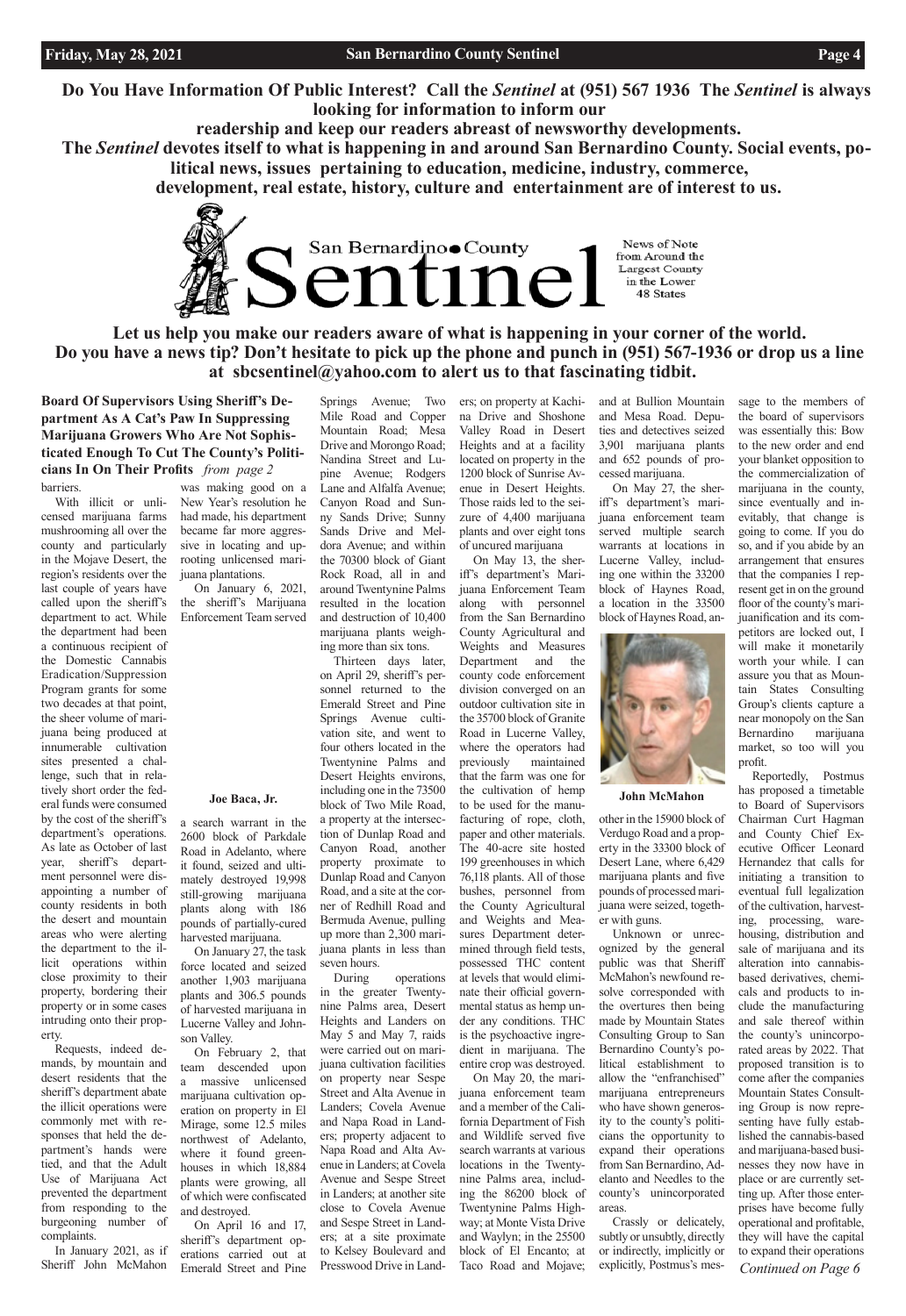**Do You Have Information Of Public Interest? Call the** *Sentinel* **at (951) 567 1936 The** *Sentinel* **is always looking for information to inform our**

 **readership and keep our readers abreast of newsworthy developments.**

**The** *Sentinel* **devotes itself to what is happening in and around San Bernardino County. Social events, political news, issues pertaining to education, medicine, industry, commerce,**

 **development, real estate, history, culture and entertainment are of interest to us.** 



**Let us help you make our readers aware of what is happening in your corner of the world. Do you have a news tip? Don't hesitate to pick up the phone and punch in (951) 567-1936 or drop us a line at sbcsentinel@yahoo.com to alert us to that fascinating tidbit.**

**Board Of Supervisors Using Sheriff's Department As A Cat's Paw In Suppressing Marijuana Growers Who Are Not Sophisticated Enough To Cut The County's Politicians In On Their Profits** *from page 2*

barriers.

With illicit or unlicensed marijuana farms mushrooming all over the county and particularly in the Mojave Desert, the region's residents over the last couple of years have called upon the sheriff's department to act. While the department had been a continuous recipient of the Domestic Cannabis Eradication/Suppression Program grants for some two decades at that point, the sheer volume of marijuana being produced at innumerable cultivation sites presented a challenge, such that in relatively short order the federal funds were consumed by the cost of the sheriff's department's operations. As late as October of last year, sheriff's department personnel were disappointing a number of county residents in both the desert and mountain areas who were alerting the department to the illicit operations within close proximity to their property, bordering their property or in some cases intruding onto their property. Requests, indeed demands, by mountain and desert residents that the sheriff's department abate the illicit operations were commonly met with responses that held the department's hands were tied, and that the Adult Use of Marijuana Act prevented the department from responding to the burgeoning number of complaints.

In January 2021, as if Sheriff John McMahon

was making good on a New Year's resolution he had made, his department became far more aggressive in locating and uprooting unlicensed marijuana plantations.

On January 6, 2021, the sheriff's Marijuana Enforcement Team served

Springs Avenue; Two Mile Road and Copper Mountain Road; Mesa Drive and Morongo Road; Nandina Street and Lupine Avenue; Rodgers Lane and Alfalfa Avenue; Canyon Road and Sunny Sands Drive; Sunny Sands Drive and Meldora Avenue; and within the 70300 block of Giant Rock Road, all in and around Twentynine Palms resulted in the location and destruction of 10,400 marijuana plants weighing more than six tons.

Thirteen days later, on April 29, sheriff's personnel returned to the Emerald Street and Pine Springs Avenue cultivation site, and went to four others located in the Twentynine Palms and Desert Heights environs, including one in the 73500 block of Two Mile Road, a property at the intersection of Dunlap Road and Canyon Road, another property proximate to Dunlap Road and Canyon Road, and a site at the corner of Redhill Road and Bermuda Avenue, pulling up more than 2,300 marijuana plants in less than seven hours.

During operations in the greater Twentynine Palms area, Desert Heights and Landers on

May 5 and May 7, raids were carried out on marijuana cultivation facilities on property near Sespe Street and Alta Avenue in Landers; Covela Avenue and Napa Road in Landers; property adjacent to Napa Road and Alta Avenue in Landers; at Covela Avenue and Sespe Street in Landers; at another site close to Covela Avenue and Sespe Street in Landers; at a site proximate to Kelsey Boulevard and Presswood Drive in Land-

*Continued on Page 6* Reportedly, Postmus has proposed a timetable to Board of Supervisors Chairman Curt Hagman and County Chief Executive Officer Leonard Hernandez that calls for initiating a transition to eventual full legalization of the cultivation, harvesting, processing, warehousing, distribution and sale of marijuana and its alteration into cannabisbased derivatives, chemicals and products to include the manufacturing and sale thereof within the county's unincorporated areas by 2022. That proposed transition is to come after the companies Mountain States Consulting Group is now representing have fully established the cannabis-based and marijuana-based businesses they now have in place or are currently setting up. After those enterprises have become fully operational and profitable, they will have the capital to expand their operations

ers; on property at Kachina Drive and Shoshone Valley Road in Desert Heights and at a facility located on property in the 1200 block of Sunrise Avenue in Desert Heights. Those raids led to the seizure of 4,400 marijuana plants and over eight tons of uncured marijuana

and at Bullion Mountain and Mesa Road. Deputies and detectives seized 3,901 marijuana plants and 652 pounds of processed marijuana.

On May 27, the sheriff's department's marijuana enforcement team served multiple search warrants at locations in Lucerne Valley, including one within the 33200 block of Haynes Road, a location in the 33500 block of Haynes Road, an-



sage to the members of the board of supervisors was essentially this: Bow to the new order and end your blanket opposition to the commercialization of marijuana in the county, since eventually and inevitably, that change is going to come. If you do so, and if you abide by an arrangement that ensures that the companies I represent get in on the ground floor of the county's marijuanification and its competitors are locked out, I will make it monetarily worth your while. I can assure you that as Mountain States Consulting Group's clients capture a near monopoly on the San Bernardino marijuana market, so too will you profit.

On May 13, the sheriff's department's Marijuana Enforcement Team along with personnel from the San Bernardino County Agricultural and Weights and Measures Department and the county code enforcement division converged on an outdoor cultivation site in the 35700 block of Granite Road in Lucerne Valley, where the operators had previously maintained that the farm was one for the cultivation of hemp to be used for the manufacturing of rope, cloth, paper and other materials. The 40-acre site hosted 199 greenhouses in which 76,118 plants. All of those bushes, personnel from the County Agricultural and Weights and Measures Department determined through field tests, possessed THC content at levels that would eliminate their official governmental status as hemp under any conditions. THC is the psychoactive ingredient in marijuana. The entire crop was destroyed. On May 20, the marijuana enforcement team and a member of the California Department of Fish and Wildlife served five search warrants at various locations in the Twentynine Palms area, including the 86200 block of Twentynine Palms Highway; at Monte Vista Drive and Waylyn; in the 25500 block of El Encanto; at Taco Road and Mojave; **Joe Baca, Jr.** *Holding the Hundred Post John McMahon* or indirectly, implicitly or explicitly, Postmus's mes-

other in the 15900 block of Verdugo Road and a property in the 33300 block of Desert Lane, where 6,429 marijuana plants and five pounds of processed marijuana were seized, together with guns.

Unknown or unrecognized by the general public was that Sheriff McMahon's newfound resolve corresponded with the overtures then being made by Mountain States

Consulting Group to San Bernardino County's political establishment to allow the "enfranchised" marijuana entrepreneurs who have shown generosity to the county's politicians the opportunity to expand their operations from San Bernardino, Adelanto and Needles to the county's unincorporated areas. Crassly or delicately, subtly or unsubtly, directly

a search warrant in the 2600 block of Parkdale Road in Adelanto, where it found, seized and ultimately destroyed 19,998 still-growing marijuana plants along with 186 pounds of partially-cured harvested marijuana.

On January 27, the task force located and seized another 1,903 marijuana plants and 306.5 pounds of harvested marijuana in Lucerne Valley and John-

son Valley.

On February 2, that team descended upon a massive unlicensed marijuana cultivation operation on property in El Mirage, some 12.5 miles northwest of Adelanto, where it found greenhouses in which 18,884 plants were growing, all of which were confiscated and destroyed. On April 16 and 17, sheriff's department operations carried out at Emerald Street and Pine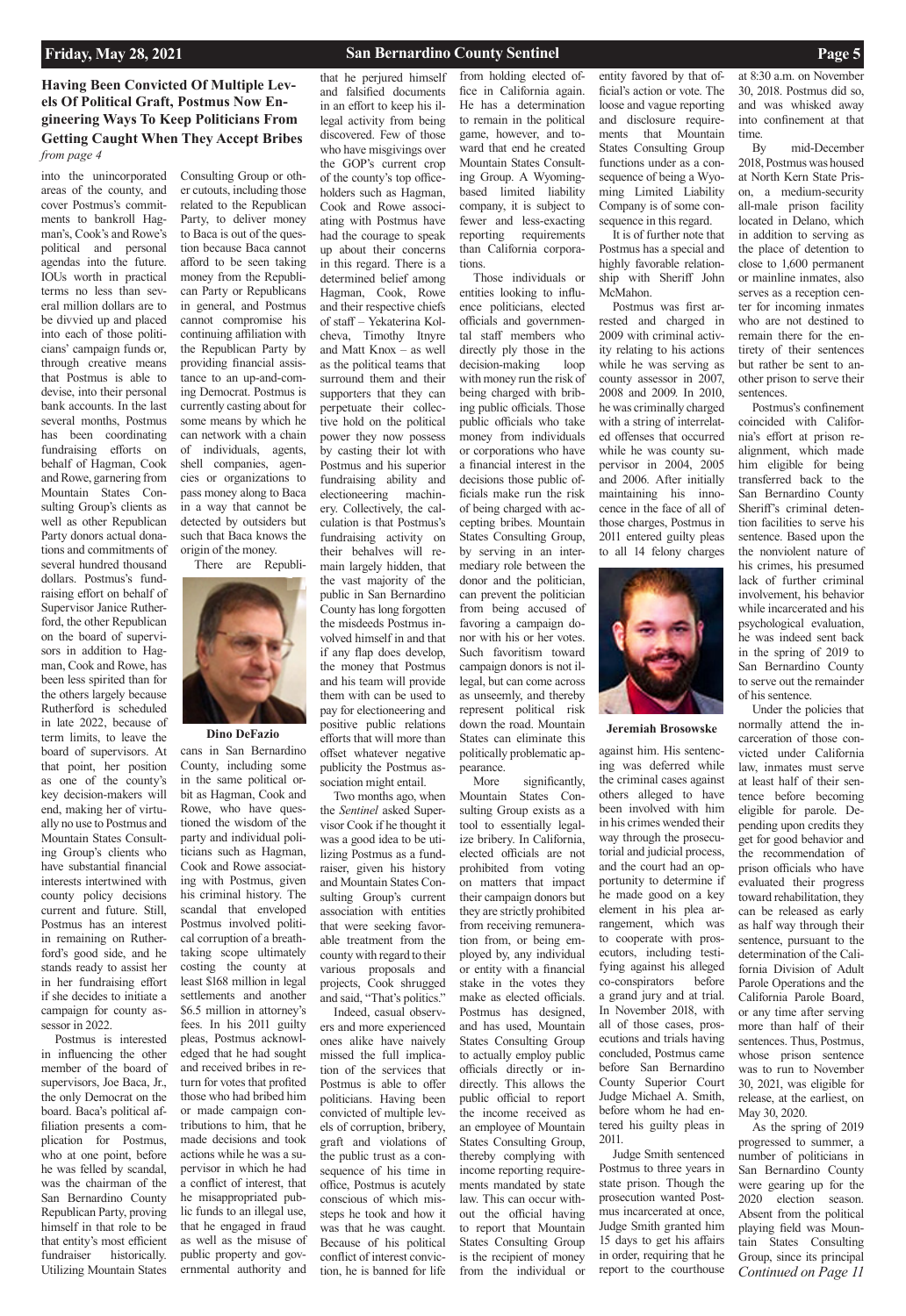## **Having Been Convicted Of Multiple Levels Of Political Graft, Postmus Now Engineering Ways To Keep Politicians From Getting Caught When They Accept Bribes**  *from page 4*

into the unincorporated areas of the county, and cover Postmus's commitments to bankroll Hagman's, Cook's and Rowe's political and personal agendas into the future. IOUs worth in practical terms no less than several million dollars are to be divvied up and placed into each of those politicians' campaign funds or, through creative means that Postmus is able to devise, into their personal bank accounts. In the last several months, Postmus has been coordinating fundraising efforts on behalf of Hagman, Cook and Rowe, garnering from Mountain States Consulting Group's clients as well as other Republican Party donors actual donations and commitments of several hundred thousand dollars. Postmus's fundraising effort on behalf of Supervisor Janice Rutherford, the other Republican on the board of supervisors in addition to Hagman, Cook and Rowe, has been less spirited than for the others largely because Rutherford is scheduled in late 2022, because of term limits, to leave the board of supervisors. At that point, her position as one of the county's key decision-makers will end, making her of virtually no use to Postmus and Mountain States Consulting Group's clients who have substantial financial interests intertwined with county policy decisions current and future. Still, Postmus has an interest in remaining on Rutherford's good side, and he stands ready to assist her in her fundraising effort if she decides to initiate a campaign for county as-

Postmus is interested in influencing the other member of the board of supervisors, Joe Baca, Jr., the only Democrat on the board. Baca's political affiliation presents a complication for Postmus, who at one point, before he was felled by scandal, was the chairman of the San Bernardino County Republican Party, proving himself in that role to be that entity's most efficient fundraiser historically. Utilizing Mountain States

Consulting Group or other cutouts, including those related to the Republican Party, to deliver money to Baca is out of the question because Baca cannot afford to be seen taking money from the Republican Party or Republicans in general, and Postmus cannot compromise his continuing affiliation with the Republican Party by providing financial assistance to an up-and-coming Democrat. Postmus is currently casting about for some means by which he can network with a chain of individuals, agents, shell companies, agencies or organizations to pass money along to Baca in a way that cannot be detected by outsiders but such that Baca knows the origin of the money.

There are Republi-



that he perjured himself

More significantly, Mountain States Consulting Group exists as a tool to essentially legalize bribery. In California, elected officials are not prohibited from voting on matters that impact their campaign donors but they are strictly prohibited from receiving remuneration from, or being employed by, any individual or entity with a financial stake in the votes they make as elected officials. Postmus has designed, and has used, Mountain States Consulting Group to actually employ public officials directly or indirectly. This allows the public official to report the income received as an employee of Mountain States Consulting Group, thereby complying with income reporting requirements mandated by state law. This can occur without the official having to report that Mountain States Consulting Group is the recipient of money from the individual or

Two months ago, when the *Sentinel* asked Supervisor Cook if he thought it was a good idea to be utilizing Postmus as a fundraiser, given his history and Mountain States Consulting Group's current association with entities that were seeking favorable treatment from the county with regard to their various proposals and projects, Cook shrugged and said, "That's politics."

Indeed, casual observers and more experienced ones alike have naively missed the full implication of the services that Postmus is able to offer politicians. Having been convicted of multiple levels of corruption, bribery, graft and violations of the public trust as a consequence of his time in office, Postmus is acutely conscious of which missteps he took and how it was that he was caught. Because of his political conflict of interest conviction, he is banned for life

*Continued on Page 11* Under the policies that normally attend the incarceration of those convicted under California law, inmates must serve at least half of their sentence before becoming eligible for parole. Depending upon credits they get for good behavior and the recommendation of prison officials who have evaluated their progress toward rehabilitation, they can be released as early as half way through their sentence, pursuant to the determination of the California Division of Adult Parole Operations and the California Parole Board, or any time after serving more than half of their sentences. Thus, Postmus, whose prison sentence was to run to November 30, 2021, was eligible for release, at the earliest, on May 30, 2020. As the spring of 2019 progressed to summer, a number of politicians in San Bernardino County were gearing up for the 2020 election season. Absent from the political playing field was Mountain States Consulting Group, since its principal

sessor in 2022.

## from holding elected office in California again. He has a determination to remain in the political game, however, and toward that end he created Mountain States Consulting Group. A Wyomingbased limited liability company, it is subject to fewer and less-exacting reporting requirements than California corporations.

Those individuals or entities looking to influence politicians, elected officials and governmental staff members who directly ply those in the decision-making loop with money run the risk of being charged with bribing public officials. Those public officials who take money from individuals or corporations who have a financial interest in the decisions those public officials make run the risk of being charged with accepting bribes. Mountain States Consulting Group, by serving in an intermediary role between the donor and the politician, can prevent the politician from being accused of favoring a campaign donor with his or her votes. Such favoritism toward campaign donors is not illegal, but can come across as unseemly, and thereby represent political risk down the road. Mountain States can eliminate this politically problematic appearance.

and falsified documents in an effort to keep his illegal activity from being discovered. Few of those who have misgivings over the GOP's current crop of the county's top officeholders such as Hagman, Cook and Rowe associating with Postmus have had the courage to speak up about their concerns in this regard. There is a determined belief among Hagman, Cook, Rowe and their respective chiefs of staff – Yekaterina Kolcheva, Timothy Itnyre and Matt Knox – as well as the political teams that surround them and their supporters that they can perpetuate their collective hold on the political power they now possess by casting their lot with Postmus and his superior fundraising ability and electioneering machinery. Collectively, the calculation is that Postmus's fundraising activity on their behalves will remain largely hidden, that the vast majority of the public in San Bernardino County has long forgotten the misdeeds Postmus involved himself in and that if any flap does develop, the money that Postmus and his team will provide them with can be used to pay for electioneering and positive public relations efforts that will more than offset whatever negative publicity the Postmus association might entail. **Jeremiah Brosowske Dino DeFazio**

entity favored by that official's action or vote. The loose and vague reporting and disclosure requirements that Mountain States Consulting Group functions under as a consequence of being a Wyoming Limited Liability Company is of some consequence in this regard.

It is of further note that Postmus has a special and highly favorable relationship with Sheriff John McMahon.

Postmus was first arrested and charged in 2009 with criminal activity relating to his actions while he was serving as county assessor in 2007, 2008 and 2009. In 2010, he was criminally charged with a string of interrelated offenses that occurred while he was county supervisor in 2004, 2005 and 2006. After initially maintaining his innocence in the face of all of those charges, Postmus in 2011 entered guilty pleas to all 14 felony charges



at 8:30 a.m. on November 30, 2018. Postmus did so, and was whisked away into confinement at that time.

By mid-December 2018, Postmus was housed at North Kern State Prison, a medium-security all-male prison facility located in Delano, which in addition to serving as the place of detention to close to 1,600 permanent or mainline inmates, also serves as a reception center for incoming inmates who are not destined to remain there for the entirety of their sentences but rather be sent to another prison to serve their sentences.

Postmus's confinement coincided with California's effort at prison realignment, which made him eligible for being transferred back to the San Bernardino County Sheriff's criminal detention facilities to serve his sentence. Based upon the the nonviolent nature of his crimes, his presumed lack of further criminal involvement, his behavior while incarcerated and his psychological evaluation, he was indeed sent back in the spring of 2019 to San Bernardino County to serve out the remainder of his sentence.

cans in San Bernardino County, including some in the same political orbit as Hagman, Cook and Rowe, who have questioned the wisdom of the party and individual politicians such as Hagman, Cook and Rowe associating with Postmus, given his criminal history. The scandal that enveloped Postmus involved political corruption of a breathtaking scope ultimately costing the county at least \$168 million in legal settlements and another \$6.5 million in attorney's fees. In his 2011 guilty pleas, Postmus acknowledged that he had sought and received bribes in return for votes that profited those who had bribed him or made campaign contributions to him, that he made decisions and took actions while he was a supervisor in which he had a conflict of interest, that he misappropriated public funds to an illegal use, that he engaged in fraud as well as the misuse of public property and governmental authority and

against him. His sentencing was deferred while the criminal cases against others alleged to have been involved with him in his crimes wended their way through the prosecutorial and judicial process, and the court had an opportunity to determine if he made good on a key element in his plea arrangement, which was to cooperate with prosecutors, including testifying against his alleged co-conspirators before a grand jury and at trial. In November 2018, with all of those cases, prosecutions and trials having concluded, Postmus came before San Bernardino County Superior Court Judge Michael A. Smith, before whom he had entered his guilty pleas in 2011. Judge Smith sentenced Postmus to three years in state prison. Though the prosecution wanted Postmus incarcerated at once, Judge Smith granted him 15 days to get his affairs in order, requiring that he report to the courthouse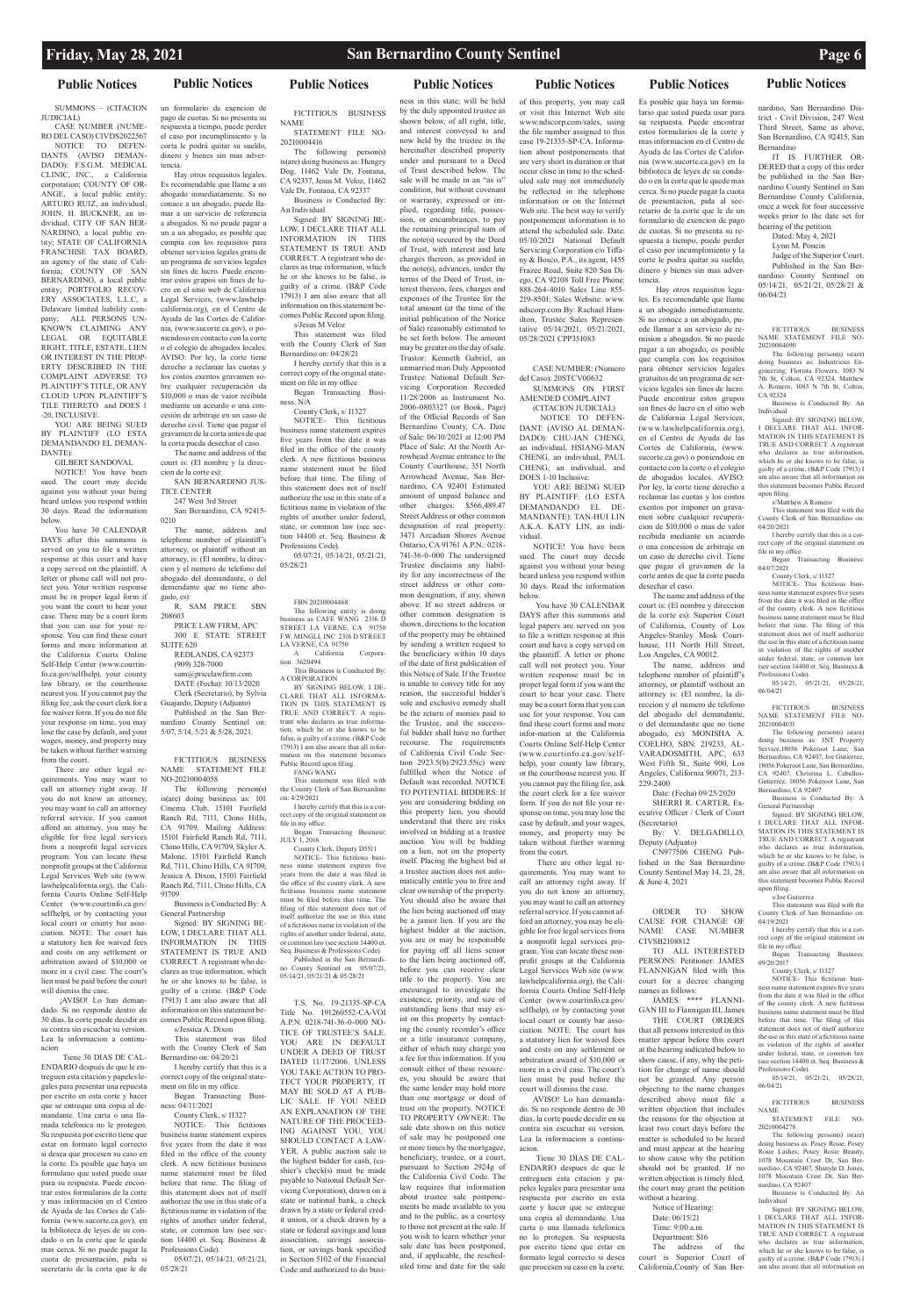**Public Notices Public Notices Public Notices Public Notices Public Notices Public Notices Public Notices**

SUMMONS – (CITACION JUDICIAL) CASE NUMBER (NUME-

RO DEL CASO) CIVDS2022567 NOTICE TO DEFEN-DANTS (AVISO DEMAN-DADO): F.S.G.M. MEDICAL CLINIC, INC., a California corporation; COUNTY OF OR-ANGE, a local public entity; ARTURO RUIZ, an individual; JOHN. H. BUCKNER, an individual; CITY OF SAN BER-NARDINO, a local public entity; STATE OF CALIFORNIA FRANCHISE TAX BOARD, an agency of the state of California; COUNTY OF SAN BERNARDINO, a local public entity; PORTFOLIO RECOV-ERY ASSOCIATES, L.L.C, a Delaware limited liability company; ALL PERSONS UN-KNOWN CLAIMING ANY LEGAL OR EQUITABLE RIGHT, TITLE, ESTATE, LIEN OR INTEREST IN THE PROP-ERTY DESCRIBED IN THE COMPLAINT ADVERSE TO PLAINTIFF'S TITLE, OR ANY CLOUD UPON PLAINTIFF'S TILE THERETO and DOES 1 -20, INCLUSIVE.

YOU ARE BEING SUED BY PLAINTIFF (LO ESTA DEMANDANDO EL DEMAN-DANTE):

GILBERT SANDOVAL

NOTICE! You have been sued. The court may decide against you without your being heard unless you respond within 30 days. Read the information below. You have 30 CALENDAR

DAYS after this summons is served on you to file a written response at this court and have a copy served on the plaintiff. A letter or phone call will not protect you. Your written response must be in proper legal form if you want the court to hear your case. There may be a court form that you can use for your response. You can find these court forms and more information at the California Courts Online Self-Help Center (www.courtinfo.ca.gov/selfhelp), your county law library, or the courthouse nearest you. If you cannot pay the filing fee, ask the court clerk for a fee waiver form. If you do not file your response on time, you may lose the case by default, and your wages, money, and property may be taken without further warning from the court.

There are other legal requirements. You may want to call an attorney right away. If you do not know an attorney, you may want to call an attorney referral service. If you cannot afford an attorney, you may be eligible for free legal services from a nonprofit legal services program. You can locate these nonprofit groups at the California Legal Services Web site (www. lawhelpcalifornia.org), the California Courts Online Self-Help Center (www.courtinfo.ca.gov/ selfhelp), or by contacting your local court or county bar association. NOTE: The court has a statutory lien for waived fees and costs on any settlement or arbitration award of \$10,000 or more in a civil case. The court's lien must be paid before the court will dismiss the case.

R. SAM PRICE SBN FBN 20210004468 The following entity is doing business as CAFE WANG 2316 D STREET LA VERNE, CA 91750

A Cal<br>tion 3620494

PRICE LAW FIRM, APC 300 E STATE STREET  $SUITF 620$ 

 ¡AVISO! Lo han demandado. Si no responde dentro de 30 dias, la corte puede decidir en

su contra sin escuchar su version. Lea la informacion a continuacion

Rd, 7111, Chino Hills, CA 91709, Jessica A. Dixon, 15101 Fairfield Ranch Rd, 7111, Chino Hills, CA Business is Conducted By: A Signed: BY SIGNING BE-LOW, I DECLARE THAT ALL INFORMATION IN THIS STATEMENT IS TRUE AND NOTICE- This fictitious business name statement expires five years from the date it was filed in the office of the county clerk. A new fictitious business name statement must be filed before that time. The filing of this statement does not of itself authorize the use in this state of a fictitious name in violation of the rights of another under federal, state, or common law (see section 14400 et. Seq. Business & Professions Code).

 Tiene 30 DIAS DE CAL-ENDARIO después de que le entreguen esta citación y papeles legales para presentar una repuesta por escrito en esta corte y hacer que se entreque una copia al demandante. Una carta o una llamada telefonica no le protegen. Su respuesta por escrito tiene que estar on formato legal correcto si desea que procesen su caso en la corte. Es posible que haya un formulano que usted puede usar para su respuesta. Puede encontrar estos formularios de la corte y mas información en el Centro de Ayuda de las Cortes de California (www.sucorte.ca.gov), en la biblioteca de leyes de su condado o en la corte que le quede mas cerca. Si no puede pagar la cuota de presentación, pida si secretario de la corta que le de

### un formulario de exencion de pago de cuotas. Si no presenta su respuesta a tiempo, puede perder el caso por incumplimiento y la corta le podrá quitar su sueldo, dinero y bienes sin mas advertencia.

conace a un abogado, puede llamar a un servicio de referencia a abogados. Si no peude pagar a un a un abogado, es posible que cumpia con los requisitos para obtener servicios legales gratu de un programa de servicios legales sin fines de lucro. Puede encontrar estos grupos sin fines de lucro en el sitio web de California Legal Services, (www.lawhelpcalifornia.org), en el Centro de Ayuda de las Cortes de California, (www.sucorte.ca.gov), o poniendoso en contacto con la corte o el colegio de abogados locales. AVISO: Por ley, la corte tiene derecho a reclamar las cuotas y los costos exentos gravamen sobre cualquier recuperación da \$10,000 o mas de vaior recibida mediante un aceurdo o una concesión de arbitraje en un caso de derecho civil. Tiene que pagar el gravamen de la corta antes de que la corta pueda desechar el caso. The name and address of the court is: (El nombre y la direc-

> BY SIGNING BELOW, I DE-CLARE THAT ALL INFORMA-TION IN THIS STATEMENT IS TRUE AND CORRECT. A registrant who declares as true information, which he or she knows to be false, is guilty of a crime. (B&P Code 17913) I am also aware that all information on this statement becomes Public Record upon filing. FANG WANG

cion de la corte es):

SAN BERNARDINO JUS-

TICE CENTER 247 West 3rd Street San Bernardino, CA 92415-

0210

The name, address and telephone number of plaintiff's attorney, or plaintiff without an

gado, es):

208603

REDLANDS, CA 92373 (909) 328-7000 sam@pricelawfirm.com DATE (Fecha): 10/13/2020

Clerk (Secretario), by Sylvia Guajardo, Deputy (Adjunto) Published in the San Ber-

nardino County Sentinel on: 5/07, 5/14, 5/21 & 5/28, 2021.

FICTITIOUS BUSINESS NAME STATEMENT FILE NO-20210004058

Hay otros requisitos legales. Es recomendable que llame a un abogado inmediatamente. Si no The following person(s) is(are) doing business as: Hungry Dog, 11462 Vale Dr, Fontana, CA 92337, Jesus M. Veloz, 11462 Vale Dr, Fontana, CA 92337 Business is Conducted By:

91709

General Partnership

17913) I am also aware that all information on this statement be-

comes Public Record upon filing. s/Jessica A. Dixon

This statement was filed with the County Clerk of San Bernardino on: 04/20/21

I hereby certify that this is a correct copy of the original statement on file in my office.

Began Transacting Business: 04/11/2021

attorney, is: (El nombre, la direccion y el numero de telefono del abogado del demandante, o del demendante que no tiene abo-05/07/21, 05/14/21, 05/21/21, 05/28/21

County Clerk, s/ I1327 NOTICE- This fictitious business name statement expires five years from the date it was filed in the office of the county clerk. A new fictitious business name statement must be filed before that time. The filing of this statement does not of itself authorize the use in this state of a fictitious name in violation of the rights of another under federal, state, or common law (see section 14400 et. Seq. Business & Professions Code).

05/07/21, 05/14/21, 05/21/21, 05/28/21

FICTITIOUS BUSINESS

NAME

STATEMENT FILE NO-

20210004416

The following person(s) is(are) doing business as: 101 Cinema Club, 15101 Fairfield Ranch Rd, 7111, Chino Hills, CA 91709, Mailing Address: 15101 Fairfield Ranch Rd, 7111, Chino Hills, CA 91709, Skyler A. Malone, 15101 Fairfield Ranch the County Clerk of San Bernardino on: 4/29/2021 I hereby certify that this is a correct copy of the original statement on file in my office. Began Transacting Business: JULY 1, 2016 County Clerk, Deputy D5511

An Individual Signed: BY SIGNING BE-LOW, I DECLARE THAT ALL INFORMATION IN THIS STATEMENT IS TRUE AND CORRECT. A registrant who declares as true information, which he or she knows to be false, is guilty of a crime. (B&P Code 17913) I am also aware that all information on this statement becomes Public Record upon filing. s/Jesus M Veloz This statement was filed

with the County Clerk of San Bernardino on: 04/28/21 I hereby certify that this is a correct copy of the original state-

ment on file in my office. Began Transacting Business: N/A

CORRECT. A registrant who declares as true information, which he or she knows to be false, is guilty of a crime. (B&P Code Published in the San Bernardino County Sentinel on 05/07/21, 05/14/21, 05/21/21 & 05/28/21

County Clerk, s/ I1327 NOTICE- This fictitious business name statement expires five years from the date it was filed in the office of the county clerk. A new fictitious business name statement must be filed before that time. The filing of this statement does not of itself authorize the use in this state of a fictitious name in violation of the rights of another under federal, state, or common law (see section 14400 et. Seq. Business & Professions Code).

F.W. MINGLI, INC 2316 D STREET LA VERNE, CA 91750

This Business is Conducted By:

A CORPORATION

This statement was filed with

-,<br>California Corpora-

T.S. No. 19-21335-SP-CA Title No. 191260552-CA-VOI A.P.N. 0218-741-36-0-000 NO-TICE OF TRUSTEE'S SALE. YOU ARE IN DEFAULT UNDER A DEED OF TRUST DATED 11/17/2006. UNLESS YOU TAKE ACTION TO PRO-TECT YOUR PROPERTY, IT MAY BE SOLD AT A PUB-LIC SALE. IF YOU NEED AN EXPLANATION OF THE NATURE OF THE PROCEED-ING AGAINST YOU, YOU SHOULD CONTACT A LAW-YER. A public auction sale to the highest bidder for cash, (cashier's check(s) must be made payable to National Default Servicing Corporation), drawn on a state or national bank, a check drawn by a state or federal credit union, or a check drawn by a state or federal savings and loan association, savings association, or savings bank specified in Section 5102 of the Financial Code and authorized to do busi-

ness in this state; will be held by the duly appointed trustee as shown below, of all right, title, and interest conveyed to and now held by the trustee in the hereinafter described property under and pursuant to a Deed of Trust described below. The sale will be made in an "as is" condition, but without covenant or warranty, expressed or implied, regarding title, possession, or encumbrances, to pay the remaining principal sum of the note(s) secured by the Deed of Trust, with interest and late charges thereon, as provided in the note(s), advances, under the terms of the Deed of Trust, interest thereon, fees, charges and expenses of the Trustee for the total amount (at the time of the initial publication of the Notice of Sale) reasonably estimated to be set forth below. The amount may be greater on the day of sale. Trustor: Kenneth Gabriel, an

> Signed: BY SIGNING BELOW, I DECLARE THAT ALL INFOR-MATION IN THIS STATEMENT IS TRUE AND CORRECT. A registrant who declares as true information, which he or she knows to be false, is guilty of a crime. (B&P Code 17913) I am also aware that all information on this statement becomes Public Record upon filing.

The following person(s) is(are)<br>ng business as: JNT Property doing business as: JNT Service,18056 Pokeroot Lane, San Bernardino, CA 92407, Joe Gutierrez, 18056 Pokeroot Lane, San Bernardino, CA 92407, Christina L. Ceballos-Gutierrez, 18056 Pokeroot Lane, San Bernardino, CA 92407

 $04/19/2021$ I hereby certify that this is a correct copy of the original statement on

unmarried man Duly Appointed Trustee: National Default Servicing Corporation Recorded 11/28/2006 as Instrument No. 2006-0803327 (or Book, Page) of the Official Records of San Bernardino County, CA. Date of Sale: 06/10/2021 at 12:00 PM Place of Sale: At the North Arrowhead Avenue entrance to the County Courthouse, 351 North Arrowhead Avenue, San Bernardino, CA 92401 Estimated amount of unpaid balance and other charges: \$566,489.47 Street Address or other common designation of real property: 3471 Arcadian Shores Avenue Ontario, CA 91761 A.P.N.: 0218- 741-36-0-000 The undersigned Trustee disclaims any liability for any incorrectness of the street address or other common designation, if any, shown above. If no street address or other common designation is shown, directions to the location of the property may be obtained by sending a written request to the beneficiary within 10 days of the date of first publication of this Notice of Sale. If the Trustee is unable to convey title for any reason, the successful bidder's sole and exclusive remedy shall be the return of monies paid to the Trustee, and the successful bidder shall have no further recourse. The requirements of California Civil Code Section 2923.5(b)/2923.55(c) were fulfilled when the Notice of Default was recorded. NOTICE TO POTENTIAL BIDDERS: If you are considering bidding on this property lien, you should understand that there are risks involved in bidding at a trustee auction. You will be bidding on a lien, not on the property itself. Placing the highest bid at a trustee auction does not automatically entitle you to free and clear ownership of the property. You should also be aware that the lien being auctioned off may be a junior lien. If you are the highest bidder at the auction, you are or may be responsible for paying off all liens senior to the lien being auctioned off, before you can receive clear title to the property. You are encouraged to investigate the existence, priority, and size of

> Signed: BY SIGNING BELOW I DECLARE THAT ALL INFOR-MATION IN THIS STATEMENT IS TRUE AND CORRECT. A registrant who declares as true information, which he or she knows to be false, is guilty of a crime. (B&P Code 17913) I am also aware that all information on

outstanding liens that may exist on this property by contact-

ing the county recorder's office or a title insurance company, either of which may charge you a fee for this information. If you consult either of these resources, you should be aware that the same lender may hold more than one mortgage or deed of trust on the property. NOTICE TO PROPERTY OWNER: The sale date shown on this notice of sale may be postponed one or more times by the mortgagee, beneficiary, trustee, or a court, pursuant to Section 2924g of the California Civil Code. The law requires that information about trustee sale postponements be made available to you and to the public, as a courtesy to those not present at the sale. If you wish to learn whether your sale date has been postponed, and, if applicable, the rescheduled time and date for the sale

of this property, you may call or visit this Internet Web site www.ndscorp.com/sales, using the file number assigned to this case 19-21335-SP-CA. Information about postponements that are very short in duration or that occur close in time to the scheduled sale may not immediately be reflected in the telephone information or on the Internet Web site. The best way to verify postponement information is to attend the scheduled sale. Date: 05/10/2021 National Default Servicing Corporation c/o Tiffany & Bosco, P.A., its agent, 1455 Frazee Road, Suite 820 San Diego, CA 92108 Toll Free Phone: 888-264-4010 Sales Line 855- 219-8501; Sales Website: www. ndscorp.com By: Rachael Hamilton, Trustee Sales Representative 05/14/2021, 05/21/2021, 05/28/2021 CPP351083

CASE NUMBER: (Numero del Caso): 20STCV00632 SUMMONS ON FIRST AMENDED COMPLAINT (CITACION JUDICIAL) NOTICE TO DEFEN-DANT: (AVISO AL DEMAN-DADO): CHU-JAN CHENG, an individual, HSIANG-MAN CHENG, an individual, PAUL CHENG, an individual, and DOES 1-10 Inclusive.

YOU ARE BEING SUED BY PLAINTIFF: (LO ESTA DEMANDANDO EL DE-MANDANTE): TAN-HUI LIN A.K.A. KATY LIN, an indi-

vidual.

NOTICE! You have been sued. The court may decide against you without your being heard unless you respond within 30 days. Read the information

below.

 You have 30 CALENDAR DAYS after this summons and legal papers are served on you to file a written response at this court and have a copy served on the plaintiff. A letter or phone call will not protect you. Your written response must be in proper legal form if you want the court to hear your case. There may be a court form that you can use for your response. You can find these court forms and more infor-mation at the California Courts Online Self-Help Center (www.courtinfo.ca.gov/selfhelp), your county law library, or the courthouse nearest you. If you cannot pay the filing fee, ask the court clerk for a fee waiver form. If you do not file your response on time, you may lose the case by default, and your wages, money, and property may be taken without further warning

from the court.

 There are other legal requirements. You may want to call an attorney right away. If you do not know an attorney, you may want to call an attorney referral service. If you cannot afford an attorney, you may be eligible for free legal services from a nonprofit legal services program. You can locate these nonprofit groups at the California Legal Services Web site (www. lawhelpcalifornia.org), the California Courts Online Self-Help Center (www.courtinfo.ca.gov/ selfhelp), or by contacting your local court or county bar asso-

ciation. NOTE: The court has a statutory lien for waived fees and costs on any settlement or arbitration award of \$10,000 or more in a civil case. The court's lien must be paid before the court will dismiss the case.

AVISO! Lo han demandado. Si no responde dentro de 30 dias, la corte puede decidir en su contra sin escuchar su version. Lea la informacion a continuacion.

 Tiene 30 DIAS DE CAL-ENDARIO despues de que le entreguen esta citacion y papeles legales para presentar una respuesta por escrito en esta corte y hacer que se entregue una copia al demandante. Una carta o una llamada telefonica no lo protegen. Su respuesta por escrito tiene que estar en formato legal correcto si desea que procesen su caso en la corte.

Es posible que haya un formulario que usted pueda usar para su respuesta. Puede encontrar estos formularios de la corte y mas informacion en el Centro de Ayuda de las Cortes de California (www.sucorte.ca.gov) en la biblioteca de leyes de su condado o en la corte que le quede mas cerca. Si no puede pagar la cuota de presentacion, pida al secretario de la corte que le de un formulario de exencion de pago de cuotas. Si no presenta su respuesta a tiempo, puede perder el caso por incumplimiento y la corte le podra quitar su sueldo, dinero y bienes sin mas advertencia.

 Hay otros requisitos legales. Es recomendable que llame a un abogado inmediatamente. Si no conoce a un abogado, puede llamar a un servicio de remision a abogados. Si no puede pagar a un abogado, es posible que cumpla con los requisitos para obtener servicios legales gratuitos de un programa de servicios legales sin fines de lucro. Puede encontrar estos grupos sin fines de lucro en el sitio web de California Legal Services, (www.lawhelpcalifornia.org), en el Centro de Ayuda de las Cortes de California, (www. sucorte.ca.gov) o poniendose en contacto con la corte o el colegio de abogados locales. AVISO: Por ley, la corte tiene derecho a reclamar las cuotas y los costos exentos por imponer un gravamen sobre cualquier recuperacion de \$10,000 o mas de valor recibida mediante un acuerdo o una concesion de arbitraje en un caso de derecho civil. Tiene que pagar el gravamen de la corte antes de que la corte pueda

desechar el caso. The name and address of the court is: (El nombre y direccion de la corte es): Superior Court of California, County of Los Angeles-Stanley Mosk Courthouse, 111 North Hill Street, Los Angeles, CA 90012.

The name, address and telephone number of plaintiff's attorney, or plaintiff without an attorney is: (El nombre, la direccion y el numero de telefono del abogado del demandante, o del demandante que no tiene abogado, es): MONISHA A. COELHO, SBN: 219233, AL-VARADOSMITH, APC, 633 West Fifth St., Suite 900, Los Angeles, California 90071, 213-

229-2400 Date: (Fecha) 09/25/2020 SHERRI R. CARTER, Executive Officer / Clerk of Court

(Secretario) By: V. DELGADILLO, Deputy (Adjunto)

CN977506 CHENG Published in the San Bernardino County Sentinel May 14, 21, 28, & June 4, 2021

ORDER TO SHOW CAUSE FOR CHANGE OF NAME CASE NUMBER CIVSB2108812

TO ALL INTERESTED PERSONS: Petitioner: JAMES FLANNIGAN filed with this court for a decree changing names as follows: JAMES \*\*\*\* FLANNI-

GAN III to Flannigan III, James THE COURT ORDERS that all persons interested in this matter appear before this court at the hearing indicated below to show cause, if any, why the petition for change of name should not be granted. Any person objecting to the name changes described above must file a written objection that includes the reasons for the objection at least two court days before the matter is scheduled to be heard and must appear at the hearing to show cause why the petition should not be granted. If no written objection is timely filed. the court may grant the petition without a hearing. Notice of Hearing: Date: 06/15/21 Time: 9:00 a.m. Department: S16 The address of the court is Superior Court of California,County of San Ber-

nardino, San Bernardino District - Civil Division, 247 West Third Street, Same as above, San Bernardino, CA 92415, San Bernardino

IT IS FURTHER OR-DERED that a copy of this order be published in the San Bernardino County Sentinel in San Bernardino County California, once a week for four successive weeks prior to the date set for hearing of the petition.

Dated: May 4, 2021

Lynn M. Poncin Judge of the Superior Court.

Published in the San Bernardino County Sentinel on

05/14/21, 05/21/21, 05/28/21 & 06/04/21

FICTITIOUS BUSINESS NAME STATEMENT FILE NO-20210004090

The following person(s) is(are) doing business as: Industrious En-gineering; Florista Flowers, 1083 N 7th St, Colton, CA 92324, Matthew A. Romero, 1083 N 7th St, Colton, CA 92324

Business is Conducted By: An Individual

s/Matthew A Romero

This statement was filed with the County Clerk of San Bernardino on: 04/20/2021

I hereby certify that this is a correct copy of the original statement on file in my office.

Began Transacting Business: 04/07/2021 County Clerk, s/ I1327

NOTICE- This fictitious business name statement expires five years from the date it was filed in the office of the county clerk. A new fictitious business name statement must be filed before that time. The filing of this statement does not of itself authorize the use in this state of a fictitious name in violation of the rights of another under federal, state, or common law (see section 14400 et. Seq. Business & Professions Code).

05/14/21, 05/21/21, 05/28/21, 06/04/21

FICTITIOUS BUSINESS NAME STATEMENT FILE NO-20210004031

Business is Conducted By: A General Partnership

Signed: BY SIGNING BELOW, I DECLARE THAT ALL INFOR-MATION IN THIS STATEMENT IS TRUE AND CORRECT. A registrant who declares as true information, which he or she knows to be false, is guilty of a crime. (B&P Code 17913) I am also aware that all information on this statement becomes Public Record upon filing. s/Joe Gutierrez

This statement was filed with the County Clerk of San Bernardino on:

file in my office. Began Transacting Business: 09/20/2017

County Clerk, s/ I1327 NOTICE- This fictitious busi-

ness name statement expires five years from the date it was filed in the office of the county clerk. A new fictitious business name statement must be filed before that time. The filing of this tatement does not of it the use in this state of a fictitious name in violation of the rights of another under federal, state, or common law (see section 14400 et. Seq. Business & Professions Code). 05/14/21, 05/21/21, 05/28/21,

06/04/21

FICTITIOUS BUSINESS

NAME STATEMENT FILE NO-

20210004278 The following person(s) is(are) doing business as: Posey Rosie; Posey Rosie Lashes; Posey Rosie Beauty, 1078 Mountain Crest Dr, San Bernardino, CA 92407, Shanyle D. Jones, 1078 Mountain Crest Dr, San Bernardino, CA 92407

Business is Conducted By: An Individual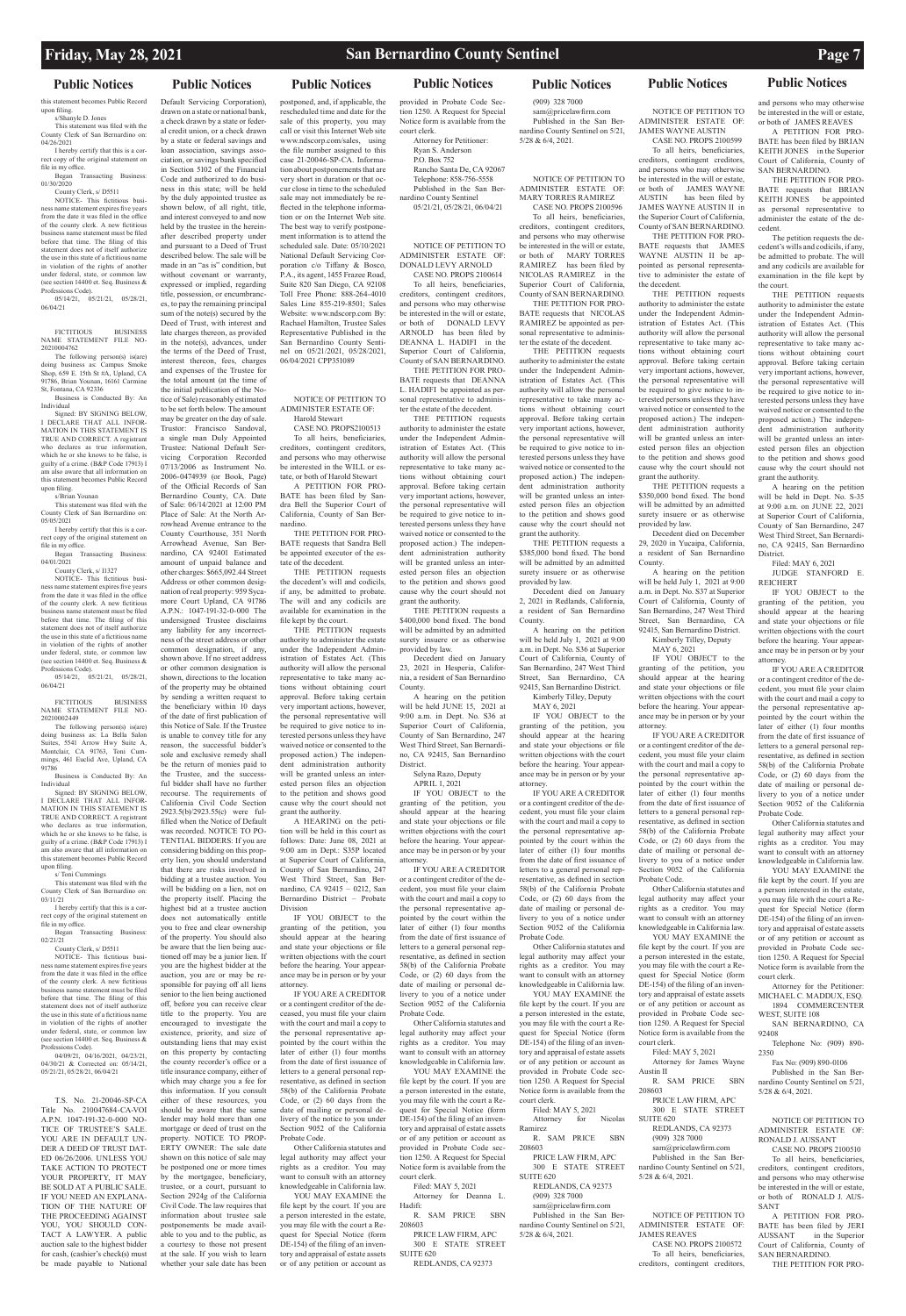**Public Notices Public Notices Public Notices Public Notices Public Notices Public Notices Public Notices**

this statement becomes Public Record upon filing. s/Shanyle D. Jones

This statement was filed with the County Clerk of San Bernardino on: 04/26/2021 I hereby certify that this is a cor-

rect copy of the original statement on file in my office. Began Transacting Business:

01/30/2020 County Clerk, s/ D5511

NOTICE- This fictitious business name statement expires five years from the date it was filed in the office of the county clerk. A new fictitious business name statement must be filed before that time. The filing of this statement does not of itself authorize the use in this state of a fictitious name in violation of the rights of another under federal, state, or common law (see section 14400 et. Seq. Business & Professions Code). 05/14/21, 05/21/21, 05/28/21,

06/04/21

FICTITIOUS BUSINESS NAME STATEMENT FILE NO-20210004762 The following person(s) is(are) doing business as: Campus Smoke Shop, 659 E. 15th St #A, Upland, CA

91786, Brian Younan, 16161 Carmine St, Fontana, CA 92336 Business is Conducted By: An

Individual Signed: BY SIGNING BELOW,

I DECLARE THAT ALL INFOR-MATION IN THIS STATEMENT IS TRUE AND CORRECT. A registrant who declares as true information. which he or she knows to be false, is guilty of a crime. (B&P Code 17913) I am also aware that all information on this statement becomes Public Record upon filing.

Signed: BY SIGNING BELOW, I DECLARE THAT ALL INFOR-MATION IN THIS STATEMENT IS TRUE AND CORRECT. A registrant who declares as true information which he or she knows to be false, is guilty of a crime. (B&P Code 17913) I am also aware that all information on this statement becomes Public Record upon filing.

s/Brian Younan

This statement was filed with the

County Clerk of San Bernardino on:  $05/05/2021$ I hereby certify that this is a cor-

rect copy of the original statement on file in my office.

Began Transacting Business: 04/01/2021

County Clerk, s/ I1327

NOTICE- This fictitious business name statement expires five years from the date it was filed in the office of the county clerk. A new fictitiou business name statement must be filed before that time. The filing of this statement does not of itself authorize the use in this state of a fictitious name in violation of the rights of another under federal, state, or common law (see section 14400 et. Seq. Business & Professions Code).

05/14/21, 05/21/21, 05/28/21, 06/04/21

FICTITIOUS BUSINESS NAME STATEMENT FILE NO-20210002449

The following person(s) is(are) doing business as: La Bella Salon Suites, 5541 Arrow Hwy Suite A, Montclair, CA 91763, Toni Cummings, 461 Euclid Ave, Upland, CA 91786

Business is Conducted By: An Individual

s/ Toni Cummings

This statement was filed with the County Clerk of San Bernardino on: 03/11/21

I hereby certify that this is a correct copy of the original statement on

file in my office. Began Transacting Business 02/21/21

County Clerk, s/ D5511

NOTICE- This fictitious business name statement expires five years from the date it was filed in the office of the county clerk. A new fictitious business name statement must be filed before that time. The filing of this statement does not of itself authorize the use in this state of a fictitious name in violation of the rights of another

under federal, state, or common law (see section 14400 et. Seq. Business & Professions Code). 04/09/21, 04/16/2021, 04/23/21,

04/30/21 & Corrected on: 05/14/21, 05/21/21, 05/28/21, 06/04/21

T.S. No. 21-20046-SP-CA Title No. 210047684-CA-VOI A.P.N. 1047-191-32-0-000 NO-TICE OF TRUSTEE'S SALE. YOU ARE IN DEFAULT UN-DER A DEED OF TRUST DAT-ED 06/26/2006. UNLESS YOU TAKE ACTION TO PROTECT YOUR PROPERTY, IT MAY BE SOLD AT A PUBLIC SALE. IF YOU NEED AN EXPLANA-TION OF THE NATURE OF THE PROCEEDING AGAINST YOU, YOU SHOULD CON-TACT A LAWYER. A public auction sale to the highest bidder for cash, (cashier's check(s) must be made payable to National and expenses of the Trustee for the total amount (at the time of the initial publication of the Notice of Sale) reasonably estimated to be set forth below. The amount may be greater on the day of sale. Trustor: Francisco Sandoval, a single man Duly Appointed Trustee: National Default Servicing Corporation Recorded 07/13/2006 as Instrument No. 2006-0474939 (or Book, Page) of the Official Records of San Bernardino County, CA. Date of Sale: 06/14/2021 at 12:00 PM Place of Sale: At the North Arrowhead Avenue entrance to the County Courthouse, 351 North Arrowhead Avenue, San Bernardino, CA 92401 Estimated amount of unpaid balance and other charges: \$665,092.44 Street Address or other common designation of real property: 959 Sycamore Court Upland, CA 91786 A.P.N.: 1047-191-32-0-000 The undersigned Trustee disclaims any liability for any incorrectness of the street address or other common designation, if any, shown above. If no street address or other common designation is shown, directions to the location of the property may be obtained by sending a written request to the beneficiary within 10 days of the date of first publication of this Notice of Sale. If the Trustee is unable to convey title for any reason, the successful bidder's sole and exclusive remedy shall be the return of monies paid to the Trustee, and the successful bidder shall have no further recourse. The requirements of California Civil Code Section 2923.5(b)/2923.55(c) were fulfilled when the Notice of Default was recorded. NOTICE TO PO-TENTIAL BIDDERS: If you are considering bidding on this property lien, you should understand that there are risks involved in bidding at a trustee auction. You will be bidding on a lien, not on the property itself. Placing the highest bid at a trustee auction does not automatically entitle you to free and clear ownership of the property. You should also be aware that the lien being auctioned off may be a junior lien. If you are the highest bidder at the auction, you are or may be responsible for paying off all liens senior to the lien being auctioned off, before you can receive clear title to the property. You are encouraged to investigate the

Default Servicing Corporation), drawn on a state or national bank, a check drawn by a state or federal credit union, or a check drawn by a state or federal savings and loan association, savings association, or savings bank specified in Section 5102 of the Financial Code and authorized to do business in this state; will be held by the duly appointed trustee as shown below, of all right, title, and interest conveyed to and now held by the trustee in the hereinafter described property under and pursuant to a Deed of Trust described below. The sale will be made in an "as is" condition, but without covenant or warranty, expressed or implied, regarding title, possession, or encumbrances, to pay the remaining principal sum of the note(s) secured by the Deed of Trust, with interest and late charges thereon, as provided in the note(s), advances, under the terms of the Deed of Trust, interest thereon, fees, charges postponed, and, if applicable, the rescheduled time and date for the sale of this property, you may call or visit this Internet Web site www.ndscorp.com/sales, using the file number assigned to this case 21-20046-SP-CA. Information about postponements that are very short in duration or that occur close in time to the scheduled sale may not immediately be reflected in the telephone information or on the Internet Web site. The best way to verify postponement information is to attend the scheduled sale. Date: 05/10/2021 National Default Servicing Corporation c/o Tiffany & Bosco, P.A., its agent, 1455 Frazee Road, Suite 820 San Diego, CA 92108 Toll Free Phone: 888-264-4010 Sales Line 855-219-8501; Sales Website: www.ndscorp.com By: Rachael Hamilton, Trustee Sales Representative Published in the San Bernardino County Sentinel on 05/21/2021, 05/28/2021, 06/04/2021 CPP351089

> legal authority may affect your rights as a creditor. You may want to consult with an attorney knowledgeable in California law. YOU MAY EXAMINE the

PRICE LAW FIRM, APC 300 E STATE STREET SUITE  $620$ 

existence, priority, and size of outstanding liens that may exist on this property by contacting the county recorder's office or a title insurance company, either of which may charge you a fee for this information. If you consult either of these resources, you should be aware that the same lender may hold more than one mortgage or deed of trust on the property. NOTICE TO PROP-ERTY OWNER: The sale date shown on this notice of sale may be postponed one or more times by the mortgagee, beneficiary, trustee, or a court, pursuant to Section 2924g of the California Civil Code. The law requires that information about trustee sale postponements be made available to you and to the public, as a courtesy to those not present at the sale. If you wish to learn whether your sale date has been

THE PETITION requests a \$385,000 bond fixed. The bond will be admitted by an admitted surety insuere or as otherwise provided by law.

YOU MAY EXAMINE the file kept by the court. If you are a person interested in the estate, you may file with the court a Re-

NOTICE OF PETITION TO ADMINISTER ESTATE OF: Harold Stewart

CASE NO. PROPS2100513 To all heirs, beneficiaries, creditors, contingent creditors, and persons who may otherwise be interested in the WILL or estate, or both of Harold Stewart A PETITION FOR PRO-BATE has been filed by San-

dra Bell the Superior Court of California, County of San Bernardino. THE PETITION FOR PRO-BATE requests that Sandra Bell be appointed executor of the es-

tate of the decedent. THE PETITION requests the decedent's will and codicils, if any, be admitted to probate. The will and any codicils are

available for examination in the file kept by the court. THE PETITION requests authority to administer the estate under the Independent Administration of Estates Act. (This authority will allow the personal representative to take many actions without obtaining court approval. Before taking certain very important actions, however, the personal representative will be required to give notice to interested persons unless they have waived notice or consented to the proposed action.) The indepen-

dent administration authority will be granted unless an interested person files an objection to the petition and shows good cause why the court should not grant the authority. A HEARING on the petition will be held in this court as

follows: Date: June 08, 2021 at 9:00 am in Dept.: S35P located at Superior Court of California, County of San Bernardino, 247 West Third Street, San Bernardino, CA 92415 – 0212, San Bernardino District – Probate

> YOU MAY EXAMINE the file kept by the court. If you are a person interested in the estate, you may file with the court a Request for Special Notice (form DE-154) of the filing of an inventory and appraisal of estate assets or of any petition or account as provided in Probate Code section 1250. A Request for Special

Filed: MAY 5, 2021 Attorney for James Wayne R. SAM PRICE SBN PRICE LAW FIRM, APC 2350 Fax No: (909) 890-0106 Published in the San Bernardino County Sentinel on 5/21,  $5/28.86/4.2021$ 

Division IF YOU OBJECT to the granting of the petition, you should appear at the hearing and state your objections or file written objections with the court before the hearing. Your appearance may be in person or by your attorney.

IF YOU ARE A CREDITOR or a contingent creditor of the deceased, you must file your claim with the court and mail a copy to

the personal representative appointed by the court within the later of either (1) four months from the date of first issuance of letters to a general personal representative, as defined in section 58(b) of the California Probate Code, or (2) 60 days from the date of mailing or personal delivery of the notice to you under Section 9052 of the California Probate Code. Other California statutes and legal authority may affect your rights as a creditor. You may want to consult with an attorney knowledgeable in California law. YOU MAY EXAMINE the file kept by the court. If you are a person interested in the estate, you may file with the court a Request for Special Notice (form DE-154) of the filing of an inventory and appraisal of estate assets or of any petition or account as

A hearing on the petition will be held in Dept. No. S-35 at 9:00 a.m. on JUNE 22, 2021 at Superior Court of California, County of San Bernardino, 247 West Third Street, San Bernardino, CA 92415, San Bernardino **District** 

provided in Probate Code Section 1250. A Request for Special Notice form is available from the court clerk.

Attorney for Petitioner: Ryan S. Anderson  $PO$ . Box 752 Rancho Santa De, CA 92067 Telephone: 858-756-5558 Published in the San Bernardino County Sentinel

05/21/21, 05/28/21, 06/04/21

NOTICE OF PETITION TO ADMINISTER ESTATE OF: DONALD LEVY ARNOLD CASE NO. PROPS 2100614

To all heirs, beneficiaries, creditors, contingent creditors, and persons who may otherwise be interested in the will or estate, or both of DONALD LEVY ARNOLD has been filed by DEANNA L. HADIFI in the Superior Court of California County of SAN BERNARDINO.

> SAN BERNARDINO, Telephone No: (909) 890-

THE PETITION FOR PRO-BATE requests that DEANNA L. HADIFI be appointed as personal representative to administer the estate of the decedent. THE PETITION requests

authority to administer the estate under the Independent Administration of Estates Act. (This authority will allow the personal representative to take many actions without obtaining court approval. Before taking certain very important actions, however, the personal representative will be required to give notice to interested persons unless they have waived notice or consented to the proposed action.) The independent administration authority will be granted unless an interested person files an objection to the petition and shows good cause why the court should not grant the authority.

THE PETITION requests a \$400,000 bond fixed. The bond will be admitted by an admitted surety insuere or as otherwise provided by law.

Decedent died on January 23, 2021 in Hesperia, California, a resident of San Bernardino County.

A hearing on the petition will be held JUNE 15, 2021 at 9:00 a.m. in Dept. No. S36 at Superior Court of California, County of San Bernardino, 247 West Third Street, San Bernardino, CA 92415, San Bernardino District.

Selyna Razo, Deputy APRIL 1, 2021

IF YOU OBJECT to the granting of the petition, you should appear at the hearing and state your objections or file written objections with the court before the hearing. Your appearance may be in person or by your attorney.

IF YOU ARE A CREDITOR or a contingent creditor of the decedent, you must file your claim with the court and mail a copy to the personal representative appointed by the court within the later of either (1) four months from the date of first issuance of letters to a general personal representative, as defined in section 58(b) of the California Probate Code, or (2) 60 days from the date of mailing or personal delivery to you of a notice under Section 9052 of the California Probate Code.

Other California statutes and

208603

REDLANDS, CA 92373

(909) 328 7000 sam@pricelawfirm.com Published in the San Bernardino County Sentinel on 5/21, 5/28 & 6/4, 2021.

NOTICE OF PETITION TO ADMINISTER ESTATE OF: MARY TORRES RAMIREZ CASE NO. PROPS 2100596

To all heirs, beneficiaries, creditors, contingent creditors, and persons who may otherwise be interested in the will or estate, or both of MARY TORRES RAMIREZ has been filed by NICOLAS RAMIREZ in the Superior Court of California, County of SAN BERNARDINO.

THE PETITION FOR PRO-BATE requests that NICOLAS RAMIREZ be appointed as personal representative to administer the estate of the decedent.

THE PETITION requests authority to administer the estate under the Independent Administration of Estates Act. (This authority will allow the personal representative to take many actions without obtaining court approval. Before taking certain very important actions, however, the personal representative will be required to give notice to interested persons unless they have waived notice or consented to the proposed action.) The independent administration authority will be granted unless an interested person files an objection to the petition and shows good cause why the court should not grant the authority.

file kept by the court. If you are a person interested in the estate, you may file with the court a Re-<sub>quest</sub> for Special Notice (form DE-154) of the filing of an inventory and appraisal of estate assets or of any petition or account as provided in Probate Code section 1250. A Request for Special Notice form is available from the court clerk. Filed: MAY 5, 2021 Attorney for Deanna L. Hadifi: R. SAM PRICE SBN Ramirez 208603

Decedent died on January 2, 2021 in Redlands, California, a resident of San Bernardino County.

A hearing on the petition will be held July 1, 2021 at 9:00 a.m. in Dept. No. S36 at Superior Court of California, County of San Bernardino, 247 West Third Street, San Bernardino, CA 92415, San Bernardino District. Kimberly Tilley, Deputy

MAY 6, 2021

IF YOU OBJECT to the granting of the petition, you should appear at the hearing and state your objections or file written objections with the court before the hearing. Your appearance may be in person or by your attorney.

IF YOU ARE A CREDITOR or a contingent creditor of the decedent, you must file your claim with the court and mail a copy to the personal representative appointed by the court within the later of either (1) four months from the date of first issuance of letters to a general personal representative, as defined in section 58(b) of the California Probate Code, or (2) 60 days from the date of mailing or personal delivery to you of a notice under Section 9052 of the California Probate Code.

Other California statutes and legal authority may affect your rights as a creditor. You may want to consult with an attorney knowledgeable in California law.

quest for Special Notice (form DE-154) of the filing of an inventory and appraisal of estate assets or of any petition or account as provided in Probate Code section 1250. A Request for Special Notice form is available from the court clerk. Filed: MAY 5, 2021

NOTICE OF PETITION TO ADMINISTER ESTATE OF: JAMES WAYNE AUSTIN CASE NO. PROPS 2100599

To all heirs, beneficiaries, creditors, contingent creditors, and persons who may otherwise be interested in the will or estate, or both of JAMES WAYNE AUSTIN has been filed by JAMES WAYNE AUSTIN II in the Superior Court of California, County of SAN BERNARDINO. THE PETITION FOR PRO-BATE requests that JAMES WAYNE AUSTIN II be appointed as personal representa-

tive to administer the estate of the decedent. THE PETITION requests authority to administer the estate under the Independent Administration of Estates Act. (This authority will allow the personal representative to take many actions without obtaining court approval. Before taking certain very important actions, however, the personal representative will be required to give notice to interested persons unless they have waived notice or consented to the proposed action.) The independent administration authority will be granted unless an interested person files an objection to the petition and shows good cause why the court should not grant the authority.

THE PETITION requests a \$350,000 bond fixed. The bond will be admitted by an admitted surety insuere or as otherwise provided by law.

Decedent died on December 29, 2020 in Yucaipa, California, a resident of San Bernardino

Attorney for Nicolas R. SAM PRICE SBN PRICE LAW FIRM, APC 300 E STATE STREET SUITE 620 REDLANDS, CA 92373 (909) 328 7000 SUITE 620 nardino County Sentinel on 5/21, 5/28 & 6/4, 2021.

County. A hearing on the petition will be held July 1, 2021 at 9:00 a.m. in Dept. No. S37 at Superior Court of California, County of San Bernardino, 247 West Third Street, San Bernardino, CA

sam@pricelawfirm.com Published in the San Bernardino County Sentinel on 5/21, 5/28 & 6/4, 2021. ADMINISTER ESTATE OF: JAMES REAVES

92415, San Bernardino District. Kimberly Tilley, Deputy

MAY 6, 2021

IF YOU OBJECT to the granting of the petition, you should appear at the hearing and state your objections or file written objections with the court before the hearing. Your appearance may be in person or by your attorney.

IF YOU ARE A CREDITOR or a contingent creditor of the decedent, you must file your claim with the court and mail a copy to the personal representative appointed by the court within the later of either (1) four months from the date of first issuance of letters to a general personal representative, as defined in section 58(b) of the California Probate Code, or (2) 60 days from the date of mailing or personal delivery to you of a notice under Section 9052 of the California

Probate Code. Other California statutes and legal authority may affect your rights as a creditor. You may want to consult with an attorney knowledgeable in California law.

Austin II

208603

300 E STATE STREET

REDLANDS, CA 92373 (909) 328 7000 sam@pricelawfirm.com Published in the San Ber-

NOTICE OF PETITION TO

CASE NO. PROPS 2100572 To all heirs, beneficiaries, creditors, contingent creditors,

and persons who may otherwise be interested in the will or estate, or both of JAMES REAVES

A PETITION FOR PRO-BATE has been filed by BRIAN KEITH JONES in the Superior Court of California, County of SAN BERNARDINO.

THE PETITION FOR PRO-BATE requests that BRIAN KEITH JONES be appointed as personal representative to administer the estate of the decedent.

The petition requests the decedent's wills and codicils, if any, be admitted to probate. The will and any codicils are available for examination in the file kept by the court.

THE PETITION requests authority to administer the estate under the Independent Administration of Estates Act. (This authority will allow the personal representative to take many actions without obtaining court approval. Before taking certain very important actions, however, the personal representative will be required to give notice to interested persons unless they have waived notice or consented to the proposed action.) The independent administration authority will be granted unless an interested person files an objection to the petition and shows good cause why the court should not grant the authority.

Notice form is available from the court clerk. 92408

Filed: MAY 6, 2021 JUDGE STANFORD E. REICHERT

IF YOU OBJECT to the granting of the petition, you should appear at the hearing and state your objections or file written objections with the court before the hearing. Your appearance may be in person or by your attorney.

IF YOU ARE A CREDITOR or a contingent creditor of the decedent, you must file your claim with the court and mail a copy to the personal representative appointed by the court within the later of either (1) four months from the date of first issuance of letters to a general personal representative, as defined in section 58(b) of the California Probate Code, or (2) 60 days from the date of mailing or personal delivery to you of a notice under Section 9052 of the California Probate Code.

Other California statutes and legal authority may affect your rights as a creditor. You may want to consult with an attorney knowledgeable in California law.

YOU MAY EXAMINE the file kept by the court. If you are a person interested in the estate, you may file with the court a Request for Special Notice (form DE-154) of the filing of an inventory and appraisal of estate assets or of any petition or account as provided in Probate Code section 1250. A Request for Special Notice form is available from the court clerk.

Attorney for the Petitioner: MICHAEL C. MADDUX, ESQ. 1894 COMMERCENTER WEST, SUITE 108

NOTICE OF PETITION TO ADMINISTER ESTATE OF: RONALD J. AUSSANT

CASE NO. PROPS 2100510 To all heirs, beneficiaries, creditors, contingent creditors, and persons who may otherwise be interested in the will or estate, or both of RONALD J. AUS-SANT

A PETITION FOR PRO-BATE has been filed by JERI AUSSANT in the Superior Court of California, County of SAN BERNARDINO.

THE PETITION FOR PRO-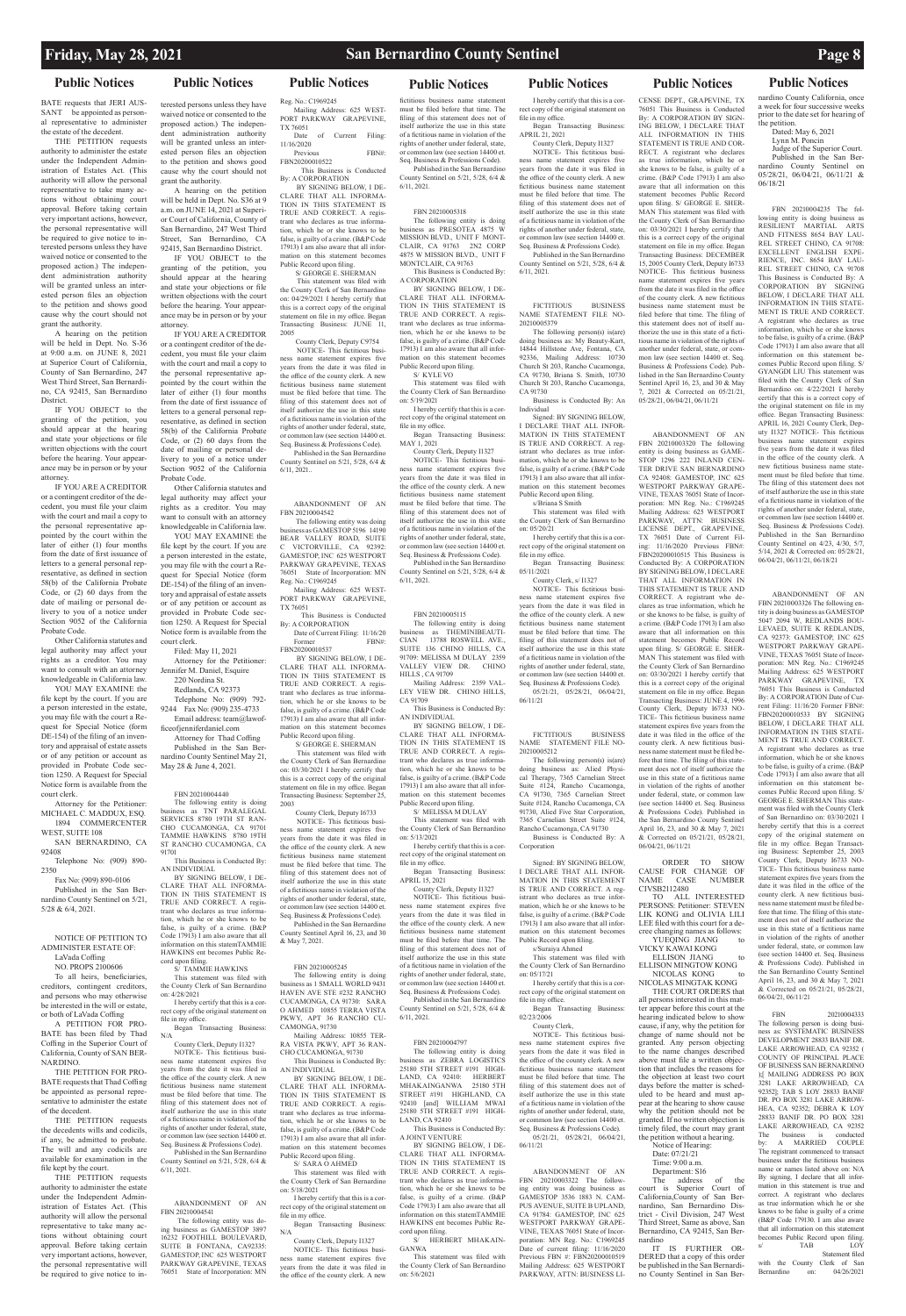BATE requests that JERI AUS-SANT be appointed as personal representative to administer the estate of the decedent.

THE PETITION requests authority to administer the estate under the Independent Administration of Estates Act. (This authority will allow the personal representative to take many actions without obtaining court approval. Before taking certain very important actions, however, the personal representative will be required to give notice to interested persons unless they have waived notice or consented to the proposed action.) The independent administration authority will be granted unless an interested person files an objection to the petition and shows good cause why the court should not grant the authority.

A hearing on the petition will be held in Dept. No. S-36 at 9:00 a.m. on JUNE 8, 2021 at Superior Court of California, County of San Bernardino, 247 West Third Street, San Bernardino, CA 92415, San Bernardino District.

IF YOU OBJECT to the granting of the petition, you should appear at the hearing and state your objections or file written objections with the court before the hearing. Your appearance may be in person or by your attorney.

or both of LaVada Coffing A PETITION FOR PRO-

IF YOU ARE A CREDITOR or a contingent creditor of the decedent, you must file your claim with the court and mail a copy to the personal representative appointed by the court within the later of either (1) four months from the date of first issuance of letters to a general personal representative, as defined in section 58(b) of the California Probate Code, or (2) 60 days from the date of mailing or personal delivery to you of a notice under Section 9052 of the California Probate Code.

THE PETITION requests the decedents wills and codicils, if any, be admitted to probate. The will and any codicils are available for examination in the file kept by the court.

THE PETITION requests authority to administer the estate under the Independent Administration of Estates Act. (This authority will allow the personal representative to take many actions without obtaining court approval. Before taking certain very important actions, however, the personal representative will be required to give notice to in-

Other California statutes and legal authority may affect your rights as a creditor. You may want to consult with an attorney knowledgeable in California law. YOU MAY EXAMINE the

file kept by the court. If you are a person interested in the estate, you may file with the court a Request for Special Notice (form DE-154) of the filing of an inventory and appraisal of estate assets or of any petition or account as provided in Probate Code section 1250. A Request for Special Notice form is available from the court clerk.

Attorney for the Petitioner: MICHAEL C. MADDUX, ESQ. 1894 COMMERCENTER WEST, SUITE 108

SAN BERNARDINO, CA 92408

Telephone No: (909) 890- 2350

Fax No: (909) 890-0106 Published in the San Bernardino County Sentinel on 5/21,

5/28 & 6/4, 2021.

NOTICE OF PETITION TO ADMINISTER ESTATE OF: LaVada Coffing

NO. PROPS 2100606 To all heirs, beneficiaries,

creditors, contingent creditors, and persons who may otherwise be interested in the will or estate,

BATE has been filed by Thad Coffing in the Superior Court of California, County of SAN BER-NARDINO.

THE PETITION FOR PRO-BATE requests that Thad Coffing be appointed as personal representative to administer the estate of the decedent.

Began Transacting N/A

> the office of the county clerk. A new fictitious business name statement must be filed before that time. The filing of this statement does not of itself authorize the use in this state of a fictitious name in violation of the rights of another under federal, state, or common law (see section 14400 et. Seq. Business & Professions Code). Published in the San Bernardino County Sentinel on 5/21, 5/28, 6/4 &  $6/11, 2021$

 The following entity was doing business as GAMESTOP 3897 16232 FOOTHILL BOULEVARD, SUITE B FONTANA, CA92335

## **Public Notices Public Notices Public Notices Public Notices Public Notices Public Notices Public Notices**

GAMESTOP, INC 625 WESTPORT PARKWAY GRAPEVINE, TEXAS 76051 State of Incorporation: MN

Previous FBN#: FBN20200010522 This Business is Conducted

terested persons unless they have waived notice or consented to the proposed action.) The independent administration authority will be granted unless an interested person files an objection to the petition and shows good cause why the court should not

grant the authority.

A hearing on the petition will be held in Dept. No. S36 at 9 a.m. on JUNE 14, 2021 at Superior Court of California, County of San Bernardino, 247 West Third Street, San Bernardino, CA 92415, San Bernardino District. IF YOU OBJECT to the granting of the petition, you should appear at the hearing and state your objections or file written objections with the court before the hearing. Your appearance may be in person or by your

attorney.

IF YOU ARE A CREDITOR or a contingent creditor of the de-

the personal representative appointed by the court within the

date of mailing or personal delivery to you of a notice under Section 9052 of the California

Probate Code.

Other California statutes and legal authority may affect your rights as a creditor. You may want to consult with an attorney knowledgeable in California law. YOU MAY EXAMINE the file kept by the court. If you are a person interested in the estate, you may file with the court a Request for Special Notice (form DE-154) of the filing of an inventory and appraisal of estate assets or of any petition or account as provided in Probate Code section 1250. A Request for Special Notice form is available from the

> BY SIGNING BELOW, I DE-CLARE THAT ALL INFORMA-TION IN THIS STATEMENT IS TRUE AND CORRECT. A registrant who declares as true information, which he or she knows to be false, is guilty of a crime. (B&P Code 17913) I am also aware that all information on this statement becomes Public Record upon filing.

court clerk.

Filed: May 11, 2021 Attorney for the Petitioner: Jennifer M. Daniel, Esquire 220 Nordina St. Redlands, CA 92373 Telephone No: (909) 792- 9244 Fax No: (909) 235-4733 Email address: team@lawofficeofjenniferdaniel.com Attorney for Thad Coffing Published in the San Ber-

May 28 & June 4, 2021.

FBN 20210004440 The following entity is doing A CORPORATION BY SIGNING BELOW, I DE-

91701

AN INDIVIDUAL

Code 17913) I am also aware that all information on this statemTAMMIE HAWKINS ent becomes Public Record upon filing. S/ TAMMIE HAWKINS This statement was filed with the County Clerk of San Bernardino

on: 4/28/2021

I hereby certify that this is a correct copy of the original statement on

cedent, you must file your claim with the court and mail a copy to later of either (1) four months from the date of first issuance of letters to a general personal representative, as defined in section 58(b) of the California Probate Code, or (2) 60 days from the 2005 County Clerk, Deputy C9754 NOTICE- This fictitious business name statement expires five years from the date it was filed in the office of the county clerk. A new fictitious business name statement must be filed before that time. The filing of this statement does not of itself authorize the use in this state of a fictitious name in violation of the rights of another under federal, state, or common law (see section 14400 et.

file in my office.

County Clerk, Deputy I1327 NOTICE- This fictitious business name statement expires five years from the date it was filed in

I hereby certify that this is a correct copy of the original statement on file in my office.

ABANDONMENT OF AN FBN 20210004541

Published in the San Bernardino County Sentinel on 5/21, 5/28, 6/4 &  $6/11, 2021$ 

Reg. No.: C1969245 Mailing Address: 625 WEST-PORT PARKWAY GRAPEVINE, TX 76051 Date of Current Filing: 11/16/2020

By: A CORPORATION BY SIGNING BELOW, I DE-CLARE THAT ALL INFORMA-TION IN THIS STATEMENT IS TRUE AND CORRECT. A registrant who declares as true information, which he or she knows to be false, is guilty of a crime. (B&P Code

nardino County Sentinel May 21, the County Clerk of San Bernardino on: 03/30/2021 I hereby certify that this is a correct copy of the original statement on file in my office. Began

17913) I am also aware that all infor-

business as TNT PARALEGAL SERVICES 8780 19TH ST RAN-CHO CUCAMONGA, CA 91701 TAMMIE HAWKINS 8780 19TH ST RANCHO CUCAMONGA, CA This Business is Conducted By: BY SIGNING BELOW, I DE-CLARE THAT ALL INFORMA-TION IN THIS STATEMENT IS TRUE AND CORRECT. A regis- NOTICE- This fictitious business name statement expires five years from the date it was filed in the office of the county clerk. A new fictitious business name statement must be filed before that time. The filing of this statement does not of itself authorize the use in this state of a fictitious name in violation of the rights of another under federal, state,

mation on this statement becomes Public Record upon filing. S/ GEORGE E. SHERMAN This statement was filed with the County Clerk of San Bernardino on: 04/29/2021 I hereby certify that this is a correct copy of the original statement on file in my office. Began Transacting Business: JUNE 11,

trant who declares as true informa-tion, which he or she knows to be false, is guilty of a crime. (B&P or common law (see section 14400 et. Seq. Business & Professions Code). Published in the San Bernardino County Sentinel April 16, 23, and 30 & May 7, 2021.

Began Transacting Business:  $05/11/2021$ 

Seq. Business & Professions Code). Published in the San Bernardino County Sentinel on 5/21, 5/28, 6/4 & 6/11, 2021..

ABANDONMENT OF AN

FBN 20210004542 The following entity was doing business as GAMESTOP 5196 14190 BEAR VALLEY ROAD, SUITE C VICTORVILLE CA 92392-GAMESTOP, INC 625 WESTPORT PARKWAY GRAPEVINE, TEXAS

> Signed: BY SIGNING BELOW I DECLARE THAT ALL INFOR-

76051 State of Incorporation: MN Reg. No.: C1969245 Mailing Address: 625 WEST-PORT PARKWAY GRAPEVINE,

> This statement was filed with the County Clerk of San Bernardino on: 05/17/21

TX 76051 This Business is Conducted By: A CORPORATION

Date of Current Filing: 11/16/20 Former FBN#: FBN20200010537 BY SIGNING BELOW, I DE-

CLARE THAT ALL INFORMA-TION IN THIS STATEMENT IS TRUE AND CORRECT. A registrant who declares as true information, which he or she knows to be false, is guilty of a crime. (B&P Code

17913) I am also aware that all information on this statement becomes Public Record upon filing. S/ GEORGE E. SHERMAN This statement was filed with

Transacting Business: September 25, 2003 County Clerk, Deputy I6733

the County Clerk of San Bernardino on: 03/30/2021 I hereby certify that this is a correct copy of the original statement on file in my office. Began Transacting Business: DECEMBER 15, 2005 County Clerk, Deputy I6733 NOTICE- This fictitious business name statement expires five years from the date it was filed in the office of the county clerk. A new fictitious business name statement must be filed before that time. The filing of this statement does not of itself authorize the use in this state of a fictitious name in violation of the rights of another under federal, state, or common law (see section 14400 et. Seq. Business & Professions Code). Published in the San Bernardino County Sentinel April 16, 23, and 30 & May 2021 & Corrected on 05/21/21.

FBN 20210005245

The following entity is doing business as 1 SMALL WORLD 9431 HAVEN AVE STE #232 RANCHO CUCAMONGA, CA 91730: SARA O AHMED 10855 TERRA VISTA PKWY, APT 36 RANCHO CU-

CAMONGA, 91730 Mailing Address: 10855 TER-

RA VISTA PKWY, APT 36 RAN-CHO CUCAMONGA, 91730 This Business is Conducted By: AN INDIVIDUAL

S/ SARA O AHMED This statement was filed with the County Clerk of San Bernardino on: 5/18/2021

TO ALL INTERESTED PERSONS: Petitioner: STEVEN LIK KONG and OLIVIA LILI LEE filed with this court for a decree changing names as follows:<br>YUEQING JIANG to

I hereby certify that this is a correct copy of the original statement on file in my office. Began Transacting Business:

VICKY KAWAI KONG ELLISON JIANG to

ELLISON MINGTOW KONG<br>NICOLAS KONG to NICOLAS KONG

N/A

County Clerk, Deputy I1327 NOTICE- This fictitious business name statement expires five years from the date it was filed in the office of the county clerk. A new

fictitious business name statement must be filed before that time. The filing of this statement does not of itself authorize the use in this state of a fictitious name in violation of the rights of another under federal, state or common law (see section 14400 et. Seq. Business & Professions Code). Published in the San Bernardino County Sentinel on 5/21, 5/28, 6/4 &

6/11, 2021.

FBN 20210005318

The following entity is doing business as PRESOTEA 4875 W MISSION BLVD., UNIT F MONT-CLAIR, CA 91763 2N2 CORP 4875 W MISSION BLVD., UNIT F MONTCLAIR, CA 91763 This Business is Conducted By:

CLARE THAT ALL INFORMA-TION IN THIS STATEMENT IS TRUE AND CORRECT. A registrant who declares as true information, which he or she knows to be false, is guilty of a crime. (B&P Code 17913) I am also aware that all information on this statement becomes Public Record upon filing. S/ KYLE VO

This statement was filed with the County Clerk of San Bernardino on: 5/19/2021

I hereby certify that this is a correct copy of the original statement on file in my office.

Began Transacting Business: MAY 1, 2021 County Clerk, Deputy I1327

NOTICE- This fictitious business name statement expires five years from the date it was filed in the office of the county clerk. A new fictitious business name statement must be filed before that time. The filing of this statement does not of itself authorize the use in this state of a fictitious name in violation of the rights of another under federal, state or common law (see section 14400 et. Seq. Business & Professions Code).

Published in the San Bernardino County Sentinel on 5/21, 5/28, 6/4 & 6/11, 2021.

### FBN 20210005115

The following entity is doing business as THEMINIBEAUTI-CIAN 13788 ROSWELL AVE. SUITE 136 CHINO HILLS, CA 91709: MELISSA M DULAY 2359 VALLEY VIEW DR. CHINO HILLS , CA 91709

Mailing Address: 2359 VAL-LEY VIEW DR. CHINO HILLS, CA 91709 This Business is Conducted By:

AN INDIVIDUAL

BY SIGNING BELOW, I DE-CLARE THAT ALL INFORMA-TION IN THIS STATEMENT IS TRUE AND CORRECT. A registrant who declares as true information, which he or she knows to be false, is guilty of a crime. (B&P Code 17913) I am also aware that all information on this statement becomes Public Record upon filing.

S/ MELISSA M DULAY This statement was filed with the County Clerk of San Bernardino on: 5/13/2021

Began Transacting Business: APRIL 15, 2021

County Clerk, Deputy I1327 NOTICE- This fictitious business name statement expires five years from the date it was filed in the office of the county clerk. A new fictitious business name statement must be filed before that time. The filing of this statement does not of itself authorize the use in this state of a fictitious name in violation of the rights of another under federal, state, or common law (see section 14400 et. Seq. Business & Professions Code).

FBN 20210004797

The following entity is doing business as ZEBRA LOGISTICS 25180 5TH STREET #191 HIGH-LAND, CA 92410: HERBERT MHAKAINGANWA 25180 5TH STREET #191 HIGHLAND, CA 92410 [and] WILLIAM MWAI 25180 5TH STREET #191 HIGH-LAND, CA 92410

This Business is Conducted By: A JOINT VENTURE

BY SIGNING BELOW, I DE-CLARE THAT ALL INFORMA-TION IN THIS STATEMENT IS TRUE AND CORRECT. A registrant who declares as true information, which he or she knows to be false, is guilty of a crime. (B&P Code 17913) I am also aware that all information on this statemTAMMIE HAWKINS ent becomes Public Record upon filing. HERBERT MHAKAIN-

GANWA

This statement was filed with the County Clerk of San Bernardino on: 5/6/2021

I hereby certify that this is a correct copy of the original statement on file in my office. Began Transacting Business:

APRIL 21, 2021 County Clerk, Deputy I1327

NOTICE- This fictitious business name statement expires five years from the date it was filed in the office of the county clerk. A new fictitious business name statement must be filed before that time. The filing of this statement does not of itself authorize the use in this state of a fictitious name in violation of the rights of another under federal, state, or common law (see section 14400 et. Seq. Business & Professions Code). Published in the San Bernardino County Sentinel on 5/21, 5/28, 6/4 & 6/11, 2021.

FICTITIOUS BUSINESS NAME STATEMENT FILE NO-20210005379

The following person(s) is(are) doing business as: My Beauty-Kart, 14844 Hillstone Ave, Fontana, CA 92336, Mailing Address: 10730 Church St 203, Rancho Cucamonga, CA 91730, Briana S. Smith, 10730 Church St 203, Rancho Cucamonga, CA 91730

Business is Conducted By: An Individual

Signed: BY SIGNING BELOW, I DECLARE THAT ALL INFOR-MATION IN THIS STATEMENT IS TRUE AND CORRECT. A registrant who declares as true information, which he or she knows to be false, is guilty of a crime. (B&P Code 17913) I am also aware that all information on this statement becomes Public Record upon filing. s/Briana S Smith

This statement was filed with the County Clerk of San Bernardino on: 05/20/21

I hereby certify that this is a correct copy of the original statement on file in my office.

> County Clerk, s/ I1327 NOTICE- This fictitious busi-

ness name statement expires five years from the date it was filed in the office of the county clerk. A new fictitious business name statement must be filed before that time. The filing of this statement does not of itself authorize the use in this state of a fictitious name in violation of the rights of another under federal, state, or common law (see section 14400 et. Seq. Business & Professions Code). 05/21/21, 05/28/21, 06/04/21, 06/11/21

FICTITIOUS BUSINESS NAME STATEMENT FILE NO-20210005212

The following person(s) is(are) doing business as: Alied Physical Therapy, 7365 Carnelian Street Suite #124, Rancho Cucamonga, CA 91730, 7365 Carnelian Street Suite #124, Rancho Cucamonga, CA 91730, Alied Five Star Corporation 7365 Carnelian Street Suite #124, Rancho Cucamonga, CA 91730 Business is Conducted By: A Corporation

MATION IN THIS STATEMENT IS TRUE AND CORRECT. A registrant who declares as true information, which he or she knows to be false, is guilty of a crime. (B&P Code 17913) I am also aware that all information on this statement becomes Public Record upon filing.

s/Suraiya Ahmed

I hereby certify that this is a correct copy of the original statement on file in my office. Began Transacting Business:

02/23/2006

County Clerk, NOTICE- This fictitious business name statement expires five years from the date it was filed in the office of the county clerk. A new fictitious business name statement must be filed before that time. The filing of this statement does not of itself authorize the use in this state of a fictitious name in violation of the rights of another under federal, state, or common law (see section 14400 et. Seq. Business & Professions Code). 05/21/21, 05/28/21, 06/04/21, 06/11/21

ABANDONMENT OF AN FBN 20210003322 The following entity was doing business as GAMESTOP 3536 1883 N. CAM-PUS AVENUE, SUITE B UPLAND CA 91784: GAMESTOP, INC 625 WESTPORT PARKWAY GRAPE-VINE, TEXAS 76051 State of Incorporation: MN Reg. No.: C1969245 Date of current filing: 11/16/2020 Previous FBN #: FBN20200010519 Mailing Address: 625 WESTPORT PARKWAY, ATTN: BUSINESS LI-

CENSE DEPT., GRAPEVINE, TX 76051 This Business is Conducted By: A CORPORATION BY SIGN-ING BELOW, I DECLARE THAT ALL INFORMATION IN THIS STATEMENT IS TRUE AND COR-RECT. A registrant who declares as true information, which he or she knows to be false, is guilty of a crime. (B&P Code 17913) I am also aware that all information on this

statement becomes Public Record upon filing. S/ GEORGE E. SHER-MAN This statement was filed with

05/28/21, 06/04/21, 06/11/21

ABANDONMENT OF AN FBN 20210003320 The following entity is doing business as GAME-STOP 1296 222 INLAND CEN-TER DRIVE SAN BERNARDINO CA 92408: GAMESTOP, INC 625 WESTPORT PARKWAY GRAPE-VINE, TEXAS 76051 State of Incorporation: MN Reg. No.: C1969245 Mailing Address: 625 WESTPORT PARKWAY, ATTN: BUSINESS LICENSE DEPT., GRAPEVINE, TX 76051 Date of Current Fil-ing: 11/16/2020 Previous FBN#: FBN20200010515 This Business is Conducted By: A CORPORATION BY SIGNING BELOW, I DECLARE THAT ALL INFORMATION IN THIS STATEMENT IS TRUE AND CORRECT. A registrant who declares as true information, which he or she knows to be false, is guilty of a crime. (B&P Code 17913) I am also aware that all information on this statement becomes Public Record upon filing. S/ GEORGE E. SHER-MAN This statement was filed with the County Clerk of San Bernardino on: 03/30/2021 I hereby certify that this is a correct copy of the original statement on file in my office. Began Transacting Business: JUNE 4, 1996 County Clerk, Deputy I6733 NO-TICE- This fictitious business name statement expires five years from the date it was filed in the office of the county clerk. A new fictitious business name statement must be filed before that time. The filing of this statement does not of itself authorize the use in this state of a fictitious name in violation of the rights of another under federal, state, or common law (see section 14400 et. Seq. Business & Professions Code). Published in

the San Bernardino County Sentinel April 16, 23, and 30 & May 7, 2021 & Corrected on 05/21/21, 05/28/21,

06/04/21, 06/11/21

ORDER TO SHOW CAUSE FOR CHANGE OF NAME CASE NUMBER CIVSB2112480

NICOLAS MINGTAK KONG THE COURT ORDERS that all persons interested in this matter appear before this court at the hearing indicated below to show cause, if any, why the petition for change of name should not be granted. Any person objecting to the name changes described above must file a written objection that includes the reasons for the objection at least two court days before the matter is scheduled to be heard and must appear at the hearing to show cause why the petition should not be granted. If no written objection is timely filed, the court may grant the petition without a hearing. Notice of Hearing: Date: 07/21/21 Time: 9:00 a.m. Department: S16 The address of the court is Superior Court of California,County of San Bernardino, San Bernardino District - Civil Division, 247 West Third Street, Same as above, San Bernardino, CA 92415, San Bernardino IT IS FURTHER OR-DERED that a copy of this order be published in the San Bernardino County Sentinel in San Ber-

nardino County California, once a week for four successive weeks prior to the date set for hearing of the petition. Dated: May 6, 2021 Lynn M. Poncin Judge of the Superior Court. Published in the San Bernardino County Sentinel on 05/28/21, 06/04/21, 06/11/21 &

06/18/21

FBN 20210004235 The following entity is doing business as RESILIENT MARTIAL ARTS AND FITNESS 8654 BAY LAU-REL STREET CHINO, CA 91708: EXCELLENT ENGLISH EXPE-RIENCE, INC. 8654 BAY LAU-REL STREET CHINO, CA 91708 This Business is Conducted By: A CORPORATION BY SIGNING BELOW, I DECLARE THAT ALL INFORMATION IN THIS STATE-MENT IS TRUE AND CORRECT. A registrant who declares as true information, which he or she knows to be false, is guilty of a crime. (B&P Code 17913) I am also aware that all information on this statement becomes Public Record upon filing. S/ GYANGDI LIU This statement was filed with the County Clerk of San Bernardino on: 4/22/2021 I hereby certify that this is a correct copy of the original statement on file in my office. Began Transacting Business: APRIL 16, 2021 County Clerk, Deputy I1327 NOTICE- This fictitious business name statement expires five years from the date it was filed in the office of the county clerk. A new fictitious business name statement must be filed before that time. The filing of this statement does not of itself authorize the use in this state of a fictitious name in violation of the rights of another under federal, state, or common law (see section 14400 et. Seq. Business & Professions Code). Published in the San Bernardino County Sentinel on 4/23, 4/30, 5/7 5/14, 2021 & Corrected on: 05/28/21, 06/04/21, 06/11/21, 06/18/21

ABANDONMENT OF AN FBN 20210003326 The following entity is doing business as GAMESTOP 5047 2094 W, REDLANDS BOU-LEVAED, SUITE K REDLANDS, CA 92373: GAMESTOP, INC 625 WESTPORT PARKWAY GRAPE-VINE, TEXAS 76051 State of Incorporation: MN Reg. No.: C1969245 Mailing Address: 625 WESTPORT PARKWAY GRAPEVINE, TX 76051 This Business is Conducted By: A CORPORATION Date of Current Filing: 11/16/20 Former FBN#: FBN20200010533 BY SIGNING BELOW, I DECLARE THAT ALL INFORMATION IN THIS STATE-MENT IS TRUE AND CORRECT. A registrant who declares as true information, which he or she knows to be false, is guilty of a crime. (B&P Code 17913) I am also aware that all information on this statement becomes Public Record upon filing. S/ GEORGE E. SHERMAN This statement was filed with the County Clerk of San Bernardino on: 03/30/2021 I hereby certify that this is a correct copy of the original statement on file in my office. Began Transacting Business: September 25, 2003 County Clerk, Deputy I6733 NO-TICE- This fictitious business name statement expires five years from the date it was filed in the office of the county clerk. A new fictitious business name statement must be filed be-

fore that time. The filing of this statement does not of itself authorize the use in this state of a fictitious name in violation of the rights of another under federal, state, or common law (see section 14400 et. Seq. Business & Professions Code). Published in the San Bernardino County Sentinel April 16, 23, and 30 & May 7, 2021 & Corrected on 05/21/21, 05/28/21, 06/04/21, 06/11/21 FBN 20210004333

The following person is doing busi-ness as: SYSTEMATIC BUSINESS DEVELOPMENT 28833 BANIF DR. LAKE ARROWHEAD, CA 92352 ( COUNTY OF PRINCIPAL PLACE OF BUSINESS SAN BERNARDINO );[ MAILING ADDRESS PO BOX 2<br>3281 LAKE ARROWHEAD, 92352]; TAB S LOY 28833 BANIF DR. PO BOX 3281 LAKE ARROW-HEA, CA 92352; DEBRA K LOY 28833 BANIF DR. PO BOX 3281 LAKE ARROWHEAD, CA 92352 The business is conducted by: A MARRIED COUPLE The registrant commenced to transact business under the fictitious business name or names listed above on: N/A By signing, I declare that all information in this statement is true and correct. A registrant who declares as true information which he or she knows to be false is guilty of a crime (B&P Code 179130. I am also aware that all information on this statement becomes Public Record upon filing.<br>s/ TAB LOY s/ TAB Statement filed

with the County Clerk of San<br>Bernardino on: 04/26/2021  $\sin: 04/26/2021$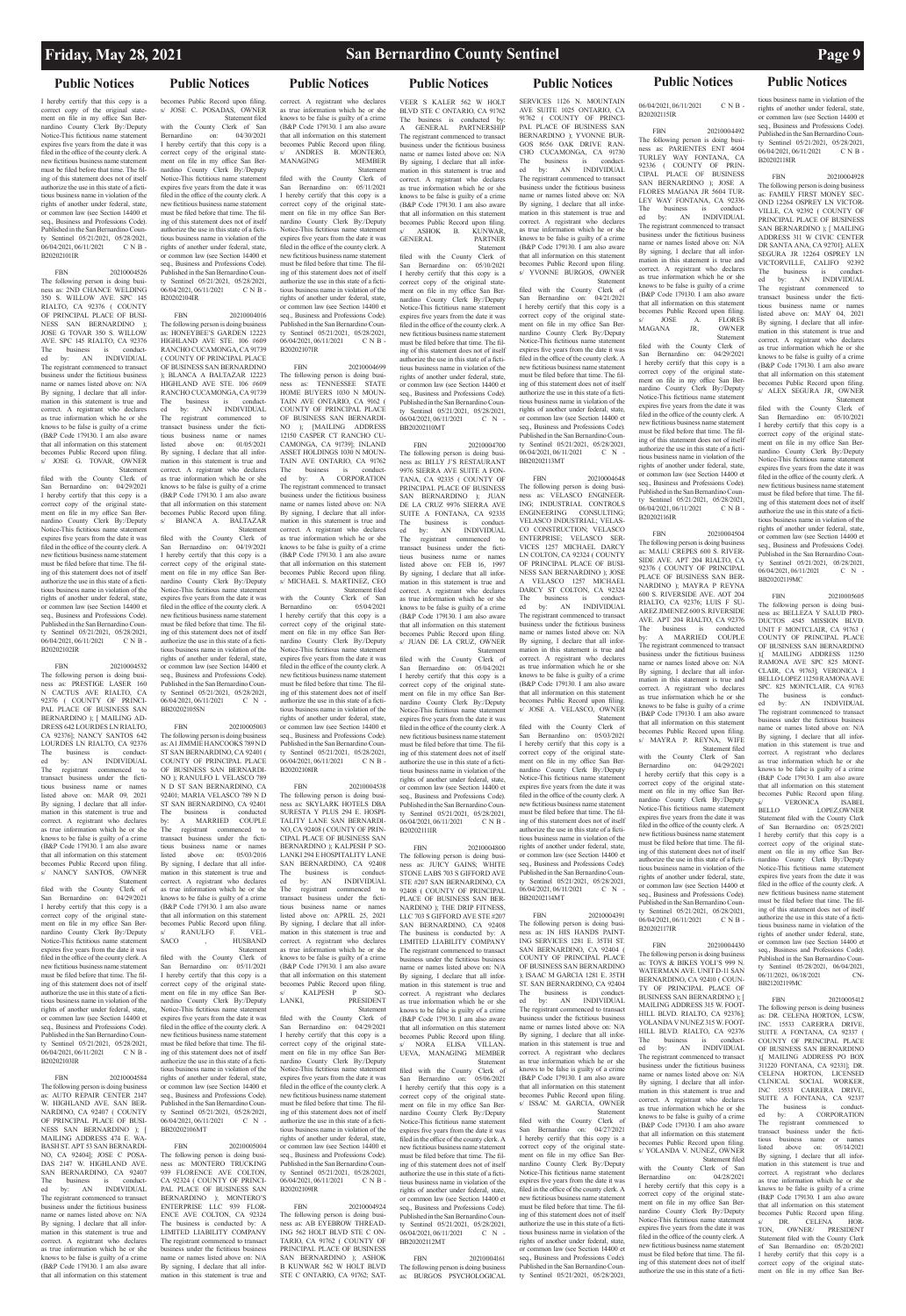### **Public Notices Public Notices**

### **Public Notices Public Notices Public Notices Public Notices Public Notices**

I hereby certify that this copy is a correct copy of the original statement on file in my office San Bernardino County Clerk By:/Deputy Notice-This fictitious name statement expires five years from the date it was filed in the office of the county clerk. A new fictitious business name statement must be filed before that time. The filing of this statement does not of itself authorize the use in this state of a fictitious business name in violation of the rights of another under federal, state, or common law (see Section 14400 et seq., Business and Professions Code). Published in the San Bernardino County Sentinel 05/21/2021, 05/28/2021,<br>06/04/2021, 06/11/2021 CNB- $06/04/2021, 06/11/2021$ B20202101IR

FBN 20210004526 The following person is doing business as: 2ND CHANCE WELDING 350 S. WILLOW AVE. SPC 145 RIALTO, CA 92376 ( COUNTY OF PRINCIPAL PLACE OF BUSI-NESS SAN BERNARDINO ); JOSE G TOVAR 350 S. WILLOW AVE. SPC 145 RIALTO, CA 92376 The business is conduct-ed by: AN INDIVIDUAL The registrant commenced to transact business under the fictitious business name or names listed above on: N/A By signing, I declare that all infor $m<sub>j</sub>$  -regiment<sub>io</sub>,  $m<sub>j</sub>$  -regiment<sub>io</sub>,  $m<sub>j</sub>$  -regiment<sub>io</sub>,  $m<sub>j</sub>$  -regiment<sub>io</sub>,  $m<sub>j</sub>$  -regiment<sub>io</sub>,  $m<sub>j</sub>$  -regiment<sub>io</sub>,  $m<sub>j</sub>$  -regiment<sub>io</sub>,  $m<sub>j</sub>$  -regiment<sub>ion</sub>,  $m<sub>j</sub>$  -regiment<sub></sub> correct. A registrant who declares as true information which he or she knows to be false is guilty of a crime (B&P Code 179130. I am also aware that all information on this statement becomes Public Record upon filing. s/ JOSE G. TOVAR, OWNER

The following person is doing business as: AUTO REPAIR CENTER 2147 W. HIGHLAND AVE. SAN BER-NARDINO, CA 92407 ( COUNTY OF PRINCIPAL PLACE OF BUSI-NESS SAN BERNARDINO )<sup>;</sup> [ MAILING ADDRESS 474 E. BASH ST. APT 53 SAN BERNARDI-NO, CA 92404]; JOSE C POSA-DAS 2147 W. HIGHLAND AVE. SAN BERNARDINO, CA 92407<br>The business is conduct-The business is conduct-ed by: AN INDIVIDUAL The registrant commenced to transact business under the fictitious business name or names listed above on: N/A By signing, I declare that all information in this statement is true and correct. A registrant who declares as true information which he or she knows to be false is guilty of a crime (B&P Code 179130. I am also aware hat all information on this statement

 Statement filed with the County Clerk of San Bernardino on: 04/29/2021 I hereby certify that this copy is a correct copy of the original statement on file in my office San Bernardino County Clerk By:/Deputy Notice-This fictitious name statement expires five years from the date it was filed in the office of the county clerk. A new fictitious business name statement must be filed before that time. The filing of this statement does not of itself authorize the use in this state of a fictitious business name in violation of the rights of another under federal, state, or common law (see Section 14400 et seq., Business and Professions Code). Published in the San Bernardino County Sentinel 05/21/2021, 05/28/2021, 06/04/2021, 06/11/2021 C N B - B20202102IR

 $06/04/2021, 06/11/2021$ B20202104IR

FBN 20210004532 The following person is doing business as: PRESTIGE LASER 160 N CACTUS AVE RIALTO, CA 92376 ( COUNTY OF PRINCI-PAL PLACE OF BUSINESS SAN BERNARDINO ); [ MAILING AD-DRESS 642 LOURDES LN RIALTO, CA 92376]; NANCY SANTOS 642 LOURDES LN RIALTO, CA 92376<br>The business is conduct-The business is conduct-ed by: AN INDIVIDUAL The registrant commenced to transact business under the fictitious business name or names listed above on: MAR 09, 2021 By signing, I declare that all infor $m<sub>j</sub>$  -regiment<sub>io</sub>,  $m<sub>j</sub>$  -regiment<sub>io</sub>,  $m<sub>j</sub>$  -regiment<sub>io</sub>,  $m<sub>j</sub>$  -regiment<sub>io</sub>,  $m<sub>j</sub>$  -regiment<sub>io</sub>,  $m<sub>j</sub>$  -regiment<sub>io</sub>,  $m<sub>j</sub>$  -regiment<sub>io</sub>,  $m<sub>j</sub>$  -regiment<sub>ion</sub>,  $m<sub>j</sub>$  -regiment<sub></sub> correct. A registrant who declares as true information which he or she knows to be false is guilty of a crime (B&P Code 179130. I am also aware that all information on this statement becomes Public Record upon filing. s/ NANCY SANTOS, OWNER

( COUNTY OF PRINCIPAL PLACE OF BUSINESS SAN BERNARDINO ); BLANCA A BALTAZAR 12223 HIGHLAND AVE STE. 106 #609 RANCHO CUCAMONGA, CA 91739 The business is conduct-ed by: AN INDIVIDUAL The registrant commenced transact business under the fictitious business name or names listed above on: 01/05/2021 By signing, I declare that all information in this statement is true and correct. A registrant who declares as true information which he or she knows to be false is guilty of a crime (B&P Code 179130. I am also aware that all information on this statement becomes Public Record upon filing. BIANCA A. BALTAZAR

filed with the County Clerk of San Bernardino on: 04/19/2021 I hereby certify that this copy is a correct copy of the original state-ment on file in my office San Bernardino County Clerk By:/Deputy Notice-This fictitious name statement expires five years from the date it was filed in the office of the county clerk. A new fictitious business name statement must be filed before that time. The filing of this statement does not of itself authorize the use in this state of a fictitious business name in violation of the rights of another under federal, state, or common law (see Section 14400 et seq., Business and Professions Code). Published in the San Bernardino County Sentinel 05/21/2021, 05/28/2021, 06/04/2021, 06/11/2021 C N -

 Statement filed with the County Clerk of San Bernardino on: 04/29/2021 I hereby certify that this copy is a correct copy of the original statement on file in my office San Bernardino County Clerk By:/Deputy Notice-This fictitious name statement expires five years from the date it was filed in the office of the county clerk. A new fictitious business name statement must be filed before that time. The filing of this statement does not of itself authorize the use in this state of a fictitious business name in violation of the rights of another under federal, state, or common law (see Section 14400 et eg., Business and Professions Code). Published in the San Bernardino County Sentinel 05/21/2021, 05/28/2021,<br>06/04/2021, 06/11/2021 C N B -06/04/2021, 06/11/2021 B20202103IR

FBN 20210005003 The following person is doing business as: A1 JIMMIE HANCOOKS 789 N D ST SAN BERNARDINO, CA 92401 ( COUNTY OF PRINCIPAL PLACE OF BUSINESS SAN BERNARDI-NO ); RANULFO L VELASCO 789 N D ST SAN BERNARDINO, CA 92401; MARIA VELASCO 789 N D ST SAN BERNARDINO, CA 92401<br>The business is conducted

by: A MARRIED COUPLE<br>The registrant commenced to  $\,$  registrant  $\,$   $\,$  commenced  $\,$ transact business under the fictitious business name or names listed above on: 05/03/2016 By signing, I declare that all information in this statement is true and correct. A registrant who declares as true information which he or she knows to be false is guilty of a crime (B&P Code 179130. I am also aware that all information on this statement becomes Public Record upon filing.<br>s/ RANULFO F. VELs/ RANULFO F.<br>SACO . I

### FBN 20210004584

, HUSBAND<br>Statement Statement filed with the County Clerk of San Bernardino on: 05/11/2021 I hereby certify that this copy is a correct copy of the original statement on file in my office San Bernardino County Clerk By:/Deputy Notice-This fictitious name statement expires five years from the date it was filed in the office of the county clerk. A

Statement

becomes Public Record upon filing.<br>s/ KALPESH P SOs/ KALPESH P<br>LANKI, PR PRESIDENT Statement filed with the County Clerk of San Bernardino on: 04/29/2 I hereby certify that this copy is a correct copy of the original state-ment on file in my office San Bernardino County Clerk By:/Deputy Notice-This fictitious name statement expires five years from the date it was filed in the office of the county clerk. A new fictitious business name statement must be filed before that time. The filing of this statement does not of itself authorize the use in this state of a fictitious business name in violation of the rights of another under federal, state, or common law (see Section 14400 et seq., Business and Professions Code). Published in the San Bernardino Coun-Sentinel 05/21/2021, 05/28/2021,<br>/04/2021, 06/11/2021 C N B -06/04/2021, 06/11/2021 B20202109IR

BB20202105SN

The business

becomes Public Record upon filing. s/ JOSE C. POSADAS, OWNER<br>Statement filed Statement filed with the County Clerk of San Bernardino on: 04/30/2021 I hereby certify that this copy is a correct copy of the original state-ment on file in my office San Bernardino County Clerk By:/Deputy Notice-This fictitious name statement expires five years from the date it was filed in the office of the county clerk. A correct. A registrant who declares as true information which he or she knows to be false is guilty of a crime (B&P Code 179130. I am also aware that all information on this statement becomes Public Record upon filing. ANDRES B. MONTERO,<br>MAGING MEMBER MANAGING filed with the County Clerk San Bernardino on: 05/11/2021

> FBN 20210004700 The following person is doing business as: BILLY J'S RESTAURANT 9976 SIERRA AVE SUITE A FON-TANA, CA 92335 ( COUNTY OF PRINCIPAL PLACE OF BUSINESS SAN BERNARDINO ); JUAN DE LA CRUZ 9976 SIERRA AVE SUITE A FONTANA, CA 92335 The business is conduct-ed by: AN INDIVIDUAL The registrant commenced to transact business under the fictitious business name or names listed above on: FEB 16, 1997 By signing, I declare that all information in this statement is true and correct. A registrant who declares as true information which he or she knows to be false is guilty of a crime  $(PR \oplus P \cap \text{Cone} 179130)$  I am also aware that all information on this statement becomes Public Record upon filing. s/ JUAN DE LA CRUZ, OWNER

new fictitious business name statement must be filed before that time. The filing of this statement does not of itself authorize the use in this state of a fictitious business name in violation of the rights of another under federal, state, or common law (see Section 14400 et seq., Business and Professions Code). Published in the San Bernardino Coun-Sentinel 05/21/2021, 05/28/2021,<br>/04/2021, 06/11/2021 C N B -FBN 20210004016 The following person is doing business as: HONEYBEE'S GARDEN 12223 HIGHLAND AVE STE. 106 #609 RANCHO CUCAMONGA, CA 91739 I hereby certify that this copy is a correct copy of the original statement on file in my office San Bernardino County Clerk By:/Deputy Notice-This fictitious name statement expires five years from the date it was filed in the office of the county clerk. A new fictitious business name statement must be filed before that time. The filing of this statement does not of itself authorize the use in this state of a fictitious business name in violation of the rights of another under federal, state, or common law (see Section 14400 et seq., Business and Professions Code). Published in the San Bernardino County Sentinel 05/21/2021, 05/28/2021,<br>06/04/2021, 06/11/2021 C N B -06/04/2021, 06/11/2021 B20202107IR

new fictitious business name statement must be filed before that time. The filing of this statement does not of itself authorize the use in this state of a fictitious business name in violation of the rights of another under federal, state, or common law (see Section  $14400$  et seq., Business and Professions Code). Published in the San Bernardino County Sentinel 05/21/2021, 05/28/2021,<br>06/04/2021, 06/11/2021 C N -06/04/2021, 06/11/2021 BB20202106MT

### FBN 20210005004

The following person is doing business as: MONTERO TRUCKING 939 FLORENCE AVE COLTON, CA 92324 ( COUNTY OF PRINCI-PAL PLACE OF BUSINESS SAN BERNARDINO ); MONTERO'S ENTERPRISE LLC 939 FLOR-ENCE AVE COLTON, CA 92324 The business is conducted by: A

> The following person is doing business as: BURGOS PSYCHOLOGICAL

LIMITED LIABILITY COMPANY The registrant commenced to transact business under the fictitious business name or names listed above on: N/A By signing, I declare that all information in this statement is true and

Statement

FBN 20210004699 The following person is doing busi-ness as: TENNESSEE STATE HOME BUYERS 1030 N MOUN-TAIN AVE ONTARIO, CA 9162 ( COUNTY OF PRINCIPAL PLACE OF BUSINESS SAN BERNARDI-NO ); [MAILING ADDRESS 12150 CASPER CT RANCHO CU-CAMONGA, CA 91739]; INLAND ASSET HOLDINGS 1030 N MOUN-TAIN AVE ONTARIO, CA 91762 The business is conduct-ed by: A CORPORATION The registrant commenced to transact business under the fictitious business name or names listed above on: N/A By signing, I declare that all information in this statement is true and correct. A registrant who declares as true information which he or she knows to be false is guilty of a crime (B&P Code 179130. I am also aware that all information on this statement becomes Public Record upon filing. s/ MICHAEL S. MARTINEZ, CEO Statement filed

with the County Clerk of San<br>Bernardino on: 05/04/2021 Bernardino on: I hereby certify that this copy is a correct copy of the original statement on file in my office San Bernardino County Clerk By:/Deputy Notice-This fictitious name statement expires five years from the date it was filed in the office of the county clerk. A new fictitious business name statement must be filed before that time. The filing of this statement does not of itself authorize the use in this state of a fictitious business name in violation of the rights of another under federal, state, or common law (see Section 14400 et seq., Business and Professions Code). Published in the San Bernardino County Sentinel 05/21/2021, 05/28/2021,<br>06/04/2021, 06/11/2021 CNB-06/04/2021, 06/11/2021

### 06/04/2021, 06/11/2021 C N B -B20202115IR

B20202108IR

seq., Business and Professions Code). Published in the San Bernardino County Sentinel 05/21/2021, 05/28/2021, 06/04/2021, 06/11/2021 C N B -

FBN 20210004504 The following person is doing business as: MALU CREPES 600 S. RIVER-SIDE AVE. APT 204 RIALTO, CA 92376 ( COUNTY OF PRINCIPAL PLACE OF BUSINESS SAN BER-NARDINO ); MAYRA P REYNA 600 S. RIVERSIDE AVE. AOT 204 RIALTO, CA 92376; LUIS F SU-AREZ JIMENEZ 600 S. RIVERSIDE AVE. APT 204 RIALTO, CA 92376 The business is conducted by: A MARRIED COUPLE The registrant commenced to transact business under the fictitious business name or names listed above on: N/A By signing, I declare that all information in this statement is true and correct. A registrant who declares as true information which he or she knows to be false is guilty of a crime (B&P Code 179130. I am also aware that all information on this statement becomes Public Record upon filing. MAYRA P. REYNA, WIFE Statement filed with the County Clerk of San Bernardino on: 04/29/2021 I hereby certify that this copy is a correct copy of the original state-ment on file in my office San Bernardino County Clerk By:/Deputy Notice-This fictitious name statement expires five years from the date it was filed in the office of the county clerk. A new fictitious business name statement must be filed before that time. The filing of this statement does not of itself authorize the use in this state of a fictitious business name in violation of the rights of another under federal, state, or common law (see Section 14400 et seq., Business and Professions Code). Published in the San Bernardino County Sentinel 05/21/2021, 05/28/2021, 06/04/2021, 06/11/2021 C N B -

FBN 20210004538 The following person is doing business as: SKYLARK HOTELS DBA SURESTA Y PLUS 294 E. HOSPI-TALITY LANE SAN BERNARDI-NO, CA 92408 ( COUNTY OF PRIN-CIPAL PLACE OF BUSINESS SAN BERNARDINO ); KALPESH P SO-LANKI 294 E HOSPITALITY LANE SAN BERNARDINO, CA 92408<br>The business is conduct-The business is conduct-ed by: AN INDIVIDUAL The registrant commenced to transact business under the fictitious business name or names listed above on: APRIL 25, 2021 By signing, I declare that all information in this statement is true and correct. A registrant who declares as true information which he or she knows to be false is guilty of a crime (B&P Code 179130. I am also aware that all information on this statement

### FBN 20210004924 The following person is doing business as: AB EYEBROW THREAD-ING 562 HOLT BLVD STE C ON-TARIO, CA 91762 ( COUNTY OF

PRINCIPAL PLACE OF BUSINESS SAN BERNARDINO ); ASHOK B KUNWAR 562 W HOLT BLVD STE C ONTARIO, CA 91762; SAT-

VEER S KALER 562 W HOLT BLVD STE C ONTARIO, CA 91762 The business is conducted by: A GENERAL PARTNERSHIP The registrant commenced to transact business under the fictitious business name or names listed above on: N/A By signing, I declare that all information in this statement is true and correct. A registrant who declares as true information which he or she knows to be false is guilty of a crime  $(PR \oplus P \cap \text{Code } 179130)$  I am also aware that all information on this statement becomes Public Record upon filing. ASHOK B. KUNWAR,<br>FRAI PARTNER GENERAL Statement

> The following person is doing business as: BELLEZA Y SALUD PRO-DUCTOS 4545 MISSION BLVD. UNIT F MONTCLAIR, CA 91763 ( COUNTY OF PRINCIPAL PLACE OF BUSINESS SAN BERNARDINO );[ MAILING ADDRESS 11250 RAMONA AVE SPC 825 MONT-CLAIR, CA 91763]; VERONICA I BELLO LOPEZ 11250 RAMONA AVE SPC. 825 MONTCLAIR, CA 91763<br>The business is conduct-The business is conduct-ed by: AN INDIVIDUAL The registrant commenced to transact business under the fictitious business name or names listed above on: N/A By signing, I declare that all information in this statement is true and correct. A registrant who declares as true information which he or she knows to be false is guilty of a crime (B&P Code 179130. I am also aware that all information on this statement becomes Public Record upon filing. s/ VERONICA ISABEL BELLO LOPEZ,OWNER Statement filed with the County Clerk of San Bernardino on: 05/25/2021 I hereby certify that this copy is a correct copy of the original ment on file in my office San Ber-nardino County Clerk By:/Deputy Notice-This fictitious name statement expires five years from the date it was filed in the office of the county clerk. A new fictitious business name statement must be filed before that time. The filing of this statement does not of itself authorize the use in this state of a fictitious business name in violation of the rights of another under federal, state or common law (see Section 14400 et seq., Business and Professions Code). Published in the San Bernardino Coun-Sentinel 05/28/2021, 06/04/2021, 06/11/2021, 06/18/2021 CN-

filed with the County Clerk of San Bernardino on: 05/10/2021 I hereby certify that this copy is a correct copy of the original statement on file in my office San Bernardino County Clerk By:/Deputy Notice-This fictitious name statement expires five years from the date it was filed in the office of the county clerk. A new fictitious business name statement must be filed before that time. The filing of this statement does not of itself authorize the use in this state of a fictitious business name in violation of the rights of another under federal, state, or common law (see Section 14400 et seq., Business and Professions Code). Published in the San Bernardino County Sentinel 05/21/2021, 05/28/2021,  $06/04/2021, 06/11/2021$  C N -BB20202110MT

> FBN 20210005412 The following person is doing business as: DR. CELENA HORTON, LCSW, INC. 15533 CARERRA DRIVE

 Statement filed with the County Clerk of San Bernardino on: 05/04/2021 I hereby certify that this copy is a correct copy of the original statement on file in my office San Bernardino County Clerk By:/Deputy Notice-This fictitious name statement expires five years from the date it was filed in the office of the county clerk. A new fictitious business name statement must be filed before that time. The filing of this statement does not of itself authorize the use in this state of a fictitious business name in violation of the rights of another under federal, state, or common law (see Section 14400 et seq., Business and Professions Code). Published in the San Bernardino County Sentinel 05/21/2021, 05/28/2021,<br>06/04/2021.06/11/2021 CNB- $06/04/2021, 06/11/2021$ B20202111IR

FBN 20210004800 The following person is doing business as: JUICY GAINS; WHITE STONE LABS 703 S GIFFORD AVE STE #207 SAN BERNARDINO, CA 92408 ( COUNTY OF PRINCIPAL PLACE OF BUSINESS SAN BER-NARDINO ); THE DRIP FITNESS, LLC 703 S GIFFORD AVE STE #207 SAN BERNARDINO, CA 92408 The business is conducted by: A LIMITED LIABILITY COMPANY The registrant commenced to transact business under the fictitious business name or names listed above on: N/A By signing, I declare that all information in this statement is true and correct. A registrant who declares as true information which he or she knows to be false is guilty of a crime (B&P Code 179130. I am also aware that all information on this statement becomes Public Record upon filing. s/ NORA ELISA VILLAN-UEVA, MANAGING MEMBER Statement filed with the County Clerk of San Bernardino on: 05/06/2021 I hereby certify that this copy is a correct copy of the original statement on file in my office San Bernardino County Clerk By:/Deputy Notice-This fictitious name statement expires five years from the date it was filed in the office of the county clerk. A new fictitious business name statement must be filed before that time. The filing of this statement does not of itself authorize the use in this state of a fictitious business name in violation of the rights of another under federal, state, or common law (see Section 14400 et seq., Business and Professions Code). Published in the San Bernardino County Sentinel 05/21/2021, 05/28/2021,<br>06/04/2021 06/11/2021 C N - $06/04/2021, 06/11/2021$ BB20202112MT

FBN 20210004161

SERVICES 1126 N. MOUNTAIN AVE SUITE 1025 ONTARIO, CA 91762 ( COUNTY OF PRINCI-PAL PLACE OF BUSINESS SAN BERNARDINO ); YVONNE BUR-GOS 8656 OAK DRIVE RAN-CHO CUCAMONGA, CA 91730<br>The business is conduct-The business is conduct-ed by: AN INDIVIDUAL The registrant commenced to transact business under the fictitious business name or names listed above on: N/A By signing, I declare that all information in this statement is true and correct. A registrant who declares as true information which he or she knows to be false is guilty of a crime (B&P Code 179130. I am also aware that all information on this statement becomes Public Record upon filing. s/ YVONNE BURGOS, OWNER Statement

filed with the County Clerk of San Bernardino on: 04/21/2021 I hereby certify that this copy is a correct copy of the original statement on file in my office San Ber-nardino County Clerk By:/Deputy Notice-This fictitious name statement expires five years from the date it was filed in the office of the county clerk. A new fictitious business name statement must be filed before that time. The filing of this statement does not of itself authorize the use in this state of a fictitious business name in violation of the rights of another under federal, state, or common law (see Section 14400 et seq., Business and Professions Code). Published in the San Bernardino County Sentinel 05/21/2021, 05/28/2021,<br>06/04/2021, 06/11/2021 C N -(04/2021, 06/11/2021) BB20202113MT

FBN 20210004648 The following person is doing business as: VELASCO ENGINEER-ING; INDUSTRIAL CONTROLS ENGINEERING CONSULTING; VELASCO INDUSTRIAL; VELAS-CO CONSTRUCTION; VELASCO ENTERPRISE; VELASCO SER-VICES 1257 MICHAEL DARCY LN COLTON, CA 92324 ( COUNTY OF PRINCIPAL PLACE OF BUSI-NESS SAN BERNARDINO ); JOSE A VELASCO 1257 MICHAEL DARCY ST COLTON, CA 92324 The business is conduct-ed by: AN INDIVIDUAL The registrant commenced to transact business under the fictitious business name or names listed above on: N/A By signing, I declare that all information in this statement is true and correct. A registrant who declares as true information which he or she knows to be false is guilty of a crime (B&P Code 179130. I am also aware that all information on this statement becomes Public Record upon filing. s/ JOSE A. VELASCO, OWNER

 Statement filed with the County Clerk San Bernardino on: 05/03/2021 I hereby certify that this copy is a correct copy of the original statement on file in my office San Bernardino County Clerk By:/Deputy Notice-This fictitious name statement expires five years from the date it was filed in the office of the county clerk. A new fictitious business name statement must be filed before that time. The filing of this statement does not of itself authorize the use in this state of a fictitious business name in violation of the rights of another under federal, state, or common law (see Section 14400 et seq., Business and Professions Code). Published in the San Bernardino County Sentinel 05/21/2021, 05/28/2021,<br>06/04/2021, 06/11/2021 C N  $06/04/2021, 06/11/2021$ BB20202114MT

FBN 20210004391 The following person is doing busi-ness as: IN HIS HANDS PAINT-ING SERVICES 1281 E. 35TH ST. SAN BERNARDINO, CA 92404 ( COUNTY OF PRINCIPAL PLACE OF BUSINESS SAN BERNARDINO ); ISAAC M GARCIA 1281 E. 35TH ST. SAN BERNARDINO, CA 92404 The business is conduct-ed by: AN INDIVIDUAL The registrant commenced to transact business under the fictitious business name or names listed above on: N/A By signing, I declare that all information in this statement is true and correct. A registrant who declares as true information which he or she knows to be false is guilty of a crime (B&P Code 179130. I am also aware that all information on this statement becomes Public Record upon filing. ISSAC M. GARCIA, OWNER Statement filed with the County Clerk of San Bernardino on: 04/27/2021 I hereby certify that this copy is a correct copy of the original statement on file in my office San Bernardino County Clerk By:/Deputy Notice-This fictitious name statement expires five years from the date it was filed in the office of the county clerk. A new fictitious business name statement must be filed before that time. The filing of this statement does not of itself authorize the use in this state of a fictitious business name in violation of the rights of another under federal, state, or common law (see Section 14400 et seq., Business and Professions Code). Published in the San Bernardino County Sentinel 05/21/2021, 05/28/2021,

FBN 20210004492 The following person is doing business as: PARIENTES ENT 4604 TURLEY WAY FONTANA, 92336 ( COUNTY OF PRIN-CIPAL PLACE OF BUSINESS SAN BERNARDINO ); JOSE A FLORES MAGANA JR 5604 TUR-LEY WAY FONTANA, CA 92336 The business is conduct-ed by: AN INDIVIDUAL The registrant commenced to transact business under the fictitious business name or names listed above on: N/A By signing, I declare that all information in this statement is true and correct. A registrant who declares as true information which he or she knows to be false is guilty of a crime (B&P Code 179130. I am also aware that all information on this statement becomes Public Record upon filing.

### s/ JOSE A. FLORES MAGANA JR, OWNER Statement filed with the County Clerk of San Bernardino on: 04/29/2021 I hereby certify that this copy is a correct copy of the original state-ment on file in my office San Bernardino County Clerk By:/Deputy Notice-This fictitious name statement expires five years from the date it was filed in the office of the county clerk. A new fictitious business name statement must be filed before that time. The filing of this statement does not of itself authorize the use in this state of a fictitious business name in violation of the rights of another under federal, state, or common law (see Section 14400 et

B20202116IR

B20202117IR

### FBN 20210004430 The following person is doing business as: TOYS & BIKES YOLI'S 999 N.

WATERMAN AVE. UNIT D-11 SAN BERNARDINO, CA 92410 ( COUN-TY OF PRINCIPAL PLACE OF BUSINESS SAN BERNARDINO ); [ MAILING ADDRESS 315 W. FOOT-HILL BLVD. RIALTO, CA 92376]; YOLANDA V NUNEZ 315 W. FOOT-

HILL BLVD. RIALTO, CA 92376 The business is conduct-ed by: AN INDIVIDUAL The registrant commenced to transact business under the fictitious business name or names listed above on: N/A By signing, I declare that all information in this statement is true and correct. A registrant who declares as true information which he or she ows to be false is guilty of a crime (B&P Code 179130. I am also aware that all information on this statement becomes Public Record upon filing. s/ YOLANDA V. NUNEZ, OWNER Statement filed

with the County Clerk of San Bernardino on: 04/28/2021 I hereby certify that this copy is a correct copy of the original state-ment on file in my office San Bernardino County Clerk By:/Deputy Notice-This fictitious name statement expires five years from the date it was filed in the office of the county clerk. A new fictitious business name statement must be filed before that time. The filing of this statement does not of itself authorize the use in this state of a fictitious business name in violation of the rights of another under federal, state, or common law (see Section 14400 et seq., Business and Professions Code). Published in the San Bernardino County Sentinel 05/21/2021, 05/28/2021, 06/04/2021, 06/11/2021 C N B B20202118IR

FBN 20210004928 The following person is doing business as: FAMILY FIRST MONEY SEC-OND 12264 OSPREY LN VICTOR-VILLE, CA 92392 ( COUNTY OF PRINCIPAL PLACE OF BUSINESS SAN BERNARDINO ); [ MAILING ADDRESS 311 W CIVIC CENTER DR SANTA ANA, CA 92701]; ALEX SEGURA JR 12264 OSPREY LN VICTORVILLE, CALIFO 92392 The business is conduct-ed by: AN INDIVIDUAL The registrant commenced to transact business under the fictitious business name or names listed above on: MAY 04, 2021 By signing, I declare that all information in this statement is true and correct. A registrant who declares as true information which he or she knows to be false is guilty of a crime (B&P Code 179130. I am also aware that all information on this statement becomes Public Record upon filing. s/ ALEX SEGURA JR, OWNER Statement filed with the County Clerk of

San Bernardino on: 05/10/2021 I hereby certify that this copy is a correct copy of the original statement on file in my office San Bernardino County Clerk By:/Deputy Notice-This fictitious name statement expires five years from the date it was filed in the office of the county clerk. A new fictitious business name statement must be filed before that time. The filing of this statement does not of itself authorize the use in this state of a fictitious business name in violation of the rights of another under federal, state, or common law (see Section 14400 et seq., Business and Professions Code). Published in the San Bernardino County Sentinel 05/21/2021, 05/28/2021, 06/04/2021, 06/11/2021 C N BB20202119MC

### FBN 20210005605

BB21202119MC

SUITE A FONTANA, CA 92337 ( COUNTY OF PRINCIPAL PLACE OF BUSINESS SAN BERNARDINO );[ MAILING ADDRESS PO BOX 311220 FONTANA, CA 92331]; DR. CELENA HORTON, LICENSED CLINICAL SOCIAL WORKER, INC 15533 CARRERA DRIVE, SUITE A FONTANA, CA 92337 The business is conduct-ed by: A CORPORATION The registrant commenced to transact business under the fictitious business name or names listed above on: 05/14/2021 By signing, I declare that all information in this statement is true and correct. A registrant who declares as true information which he or she knows to be false is guilty of a crime (B&P Code 179130. I am also aware that all information on this statement becomes Public Record upon filing. s/ DR. CELENA HOR-TON, OWNER/ PRESIDENT Statement filed with the County Clerk of San Bernardino on: 05/20/2021 I hereby certify that this copy is a correct copy of the original state-ment on file in my office San Ber-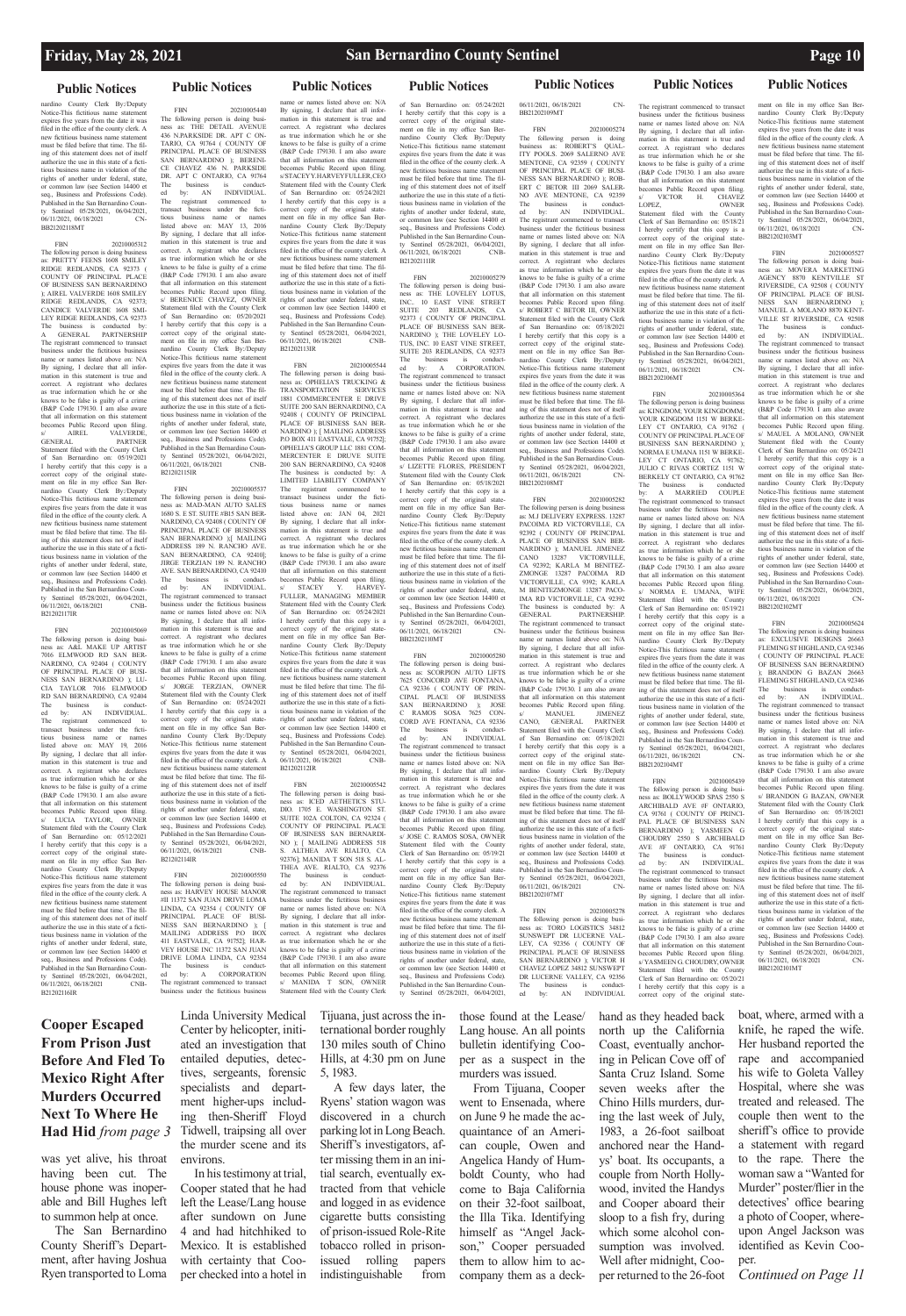**Cooper Escaped** 

Linda University Medical Tijuana, just across the in- those found at the Lease/ hand as they headed back boat, where, armed with a

correct copy of the original state-

**From Prison Just Before And Fled To Mexico Right After Murders Occurred Next To Where He Had Hid** *from page 3* 

## **Public Notices Public Notices Public Notices Public Notices Public Notices Public Notices Public Notices**

nardino County Clerk By:/Deputy Notice-This fictitious name expires five years from the date it was filed in the office of the county clerk. A new fictitious business name statem must be filed before that time. The filing of this statement does not of itself authorize the use in this state of a fictitious business name in violation of the rights of another under federal, state, or common law (see Section 14400 et seq., Business and Professions Code). Published in the San Bernardino County Sentinel 05/28/2021, 06/04/2021, 06/11/2021, 06/18/2021 BB21202118MT

FBN 20210005312 The following person is doing business as: PRETTY FEENS 1608 SMILEY RIDGE REDLANDS, CA 92373 ( COUNTY OF PRINCIPAL PLACE OF BUSINESS SAN BERNARDINO ); AIREL VALVERDE 1608 SMILEY RIDGE REDLANDS, CA 92373; CANDICE VALVERDE 1608 SMI-LEY RIDGE REDLANDS, CA 92373 The business is conducted by: A GENERAL PARTNERSHIP The registrant commenced to transact business under the fictitious business name or names listed above on: N/A By signing, I declare that all information in this statement is true and correct. A registrant who declares as true information which he or she knows to be false is guilty of a crime (B&P Code 179130. I am also aware that all information on this statement becomes Public Record upon filing. s/ AIREL VALVERDE,<br>GENERAL PARTNER GENERAL PARTNER Statement filed with the County Clerk of San Bernardino on: 05/19/2021 I hereby certify that this copy is a correct copy of the original state-ment on file in my office San Bernardino County Clerk By:/Deputy Notice-This fictitious name statement expires five years from the date it was filed in the office of the county clerk. A new fictitious business name statem must be filed before that time. The filing of this statement does not of itself authorize the use in this state of a fictitious business name in violation of the rights of another under federal, state, or common law (see Section 14400 et seq., Business and Professions Code). Published in the San Bernardino County Sentinel 05/28/2021, 06/04/2021, 06/11/2021, 06/18/2021 CNB-

SAN BERNARDINO ); BERENI-CE CHAVEZ 436 N. PARKSIDE DR. APT C ONTARIO, CA 91764<br>The business is conduct-The business is conduct-ed by: AN INDIVIDUAL. The registrant commenced to transact business under the fictitious business name or names listed above on: MAY 13, 2016 By signing, I declare that all information in this statement is true and correct. A registrant who declares as true information which he or she knows to be false is guilty of a crime (B&P Code 179130. I am also aware that all information on this statement becomes Public Record upon filing. s/ BERENICE CHAVEZ, OWNER Statement filed with the County Clerk of San Bernardino on: 05/20/2021 I hereby certify that this copy is a correct copy of the original statement on file in my office San Bernardino County Clerk By:/Deputy Notice-This fictitious name statement expires five years from the date it was filed in the office of the county clerk. A new fictitious business name statement must be filed before that time. The filing of this statement does not of itself authorize the use in this state of a fictitious business name in violation of the rights of another under federal, state, or common law (see Section 14400 et seq., Business and Professions Code). Published in the San Bernardino County Sentinel 05/28/2021, 06/04/2021,<br>06/11/2021, 06/18/2021 CNB-

06/11/2021, 06/18/2021 **B21202115IB** 

# B21202117IR

FBN 20210005537 The following person is doing business as: MAD-MAN AUTO SALES 1680 S. E ST. SUITE #B15 SAN BER-NARDINO, CA 92408 ( COUNTY OF PRINCIPAL PLACE OF BUSINESS SAN BERNARDINO );[ MAILING ADDRESS 189 N. RANCHO AVE. SAN BERNARDINO, CA 92410]; JIRGE TERZIAN 189 N. RANCHO AVE. SAN BERNARDINO, CA 92410 The business is conduct-ed by: AN INDIVIDUAL. The registrant commenced to transact business under the fictitious business name or names listed above on: N/A By signing, I declare that all information in this statement is true and correct. A registrant who declares as true information which he or she knows to be false is guilty of a crime (B&P Code 179130. I am also aware that all information on this statement becomes Public Record upon filing JORGE TERZIAN, OWNER Statement filed with the County Clerk of San Bernardino on: 05/24/2021 I hereby certify that this copy is a correct copy of the original state-ment on file in my office San Bernardino County Clerk By:/Deputy Notice-This fictitious name statement expires five years from the date it was filed in the office of the county clerk. A new fictitious business name statement must be filed before that time. The filing of this statement does not of itself authorize the use in this state of a fictitious business name in violation of the rights of another under federal, state, or common law (see Section 14400 et seq., Business and Professions Code). Published in the San Bernardino Coun-Sentinel 05/28/2021, 06/04/2021, 06/11/2021, 06/18/2021 CNB-

FBN 20210005069 The following person is doing busi-ness as: A&L MAKE UP ARTIST 7016 ELMWOOD RD SAN BER-NARDINO, CA 92404 ( COUNTY OF PRINCIPAL PLACE OF BUSI-NESS SAN BERNARDINO ); LU-CIA TAYLOR 7016 ELMWOOD RD SAN BERNARDINO, CA 92404<br>The business is conduct-The business is conduct-ed by: AN INDIVIDUAL. The registrant commenced to<br>transact business under the fictibusiness under the fictitious business name or names listed above on: MAY 19, 2016 By signing, I declare that all information in this statement is true and correct. A registrant who declares as true information which he or she knows to be false is guilty of a crime (B&P Code 179130. I am also aware that all information on this statement becomes Public Record upon filing s/ LUCIA TAYLOR, OWNER Statement filed with the County Clerk of San Bernardino on: 05/12/2021 I hereby certify that this copy is a correct copy of the original state-ment on file in my office San Bernardino County Clerk By:/Deputy Notice-This fictitious name statement expires five years from the date it was filed in the office of the county clerk. A new fictitious business name statement must be filed before that time. The filing of this statement does not of itself authorize the use in this state of a fictitious business name in violation of the rights of another under federal, state, or common law (see Section 14400 et seq., Business and Professions Code). Published in the San Bernardino County Sentinel 05/28/2021, 06/04/2021, 06/11/2021, 06/18/2021 CNB-B21202116IR

name or names listed above on: N/A By signing, I declare that all information in this statement is true and correct. A registrant who declares as true information which he or she ws to be false is guilty of a crime (B&P Code 179130. I am also aware that all information on this statement becomes Public Record upon filing. s/ STACEY Y. HARVEYFULLER, CEO Statement filed with the County Clerk of San Bernardino on: 05/24/2021 I hereby certify that this copy is a correct copy of the original ment on file in my office San Bernardino County Clerk By:/Deputy Notice-This fictitious name statement expires five years from the date it was filed in the office of the county clerk. A new fictitious business name statement must be filed before that time. The filing of this statement does not of itself authorize the use in this state of a fictitious business name in violation of the rights of another under federal, state mon law (see Section 14400 et seq., Business and Professions Code). Published in the San Bernardino County Sentinel 05/28/2021, 06/04/2021,<br>06/11/2021, 06/18/2021 CNB-06/11/2021, 06/18/2021

## FBN 20210005440 The following person is doing busi-ness as: THE DETAIL AVENUE 436 N.PARKSIDE DR. APT C ON-TARIO, CA 91764 ( COUNTY OF PRINCIPAL PLACE OF BUSINESS

B21202114IR

FBN 20210005550 The following person is doing business as: HARVEY HOUSE MANOR #II 11372 SAN JUAN DRIVE LOMA LINDA, CA 92354 ( COUNTY PRINCIPAL PLACE OF BUSI-NESS SAN BERNARDINO ); MAILING ADDRESS P.O BOX 411 EASTVALE, CA 91752]; HAR-VEY HOUSE INC 11372 SAN JUAN DRIVE LOMA LINDA, CA 92354<br>The business is conduct-The business is conduct-ed by: A CORPORATION The registrant commenced to transact business under the fictitious business

### 06/11/2021, 06/18/2021 CN-BB21202109MT

FBN 20210005282 The following person is doing business as: M.J DELIVERY EXPRESS. 13287 PACOIMA RD VICTORVILLE, CA 92392 ( COUNTY OF PRINCIPAL PLACE OF BUSINESS SAN BER-NARDINO ); MANUEL JIMENEZ CANO 13287 VICTORVILLE, CA 92392; KARLA M BENITEZ-ZMONGE 13287 PACOIMA RD VICTORVILLE, CA 9392; KARLA M BENITEZMONGE 13287 PACO-IMA RD VICTORVILLE, CA 92392 The business is conducted by: A<br>GENERAL PARTNERSHIP GENERAL PARTNERSHIP. The registrant commenced to transact business under the fictitious business name or names listed above on: N/A By signing, I declare that all information in this statement is true and correct. A registrant who declares as true information which he or she knows to be false is guilty of a crime (B&P Code 179130. I am also aware that all information on this statement becomes Public Record upon filing.<br>
s/
MANUEL
IJMENEZ s/ MANUEL JIMENEZ CANO, GENERAL PARTNER Statement filed with the County Clerk of San Bernardino on: 05/18/2021 I hereby certify that this copy is a correct copy of the original statement on file in my office San Ber-nardino County Clerk By:/Deputy Notice-This fictitious name statement expires five years from the date it was filed in the office of the county clerk. A new fictitious business name statement must be filed before that time. The filing of this statement does not of itself horize the use in this state of a fictitious business name in violation of the rights of another under federal, state, or common law (see Section 14400 et seq., Business and Professions Code). Published in the San Bernardino County Sentinel 05/28/2021, 06/04/2021, 06/11/2021, 06/18/2021 CN-BB21202107MT

The registrant commenced to transact business under the fictitious business name or names listed above on: N/A By signing, I declare that all infor $m_1 + m_2 + \cdots$   $m_n$  this statement is true and correct. A registrant who declares as true information which he or she knows to be false is guilty of a crime (B&P Code 179130. I am also aware that all information on this statement becomes Public Record upon filing. VICTOR H. CHAVEZ LOPEZ, OWNER Statement filed with the County Clerk of San Bernardino on: 05/18/21 I hereby certify that this copy is a correct copy of the original state-ment on file in my office San Bernardino County Clerk By:/Deputy Notice-This fictitious name statement expires five years from the date it was filed in the office of the county clerk. A new fictitious business name statem must be filed before that time. The fil-

B21202113IR FBN 20210005544 The following person is doing business as: OPHELIA'S TRUCKING &<br>TRANSPORTATION SERVICES TRANSPORTATION SERVICES 1881 COMMERCENTER E DRIVE SUITE 200 SAN BERNARDINO, CA 92408 ( COUNTY OF PRINCIPAL PLACE OF BUSINESS SAN BER-NARDINO ); [ MAILING ADDRESS P.O BOX 411 EASTVALE, CA 91752]; OPHELIA'S GROUP LLC 1881 COM-MERCENTER E DRUVE SUITE 200 SAN BERNARDINO, CA 92408 The business is conducted by: A LIMITED LIABILITY COMPANY The registrant commenced to transact business under the fictitious business name or names listed above on: JAN 04, 2021 By signing, I declare that all information in this statement is true and correct. A registrant who declares as true information which he or she ws to be false is guilty of a crime (B&P Code 179130. I am also aware that all information on this statement becomes Public Record upon filing. STACEY Y HARVEY-FULLER, MANAGING MEMBER Statement filed with the County Clerk of San Bernardino on: 05/24/2021 I hereby certify that this copy is a correct copy of the original statement on file in my office San Bernardino County Clerk By:/Deputy Notice-This fictitious name statement expires five years from the date it was filed in the office of the county clerk. A new fictitious business name statem must be filed before that time. The filing of this statement does not of itself authorize the use in this state of a fictitious business name in violation of the rights of another under federal, state,<br>or common law (see Section 14400 et or common law (see Section 14400 et seq., Business and Professions Code). Published in the San Bernardino Coun-

ing of this statement does not of itself authorize the use in this state of a fictitious business name in violation of the rights of another under federal, state, or common law (see Section 14400 et seq., Business and Professions Code). Published in the San Bernardino County Sentinel 05/28/2021, 06/04/2021, 06/11/2021, 06/18/2021 CN-BB21202106MT

FBN 20210005364 The following person is doing business as: KINGDOM; YOUR KINGDOMM; YOUR KINGDOM 1151 W BERKE-LEY CT ONTARIO, CA 91762 ( COUNTY OF PRINCIPAL PLACE OF BUSINESS SAN BERNARDINO ); NORMA E UMANA 1151 W BERKE-LEY CT ONTARIO, CA 91762; JULIO C RIVAS CORTEZ 1151 W BERKELY CT ONTARIO, CA 91762 The business is conducted by: A MARRIED COUPLE The registrant commenced to transact business under the fictitious business name or names listed above on: N/A By signing, I declare that all infor-<br>mation in this statement is true and this statement is true and correct. A registrant who declares as true information which he or she knows to be false is guilty of a crime (B&P Code 179130. I am also aware that all information on this statement becomes Public Record upon filing. s/ NORMA E. UMANA, WIFE Statement filed with the County Clerk of San Bernardino on: 05/19/21 I hereby certify that this copy is a correct copy of the original statement on file in my office San Ber-nardino County Clerk By:/Deputy Notice-This fictitious name statement expires five years from the date it was filed in the office of the county clerk. A new fictitious business name statement must be filed before that time. The filing of this statement does not of itself orize the use in this state of a fictitious business name in violation of the rights of another under federal, state, or common law (see Section 14400 et seq., Business and Professions Code). Published in the San Bernardino County Sentinel 05/28/2021, 06/04/2021, 06/11/2021, 06/18/2021 CN-BB21202104MT FBN 20210005439

ty Sentinel 05/28/2021, 06/04/2021, 06/11/2021, 06/18/2021 CNB-

B21202112IR

The following person is doing business as: BOLLYWOOD SPAS 2550 S ARCHIBALD AVE #F ONTARIO, CA 91761 ( COUNTY OF PRINCI-PAL PLACE OF BUSINESS SAN BERNARDINO ); YASMEEN G CHOUDRY 2550 S ARCHIBALD<br>AVE #F ONTARIO, CA 91761 AVE #F ONTARIO, CA 91761<br>The business is conduct-The business is conduct-ed by: AN INDIVIDUAL. The registrant commenced to transact business under the fictitious business name or names listed above on: N/A By signing, I declare that all infor-<br>mation in this statement is true and this statement is true and correct. A registrant who declares as true information which he or she knows to be false is guilty of a crime (B&P Code 179130. I am also aware that all information on this statement becomes Public Record upon filing. s/ YASMEEN G. CHOUDRY, OWNER Statement filed with the County Clerk of San Bernardino on: 05/20/21 I hereby certify that this copy

FBN 20210005542 The following person is doing busi-ness as: ICED AETHETICS STU-DIO. 1705 E. WASHINGTON ST. SUITE 102A COLTON, CA 92324 ( COUNTY OF PRINCIPAL PLACE OF BUSINESS SAN BERNARDI-NO ); [ MAILING ADDRESS 518 S. ALTHEA AVE RIALTO, CA 92376]; MANIDA T SON 518 S. AL-THEA AVE. RIALTO, CA 92376 The business is conduct-ed by: AN INDIVIDUAL. The registrant commenced to transact business under the fictitious business name or names listed above on: N/A By signing, I declare that all inforthis statement is true and correct. A registrant who declares as true information which he or she knows to be false is guilty of a crime (B&P Code 179130. I am also aware that all information on this statement becomes Public Record upon filing. s/ MANIDA T SON, OWNER Statement filed with the County Clerk of San Bernardino on: 05/24/2021 I hereby certify that this copy is a correct copy of the original statement on file in my office San Bernardino County Clerk By:/Deputy Notice-This fictitious name statement expires five years from the date it was filed in the office of the county clerk. A new fictitious business name statement must be filed before that time. The filing of this statement does not of itself authorize the use in this state of a fictitious business name in violation of the rights of another under federal, state or common law (see Section 14400 et seq., Business and Professions Code). Published in the San Bernardin ty Sentinel 05/28/2021, 06/04/2021,<br>06/11/2021, 06/18/2021 CNB- $06/11/2021$ ,  $06/18/2021$ B21202111IR FBN 20210005279

The following person is doing business as: THE LOVELEY LOTUS, INC.. 10 EAST VINE STREET SUITE 203 REDLANDS, CA 92373 ( COUNTY OF PRINCIPAL PLACE OF BUSINESS SAN BER-NARDINO ); THE LOVELEY LO-TUS, INC. 10 EAST VINE STREET, SUITE 203 REDLANDS, CA 92373 The business is conduct-ed by: A CORPORATION. The registrant commenced to transact business under the fictitious business name or names listed above on: N/A By signing, I declare that all information in this statement is true and correct. A registrant who declares as true information which he or she knows to be false is guilty of a crime (B&P Code 179130. I am also aware that all information on this statement becomes Public Record upon filing. s/ LIZETTE FLORES, PRESIDENT Statement filed with the County Clerk of San Bernardino on: 05/18/2021 I hereby certify that this copy is a correct copy of the original state-ment on file in my office San Bernardino County Clerk By:/Deputy Notice-This fictitious name statement expires five years from the date it was filed in the office of the county clerk. A new fictitious business name statement must be filed before that time. The filing of this statement does not of itself authorize the use in this state of a fictitious business name in violation of the rights of another under federal, state, or common law (see Section 14400 et seq., Business and Professions Code). Published in the San Bernardino County Sentinel 05/28/2021, 06/04/2021, 06/18/2021<br>11/2021, 06/18/2021 BB21202110MT

FBN 20210005280 The following person is doing busi-ness as: SCORPION AUTO LIFTS 7625 CONCORD AVE FONTANA, CA 92336 ( COUNTY OF PRIN-CIPAL PLACE OF BUSINESS SAN BERNARDINO ); JOSE C RAMOS SOSA 7625 CON-CORD AVE FONTANA, CA 92336 The business is conduct-ed by: AN INDIVIDUAL The registrant commenced to transact business under the fictitious business name or names listed above on: N/A By signing, I declare that all information in this statement is true and correct. A registrant who declares as true information which he or she knows to be false is guilty of a crime (B&P Code 179130. I am also aware that all information on this statement becomes Public Record upon filing. s/ JOSE C. RAMOS SOSA, OWNER Statement filed with the County Clerk of San Bernardino on: 05/19/21 I hereby certify that this copy is a correct copy of the original state-ment on file in my office San Bernardino County Clerk By:/Deputy Notice-This fictitious name statement expires five years from the date it was filed in the office of the county clerk. A new fictitious business name statement must be filed before that time. The filing of this statement does not of itself authorize the use in this state of a fictitious business name in violation of the rights of another under federal, state, or common law (see Section 14400 et seq., Business and Professions Code). Published in the San Bernardino County Sentinel 05/28/2021, 06/04/2021,

FBN 20210005274 The following person is doing business as: ROBERT'S QUAL-ITY POOLS. 2069 SALERNO AVE MENTONE, CA 92359 ( COUNTY OF PRINCIPAL PLACE OF BUSI-NESS SAN BERNARDINO ); ROB-ERT C BETOR III 2069 SALER-NO AVE MENTONE, CA 92359 The business is conduct-ed by: AN INDIVIDUAL. The registrant commenced to transact business under the fictitious business name or names listed above on: N/A By signing, I declare that all infortion in this statement is true and correct. A registrant who declares as true information which he or she knows to be false is guilty of a crime (B&P Code 179130. I am also aware that all information on this statement becomes Public Record upon filing. s/ ROBERT C BETOR III, OWNER Statement filed with the County Clerk of San Bernardino on: 05/18/2021 I hereby certify that this copy is a correct copy of the original statement on file in my office San Ber-nardino County Clerk By:/Deputy Notice-This fictitious name statement expires five years from the date it was filed in the office of the county clerk. A new fictitious business name statement must be filed before that time. The filing of this statement does not of itself horize the use in this state of a fictitious business name in violation of the rights of another under federal, state, or common law (see Section 14400 et seq., Business and Professions Code). Published in the San Bernardino County Sentinel 05/28/2021, 06/04/2021, 06/11/2021, 06/18/2021 CN-BB21202108MT

FBN 20210005278 The following person is doing business as: TORO LOGISTICS 34812 SUNSWEPT DR LUCERNE VAL-LEY, CA 92356 ( COUNTY OF PRINCIPAL PLACE OF BUSINESS SAN BERNARDINO ); VICTOR H CHAVEZ LOPEZ 34812 SUNSWEPT DR LUCERNE VALLEY, CA 92356 The business is conduct-ed by: AN INDIVIDUAL

ment on file in my office San Ber-nardino County Clerk By:/Deputy Notice-This fictitious name statement expires five years from the date it was filed in the office of the county clerk. A new fictitious business name statement must be filed before that time. The filing of this statement does not of itself  $\alpha$  orize the use in this state of a fictitious business name in violation of the rights of another under federal, state, or common law (see Section 14400 et seq., Business and Professions Code). ished in the San Bernardino Cour ty Sentinel 05/28/2021, 06/04/2021, 06/11/2021, 06/18/2021 CN-BB21202103MT

FBN 20210005527 The following person is doing business as: MOVERA MARKETING AGENCY 8870 KENTVILLE ST RIVERSIDE, CA 92508 ( COUNTY OF PRINCIPAL PLACE OF BUSI-NESS SAN BERNARDINO ); MANUEL A MOLANO 8870 KENT-VILLE ST RIVERSIDE, CA 92508 The business is conduct-ed by: AN INDIVIDUAL. The registrant commenced to transact business under the fictitious business name or names listed above on: N/A By signing, I declare that all infor- $\frac{m}{m}$  in this statement is true and correct. A registrant who declares as true information which he or she knows to be false is guilty of a crime (B&P Code 179130. I am also aware that all information on this statement becomes Public Record upon filing. s/ MAUEL A MOLANO, OWNER Statement filed with the County Clerk of San Bernardino on: 05/24/21 I hereby certify that this copy is a correct copy of the original statement on file in my office San Ber-nardino County Clerk By:/Deputy Notice-This fictitious name statement expires five years from the date it was filed in the office of the county clerk. A new fictitious business name statement must be filed before that time. The filing of this statement does not of itself and authorize the use in this state of a fictitious business name in violation of the rights of another under federal, state, or common law (see Section 14400 et seq., Business and Professions Code). Published in the San Bernardino County Sentinel 05/28/2021, 06/04/2021, 06/11/2021, 06/18/2021 CN-BB21202102MT

FBN 20210005624 The following person is doing business as: EXCLUSIVE DESIGNS 26663 FLEMING ST HIGHLAND, CA 92346 ( COUNTY OF PRINCIPAL PLACE OF BUSINESS SAN BERNARDINO BRANDON G BAZAN 26663 FLEMING ST HIGHLAND, CA 92346 The business is conduct-ed by: AN INDIVIDUAL. The registrant commenced to transact business under the fictitious business name or names listed above on: N/A By signing, I declare that all information in this statement is true and correct. A registrant who declares as true information which he or she knows to be false is guilty of a crime (B&P Code 179130. I am also aware that all information on this statement becomes Public Record upon filing. s/ BRANDON G BAZAN, OWNER Statement filed with the County Clerk of San Bernardino on: 05/18/2021 I hereby certify that this copy is a correct copy of the original state-ment on file in my office San Bernardino County Clerk By:/Deputy Notice-This fictitious name statement expires five years from the date it was filed in the office of the county clerk. A new fictitious business name statement must be filed before that time. The filing of this statement does not of itsel: authorize the use in this state of a fictitious business name in violation of the rights of another under federal, state, or common law (see Section 14400 et seq., Business and Professions Code). Published in the San Bernardino Coun-Sentinel 05/28/2021, 06/04/2021 06/11/2021, 06/18/2021 CN-BB21202101MT

was yet alive, his throat having been cut. The house phone was inoperable and Bill Hughes left to summon help at once.

The San Bernardino County Sheriff's Department, after having Joshua Ryen transported to Loma

Center by helicopter, initiated an investigation that entailed deputies, detectives, sergeants, forensic specialists and department higher-ups including then-Sheriff Floyd Tidwell, traipsing all over the murder scene and its environs.

In his testimony at trial, Cooper stated that he had left the Lease/Lang house after sundown on June 4 and had hitchhiked to Mexico. It is established with certainty that Cooper checked into a hotel in

ternational border roughly 130 miles south of Chino Hills, at 4:30 pm on June 5, 1983.

A few days later, the Ryens' station wagon was discovered in a church parking lot in Long Beach. Sheriff's investigators, after missing them in an initial search, eventually extracted from that vehicle and logged in as evidence cigarette butts consisting of prison-issued Role-Rite tobacco rolled in prisonissued rolling papers indistinguishable from

Lang house. An all points bulletin identifying Cooper as a suspect in the murders was issued.

From Tijuana, Cooper went to Ensenada, where on June 9 he made the acquaintance of an American couple, Owen and Angelica Handy of Humboldt County, who had come to Baja California on their 32-foot sailboat, the Illa Tika. Identifying himself as "Angel Jackson," Cooper persuaded them to allow him to accompany them as a deck-

north up the California Coast, eventually anchoring in Pelican Cove off of Santa Cruz Island. Some seven weeks after the Chino Hills murders, during the last week of July, 1983, a 26-foot sailboat anchored near the Handys' boat. Its occupants, a couple from North Hollywood, invited the Handys and Cooper aboard their sloop to a fish fry, during which some alcohol consumption was involved. Well after midnight, Cooper returned to the 26-foot

knife, he raped the wife. Her husband reported the rape and accompanied his wife to Goleta Valley Hospital, where she was treated and released. The couple then went to the sheriff's office to provide a statement with regard to the rape. There the woman saw a "Wanted for Murder" poster/flier in the detectives' office bearing a photo of Cooper, whereupon Angel Jackson was identified as Kevin Cooper.

*Continued on Page 11*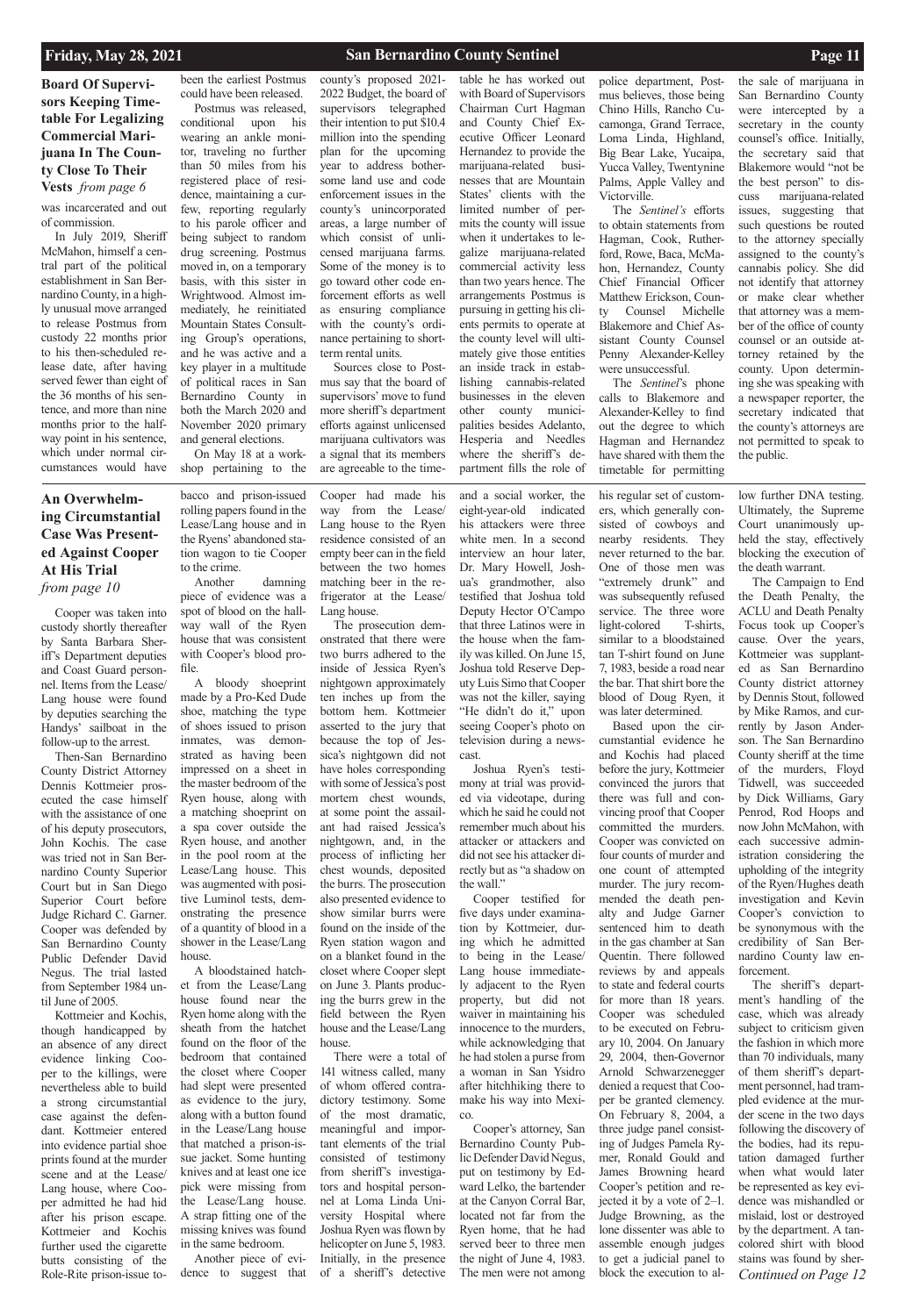**Board Of Supervisors Keeping Timetable For Legalizing Commercial Marijuana In The County Close To Their Vests** *from page 6*

was incarcerated and out of commission.

In July 2019, Sheriff McMahon, himself a central part of the political establishment in San Bernardino County, in a highly unusual move arranged to release Postmus from custody 22 months prior to his then-scheduled release date, after having served fewer than eight of the 36 months of his sentence, and more than nine months prior to the halfway point in his sentence, which under normal circumstances would have been the earliest Postmus could have been released.

Postmus was released, conditional upon his wearing an ankle monitor, traveling no further than 50 miles from his registered place of residence, maintaining a curfew, reporting regularly to his parole officer and being subject to random drug screening. Postmus moved in, on a temporary basis, with this sister in Wrightwood. Almost immediately, he reinitiated Mountain States Consulting Group's operations, and he was active and a key player in a multitude of political races in San Bernardino County in both the March 2020 and November 2020 primary supervisors telegraphed their intention to put \$10.4

and general elections. On May 18 at a workshop pertaining to the county's proposed 2021- 2022 Budget, the board of

million into the spending plan for the upcoming year to address bothersome land use and code enforcement issues in the county's unincorporated areas, a large number of which consist of unli-

censed marijuana farms. Some of the money is to go toward other code enforcement efforts as well as ensuring compliance with the county's ordinance pertaining to shortterm rental units. Sources close to Postmus say that the board of

supervisors' move to fund more sheriff's department efforts against unlicensed marijuana cultivators was a signal that its members are agreeable to the timetable he has worked out with Board of Supervisors Chairman Curt Hagman and County Chief Executive Officer Leonard Hernandez to provide the marijuana-related businesses that are Mountain States' clients with the limited number of permits the county will issue when it undertakes to legalize marijuana-related commercial activity less than two years hence. The arrangements Postmus is pursuing in getting his clients permits to operate at the county level will ultimately give those entities an inside track in establishing cannabis-related businesses in the eleven other county municipalities besides Adelanto, Hesperia and Needles where the sheriff's de-

partment fills the role of

police department, Postmus believes, those being Chino Hills, Rancho Cucamonga, Grand Terrace, Loma Linda, Highland, Big Bear Lake, Yucaipa, Yucca Valley, Twentynine Palms, Apple Valley and Victorville.

The *Sentinel's* efforts to obtain statements from Hagman, Cook, Rutherford, Rowe, Baca, McMahon, Hernandez, County Chief Financial Officer Matthew Erickson, County Counsel Michelle Blakemore and Chief Assistant County Counsel Penny Alexander-Kelley were unsuccessful.

The *Sentinel*'s phone calls to Blakemore and Alexander-Kelley to find out the degree to which Hagman and Hernandez have shared with them the timetable for permitting

the sale of marijuana in San Bernardino County were intercepted by a secretary in the county counsel's office. Initially, the secretary said that Blakemore would "not be the best person" to discuss marijuana-related issues, suggesting that such questions be routed to the attorney specially assigned to the county's cannabis policy. She did not identify that attorney or make clear whether that attorney was a member of the office of county counsel or an outside attorney retained by the county. Upon determining she was speaking with a newspaper reporter, the secretary indicated that the county's attorneys are not permitted to speak to the public.

Cooper was taken into custody shortly thereafter by Santa Barbara Sheriff's Department deputies and Coast Guard personnel. Items from the Lease/ Lang house were found by deputies searching the Handys' sailboat in the follow-up to the arrest.

Then-San Bernardino County District Attorney Dennis Kottmeier prosecuted the case himself with the assistance of one of his deputy prosecutors, John Kochis. The case was tried not in San Bernardino County Superior Court but in San Diego Superior Court before Judge Richard C. Garner. Cooper was defended by San Bernardino County Public Defender David Negus. The trial lasted from September 1984 until June of 2005.

Kottmeier and Kochis,

though handicapped by an absence of any direct evidence linking Cooper to the killings, were nevertheless able to build a strong circumstantial case against the defendant. Kottmeier entered into evidence partial shoe prints found at the murder scene and at the Lease/ Lang house, where Cooper admitted he had hid after his prison escape. Kottmeier and Kochis further used the cigarette butts consisting of the Role-Rite prison-issue tobacco and prison-issued rolling papers found in the Lease/Lang house and in the Ryens' abandoned station wagon to tie Cooper to the crime.

Another damning piece of evidence was a spot of blood on the hallway wall of the Ryen house that was consistent with Cooper's blood profile.

A bloody shoeprint made by a Pro-Ked Dude shoe, matching the type of shoes issued to prison inmates, was demonstrated as having been impressed on a sheet in the master bedroom of the Ryen house, along with a matching shoeprint on a spa cover outside the Ryen house, and another in the pool room at the Lease/Lang house. This was augmented with positive Luminol tests, demonstrating the presence of a quantity of blood in a shower in the Lease/Lang house.

A bloodstained hatchet from the Lease/Lang house found near the Ryen home along with the sheath from the hatchet found on the floor of the bedroom that contained the closet where Cooper had slept were presented as evidence to the jury, along with a button found in the Lease/Lang house that matched a prison-issue jacket. Some hunting knives and at least one ice pick were missing from the Lease/Lang house. A strap fitting one of the missing knives was found in the same bedroom. Another piece of evidence to suggest that

Cooper had made his way from the Lease/ Lang house to the Ryen residence consisted of an empty beer can in the field between the two homes matching beer in the refrigerator at the Lease/ Lang house.

The prosecution demonstrated that there were two burrs adhered to the inside of Jessica Ryen's nightgown approximately ten inches up from the bottom hem. Kottmeier asserted to the jury that because the top of Jessica's nightgown did not have holes corresponding with some of Jessica's post mortem chest wounds, at some point the assailant had raised Jessica's nightgown, and, in the process of inflicting her chest wounds, deposited the burrs. The prosecution also presented evidence to show similar burrs were found on the inside of the Ryen station wagon and on a blanket found in the closet where Cooper slept on June 3. Plants producing the burrs grew in the field between the Ryen

house and the Lease/Lang house.

There were a total of 141 witness called, many of whom offered contradictory testimony. Some of the most dramatic, meaningful and important elements of the trial consisted of testimony from sheriff's investigators and hospital personnel at Loma Linda University Hospital where Joshua Ryen was flown by helicopter on June 5, 1983. Initially, in the presence of a sheriff's detective

and a social worker, the eight-year-old indicated his attackers were three white men. In a second interview an hour later, Dr. Mary Howell, Joshua's grandmother, also testified that Joshua told Deputy Hector O'Campo that three Latinos were in the house when the family was killed. On June 15, Joshua told Reserve Deputy Luis Simo that Cooper was not the killer, saying "He didn't do it," upon seeing Cooper's photo on television during a newscast.

Joshua Ryen's testimony at trial was provided via videotape, during which he said he could not remember much about his attacker or attackers and did not see his attacker directly but as "a shadow on the wall."

Cooper testified for five days under examination by Kottmeier, during which he admitted to being in the Lease/ Lang house immediately adjacent to the Ryen property, but did not waiver in maintaining his innocence to the murders, while acknowledging that he had stolen a purse from a woman in San Ysidro after hitchhiking there to make his way into Mexico. Cooper's attorney, San Bernardino County Public Defender David Negus, put on testimony by Edward Lelko, the bartender at the Canyon Corral Bar, located not far from the Ryen home, that he had served beer to three men the night of June 4, 1983. The men were not among

his regular set of customers, which generally consisted of cowboys and nearby residents. They never returned to the bar. One of those men was "extremely drunk" and was subsequently refused service. The three wore light-colored T-shirts, similar to a bloodstained tan T-shirt found on June 7, 1983, beside a road near the bar. That shirt bore the blood of Doug Ryen, it was later determined.

Based upon the circumstantial evidence he and Kochis had placed before the jury, Kottmeier convinced the jurors that there was full and convincing proof that Cooper committed the murders. Cooper was convicted on four counts of murder and one count of attempted murder. The jury recommended the death penalty and Judge Garner sentenced him to death in the gas chamber at San Quentin. There followed reviews by and appeals to state and federal courts for more than 18 years. Cooper was scheduled to be executed on February 10, 2004. On January 29, 2004, then-Governor Arnold Schwarzenegger denied a request that Cooper be granted clemency. On February 8, 2004, a three judge panel consisting of Judges Pamela Rymer, Ronald Gould and James Browning heard Cooper's petition and rejected it by a vote of 2–1. Judge Browning, as the lone dissenter was able to assemble enough judges to get a judicial panel to block the execution to al-

low further DNA testing. Ultimately, the Supreme Court unanimously upheld the stay, effectively blocking the execution of the death warrant.

The Campaign to End the Death Penalty, the ACLU and Death Penalty Focus took up Cooper's cause. Over the years, Kottmeier was supplanted as San Bernardino County district attorney by Dennis Stout, followed by Mike Ramos, and currently by Jason Anderson. The San Bernardino County sheriff at the time of the murders, Floyd Tidwell, was succeeded by Dick Williams, Gary Penrod, Rod Hoops and now John McMahon, with each successive administration considering the upholding of the integrity of the Ryen/Hughes death investigation and Kevin Cooper's conviction to be synonymous with the credibility of San Bernardino County law enforcement.

The sheriff's department's handling of the case, which was already subject to criticism given

the fashion in which more than 70 individuals, many of them sheriff's department personnel, had trampled evidence at the murder scene in the two days following the discovery of the bodies, had its reputation damaged further when what would later be represented as key evidence was mishandled or mislaid, lost or destroyed by the department. A tancolored shirt with blood stains was found by sher-*Continued on Page 12*

**An Overwhelming Circumstantial Case Was Presented Against Cooper At His Trial**  *from page 10*